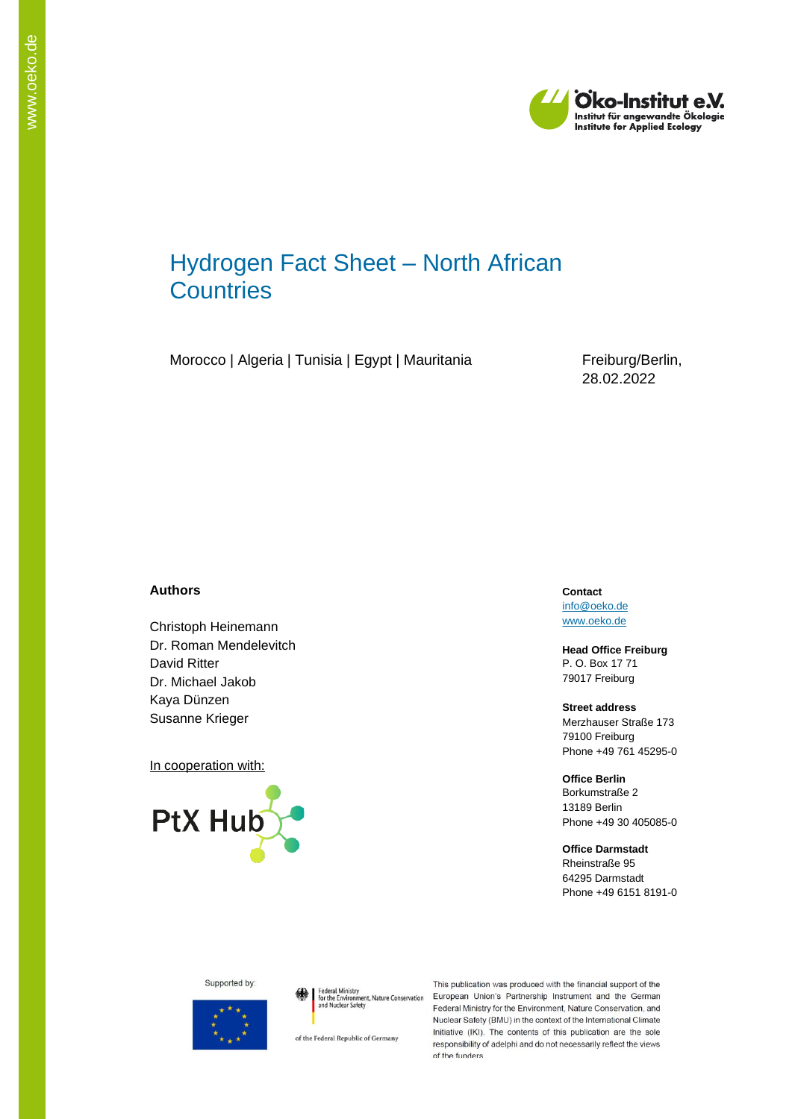

# Hydrogen Fact Sheet – North African **Countries**

Morocco | Algeria | Tunisia | Egypt | Mauritania Freiburg/Berlin,

28.02.2022

#### **Authors**

Christoph Heinemann Dr. Roman Mendelevitch David Ritter Dr. Michael Jakob Kaya Dünzen Susanne Krieger

In cooperation with:



**Contact** [info@oeko.de](mailto:info@oeko.de) [www.oeko.de](http://www.oeko.de/)

**Head Office Freiburg** P. O. Box 17 71 79017 Freiburg

**Street address** Merzhauser Straße 173 79100 Freiburg Phone +49 761 45295-0

**Office Berlin** Borkumstraße 2 13189 Berlin Phone +49 30 405085-0

**Office Darmstadt** Rheinstraße 95 64295 Darmstadt Phone +49 6151 8191-0

#### Supported by:



Federal Ministry<br>for the Environment, Nature Conservation<br>and Nuclear Safety

of the Federal Republic of Germany

This publication was produced with the financial support of the European Union's Partnership Instrument and the German Federal Ministry for the Environment, Nature Conservation, and Nuclear Safety (BMU) in the context of the International Climate Initiative (IKI). The contents of this publication are the sole responsibility of adelphi and do not necessarily reflect the views of the funders.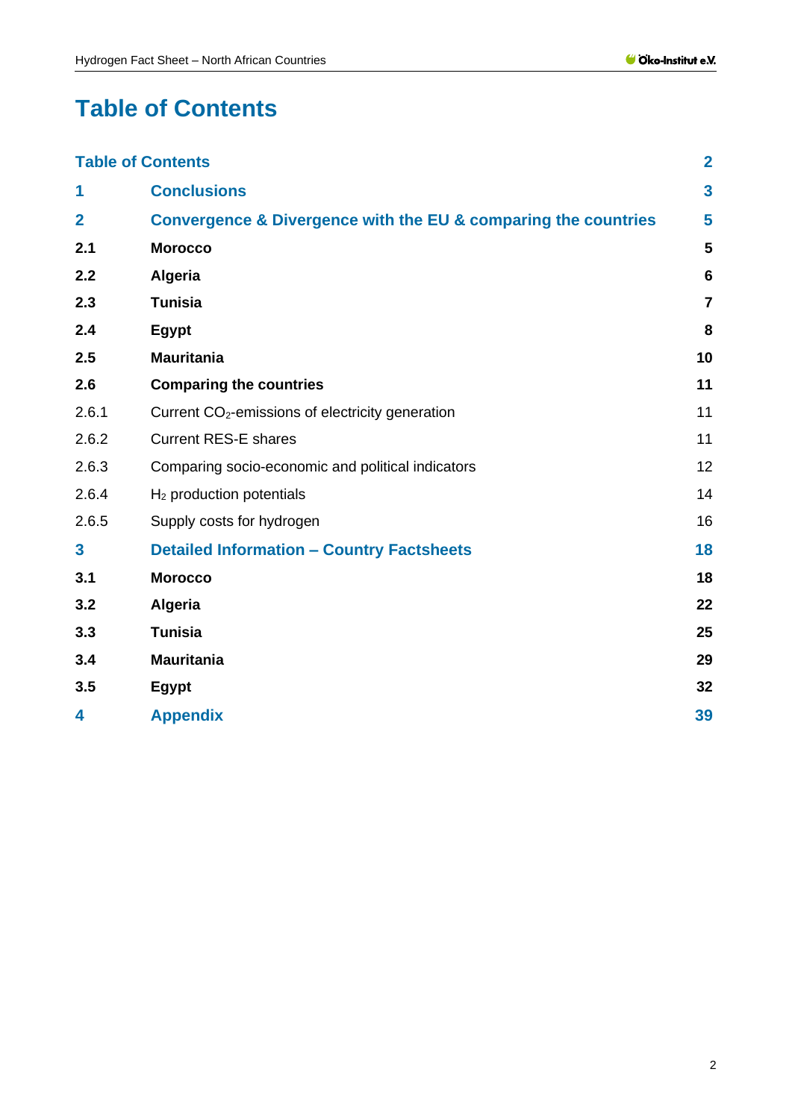# <span id="page-1-0"></span>**Table of Contents**

|                | <b>Table of Contents</b>                                       | $\overline{2}$          |
|----------------|----------------------------------------------------------------|-------------------------|
| 1              | <b>Conclusions</b>                                             | $\overline{\mathbf{3}}$ |
| $\overline{2}$ | Convergence & Divergence with the EU & comparing the countries | 5                       |
| 2.1            | <b>Morocco</b>                                                 | 5                       |
| 2.2            | <b>Algeria</b>                                                 | $6\phantom{1}6$         |
| 2.3            | <b>Tunisia</b>                                                 | $\overline{7}$          |
| 2.4            | Egypt                                                          | 8                       |
| 2.5            | <b>Mauritania</b>                                              | 10                      |
| 2.6            | <b>Comparing the countries</b>                                 | 11                      |
| 2.6.1          | Current CO <sub>2</sub> -emissions of electricity generation   | 11                      |
| 2.6.2          | <b>Current RES-E shares</b>                                    | 11                      |
| 2.6.3          | Comparing socio-economic and political indicators              | 12                      |
| 2.6.4          | $H2$ production potentials                                     | 14                      |
| 2.6.5          | Supply costs for hydrogen                                      | 16                      |
| 3              | <b>Detailed Information - Country Factsheets</b>               | 18                      |
| 3.1            | <b>Morocco</b>                                                 | 18                      |
| 3.2            | <b>Algeria</b>                                                 | 22                      |
| 3.3            | <b>Tunisia</b>                                                 | 25                      |
| 3.4            | <b>Mauritania</b>                                              | 29                      |
| 3.5            | Egypt                                                          | 32                      |
| 4              | <b>Appendix</b>                                                | 39                      |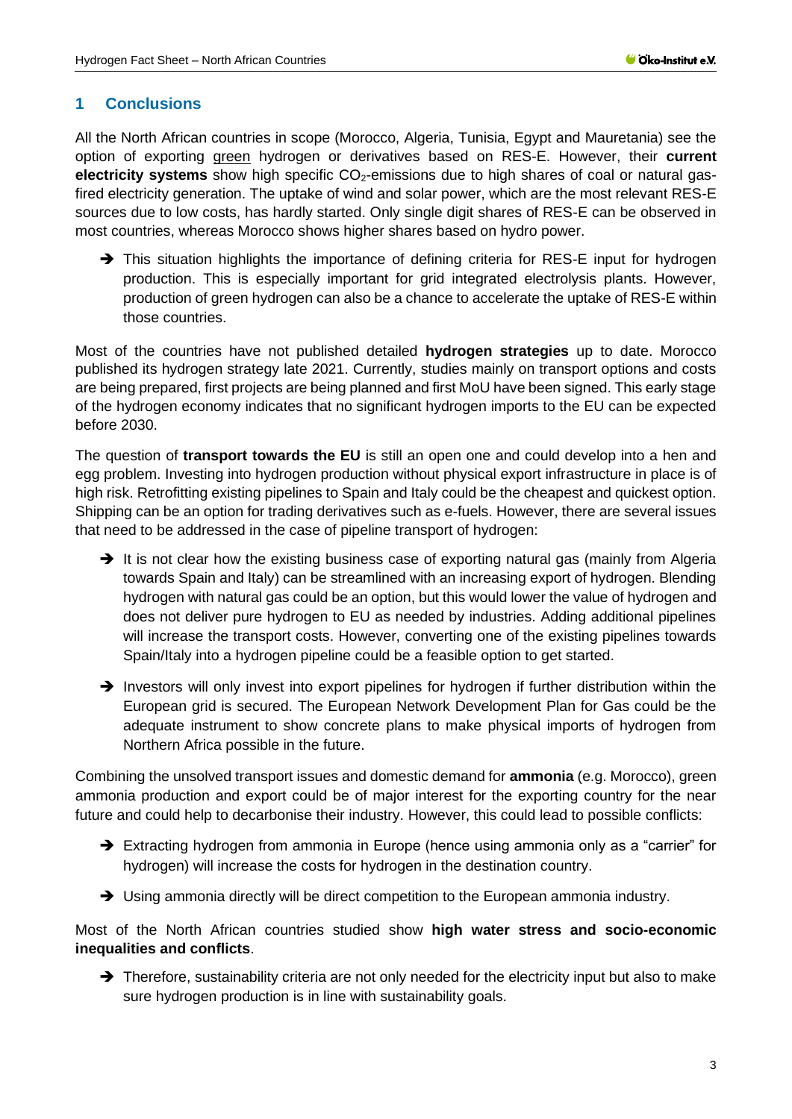### <span id="page-2-0"></span>**1 Conclusions**

All the North African countries in scope (Morocco, Algeria, Tunisia, Egypt and Mauretania) see the option of exporting green hydrogen or derivatives based on RES-E. However, their **current electricity systems** show high specific CO<sub>2</sub>-emissions due to high shares of coal or natural gasfired electricity generation. The uptake of wind and solar power, which are the most relevant RES-E sources due to low costs, has hardly started. Only single digit shares of RES-E can be observed in most countries, whereas Morocco shows higher shares based on hydro power.

→ This situation highlights the importance of defining criteria for RES-E input for hydrogen production. This is especially important for grid integrated electrolysis plants. However, production of green hydrogen can also be a chance to accelerate the uptake of RES-E within those countries.

Most of the countries have not published detailed **hydrogen strategies** up to date. Morocco published its hydrogen strategy late 2021. Currently, studies mainly on transport options and costs are being prepared, first projects are being planned and first MoU have been signed. This early stage of the hydrogen economy indicates that no significant hydrogen imports to the EU can be expected before 2030.

The question of **transport towards the EU** is still an open one and could develop into a hen and egg problem. Investing into hydrogen production without physical export infrastructure in place is of high risk. Retrofitting existing pipelines to Spain and Italy could be the cheapest and quickest option. Shipping can be an option for trading derivatives such as e-fuels. However, there are several issues that need to be addressed in the case of pipeline transport of hydrogen:

- → It is not clear how the existing business case of exporting natural gas (mainly from Algeria towards Spain and Italy) can be streamlined with an increasing export of hydrogen. Blending hydrogen with natural gas could be an option, but this would lower the value of hydrogen and does not deliver pure hydrogen to EU as needed by industries. Adding additional pipelines will increase the transport costs. However, converting one of the existing pipelines towards Spain/Italy into a hydrogen pipeline could be a feasible option to get started.
- → Investors will only invest into export pipelines for hydrogen if further distribution within the European grid is secured. The European Network Development Plan for Gas could be the adequate instrument to show concrete plans to make physical imports of hydrogen from Northern Africa possible in the future.

Combining the unsolved transport issues and domestic demand for **ammonia** (e.g. Morocco), green ammonia production and export could be of major interest for the exporting country for the near future and could help to decarbonise their industry. However, this could lead to possible conflicts:

- ➔ Extracting hydrogen from ammonia in Europe (hence using ammonia only as a "carrier" for hydrogen) will increase the costs for hydrogen in the destination country.
- → Using ammonia directly will be direct competition to the European ammonia industry.

Most of the North African countries studied show **high water stress and socio-economic inequalities and conflicts**.

➔ Therefore, sustainability criteria are not only needed for the electricity input but also to make sure hydrogen production is in line with sustainability goals.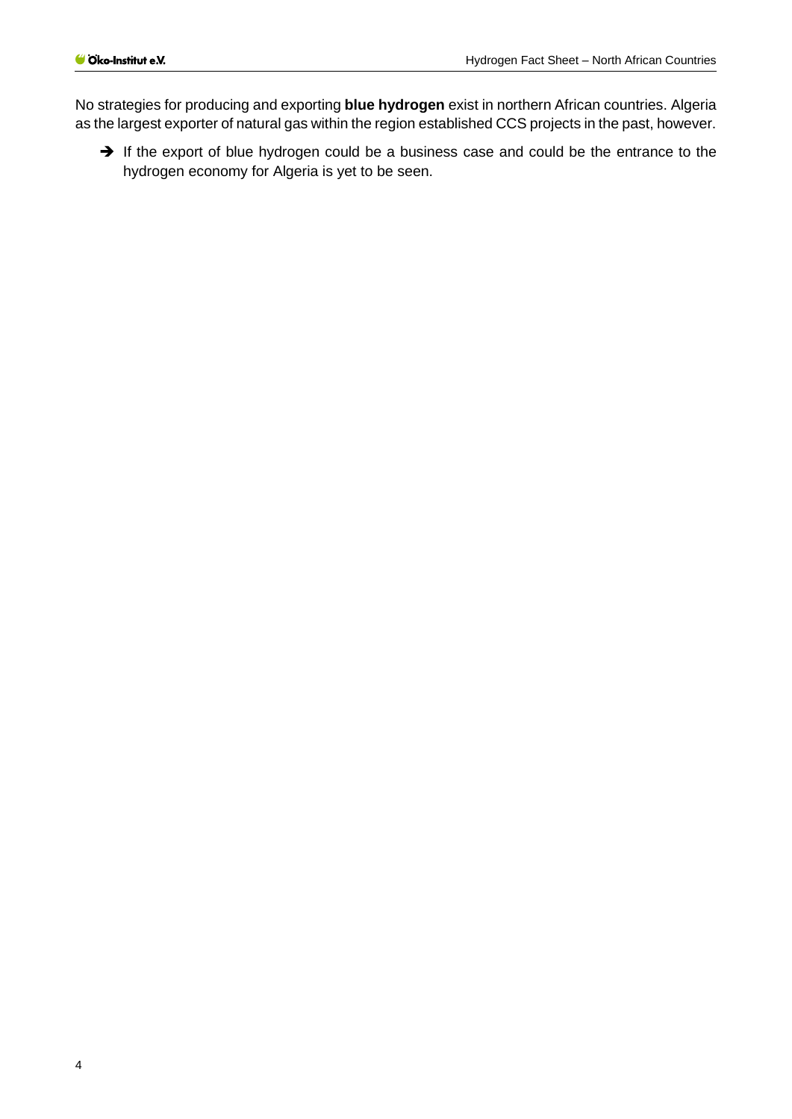No strategies for producing and exporting **blue hydrogen** exist in northern African countries. Algeria as the largest exporter of natural gas within the region established CCS projects in the past, however.

➔ If the export of blue hydrogen could be a business case and could be the entrance to the hydrogen economy for Algeria is yet to be seen.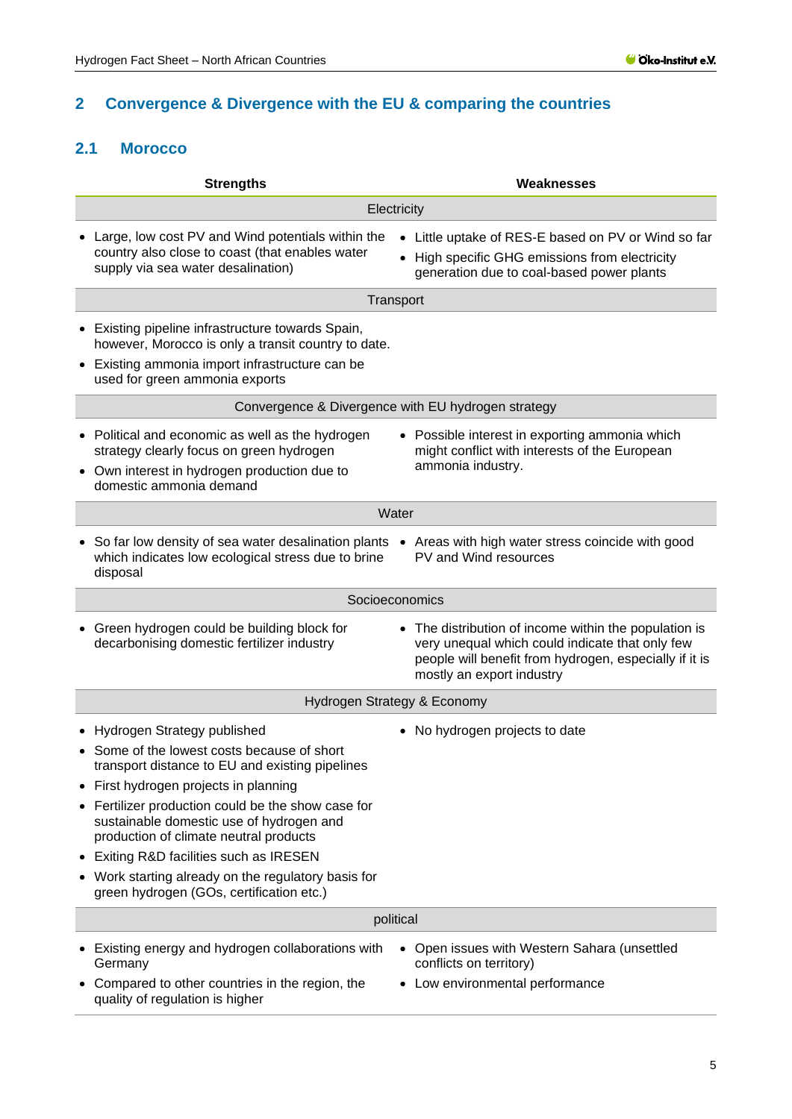## <span id="page-4-0"></span>**2 Convergence & Divergence with the EU & comparing the countries**

## <span id="page-4-1"></span>**2.1 Morocco**

| <b>Strengths</b>                                                                                                                                                          | <b>Weaknesses</b>                                                                                                                                                                               |  |  |
|---------------------------------------------------------------------------------------------------------------------------------------------------------------------------|-------------------------------------------------------------------------------------------------------------------------------------------------------------------------------------------------|--|--|
|                                                                                                                                                                           | Electricity                                                                                                                                                                                     |  |  |
| Large, low cost PV and Wind potentials within the                                                                                                                         | • Little uptake of RES-E based on PV or Wind so far                                                                                                                                             |  |  |
| country also close to coast (that enables water<br>supply via sea water desalination)                                                                                     | • High specific GHG emissions from electricity<br>generation due to coal-based power plants                                                                                                     |  |  |
|                                                                                                                                                                           | Transport                                                                                                                                                                                       |  |  |
| • Existing pipeline infrastructure towards Spain,<br>however, Morocco is only a transit country to date.                                                                  |                                                                                                                                                                                                 |  |  |
| • Existing ammonia import infrastructure can be<br>used for green ammonia exports                                                                                         |                                                                                                                                                                                                 |  |  |
|                                                                                                                                                                           | Convergence & Divergence with EU hydrogen strategy                                                                                                                                              |  |  |
| • Political and economic as well as the hydrogen<br>strategy clearly focus on green hydrogen                                                                              | • Possible interest in exporting ammonia which<br>might conflict with interests of the European                                                                                                 |  |  |
| • Own interest in hydrogen production due to<br>domestic ammonia demand                                                                                                   | ammonia industry.                                                                                                                                                                               |  |  |
|                                                                                                                                                                           | Water                                                                                                                                                                                           |  |  |
| • So far low density of sea water desalination plants • Areas with high water stress coincide with good<br>which indicates low ecological stress due to brine<br>disposal | PV and Wind resources                                                                                                                                                                           |  |  |
|                                                                                                                                                                           | Socioeconomics                                                                                                                                                                                  |  |  |
| Green hydrogen could be building block for<br>decarbonising domestic fertilizer industry                                                                                  | • The distribution of income within the population is<br>very unequal which could indicate that only few<br>people will benefit from hydrogen, especially if it is<br>mostly an export industry |  |  |
| Hydrogen Strategy & Economy                                                                                                                                               |                                                                                                                                                                                                 |  |  |
| Hydrogen Strategy published                                                                                                                                               | • No hydrogen projects to date                                                                                                                                                                  |  |  |
| Some of the lowest costs because of short<br>transport distance to EU and existing pipelines                                                                              |                                                                                                                                                                                                 |  |  |
| First hydrogen projects in planning                                                                                                                                       |                                                                                                                                                                                                 |  |  |
| Fertilizer production could be the show case for<br>sustainable domestic use of hydrogen and<br>production of climate neutral products                                    |                                                                                                                                                                                                 |  |  |
| Exiting R&D facilities such as IRESEN<br>$\bullet$                                                                                                                        |                                                                                                                                                                                                 |  |  |
| • Work starting already on the regulatory basis for<br>green hydrogen (GOs, certification etc.)                                                                           |                                                                                                                                                                                                 |  |  |
|                                                                                                                                                                           | political                                                                                                                                                                                       |  |  |
| • Existing energy and hydrogen collaborations with<br>Germany<br>Compared to other countries in the region, the                                                           | • Open issues with Western Sahara (unsettled<br>conflicts on territory)<br>Low environmental performance                                                                                        |  |  |
| quality of regulation is higher                                                                                                                                           |                                                                                                                                                                                                 |  |  |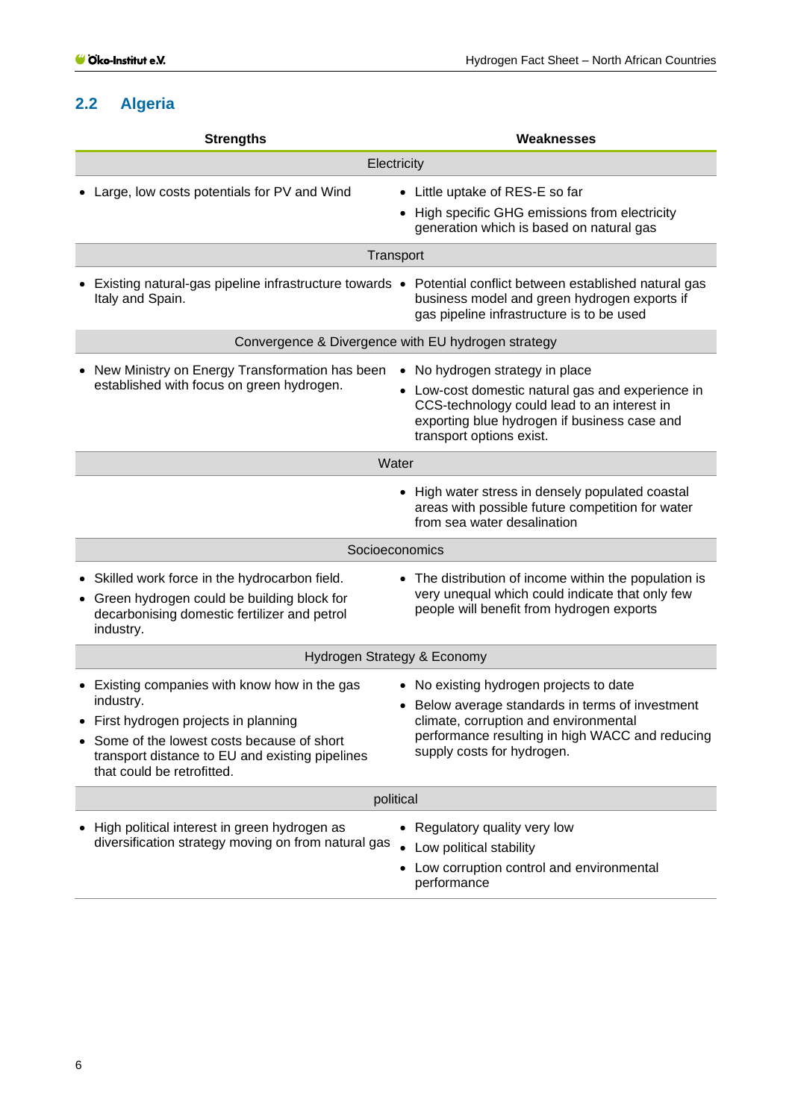## <span id="page-5-0"></span>**2.2 Algeria**

| <b>Strengths</b>                                                                                                                                                                                                                  | <b>Weaknesses</b>                                                                                                                                                                                                   |  |  |
|-----------------------------------------------------------------------------------------------------------------------------------------------------------------------------------------------------------------------------------|---------------------------------------------------------------------------------------------------------------------------------------------------------------------------------------------------------------------|--|--|
| Electricity                                                                                                                                                                                                                       |                                                                                                                                                                                                                     |  |  |
| • Large, low costs potentials for PV and Wind                                                                                                                                                                                     | • Little uptake of RES-E so far<br>• High specific GHG emissions from electricity<br>generation which is based on natural gas                                                                                       |  |  |
|                                                                                                                                                                                                                                   | Transport                                                                                                                                                                                                           |  |  |
| Italy and Spain.                                                                                                                                                                                                                  | Existing natural-gas pipeline infrastructure towards • Potential conflict between established natural gas<br>business model and green hydrogen exports if<br>gas pipeline infrastructure is to be used              |  |  |
|                                                                                                                                                                                                                                   | Convergence & Divergence with EU hydrogen strategy                                                                                                                                                                  |  |  |
| New Ministry on Energy Transformation has been<br>established with focus on green hydrogen.                                                                                                                                       | • No hydrogen strategy in place<br>• Low-cost domestic natural gas and experience in<br>CCS-technology could lead to an interest in<br>exporting blue hydrogen if business case and<br>transport options exist.     |  |  |
|                                                                                                                                                                                                                                   | Water                                                                                                                                                                                                               |  |  |
|                                                                                                                                                                                                                                   | • High water stress in densely populated coastal<br>areas with possible future competition for water<br>from sea water desalination                                                                                 |  |  |
|                                                                                                                                                                                                                                   | Socioeconomics                                                                                                                                                                                                      |  |  |
| • Skilled work force in the hydrocarbon field.<br>• Green hydrogen could be building block for<br>decarbonising domestic fertilizer and petrol<br>industry.                                                                       | • The distribution of income within the population is<br>very unequal which could indicate that only few<br>people will benefit from hydrogen exports                                                               |  |  |
|                                                                                                                                                                                                                                   | Hydrogen Strategy & Economy                                                                                                                                                                                         |  |  |
| • Existing companies with know how in the gas<br>industry.<br>First hydrogen projects in planning<br>• Some of the lowest costs because of short<br>transport distance to EU and existing pipelines<br>that could be retrofitted. | • No existing hydrogen projects to date<br>Below average standards in terms of investment<br>climate, corruption and environmental<br>performance resulting in high WACC and reducing<br>supply costs for hydrogen. |  |  |
|                                                                                                                                                                                                                                   | political                                                                                                                                                                                                           |  |  |
| • High political interest in green hydrogen as<br>diversification strategy moving on from natural gas                                                                                                                             | • Regulatory quality very low<br>• Low political stability<br>• Low corruption control and environmental<br>performance                                                                                             |  |  |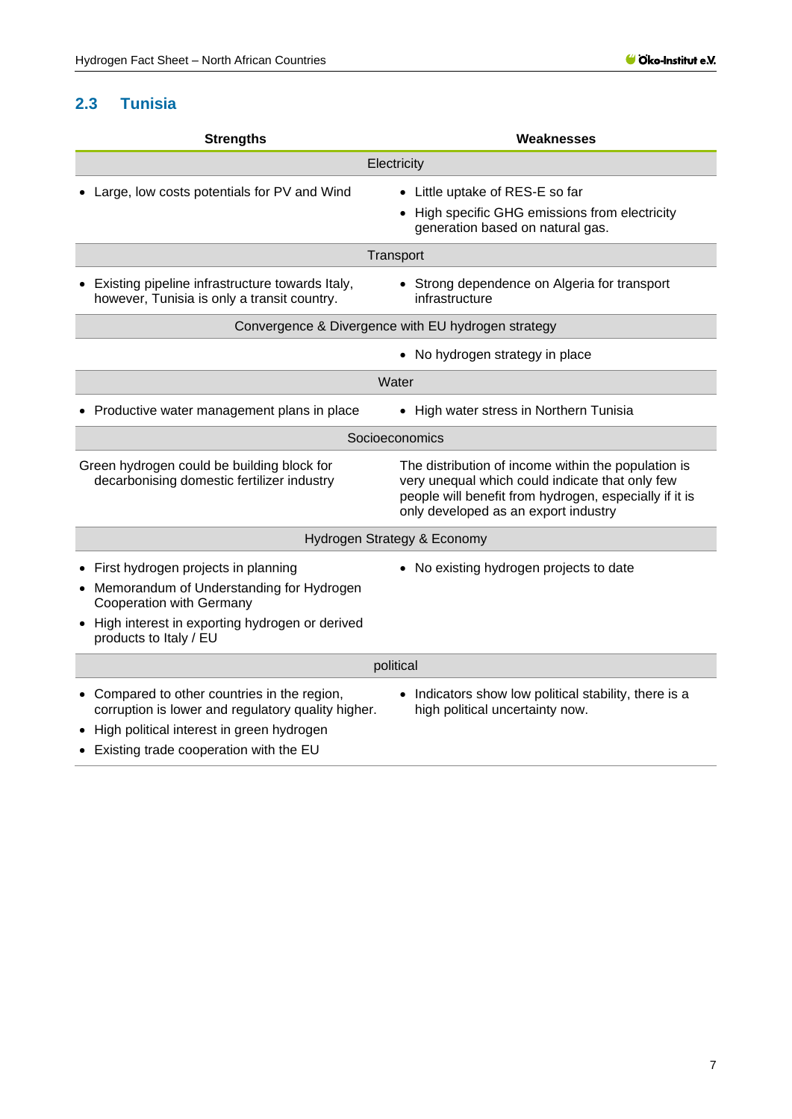## <span id="page-6-0"></span>**2.3 Tunisia**

| <b>Strengths</b>                                                                                                                                                                              | Weaknesses                                                                                                                                                                                               |  |  |  |
|-----------------------------------------------------------------------------------------------------------------------------------------------------------------------------------------------|----------------------------------------------------------------------------------------------------------------------------------------------------------------------------------------------------------|--|--|--|
| Electricity                                                                                                                                                                                   |                                                                                                                                                                                                          |  |  |  |
| Large, low costs potentials for PV and Wind                                                                                                                                                   | • Little uptake of RES-E so far                                                                                                                                                                          |  |  |  |
|                                                                                                                                                                                               | High specific GHG emissions from electricity<br>generation based on natural gas.                                                                                                                         |  |  |  |
| Transport                                                                                                                                                                                     |                                                                                                                                                                                                          |  |  |  |
| Existing pipeline infrastructure towards Italy,<br>however, Tunisia is only a transit country.                                                                                                | • Strong dependence on Algeria for transport<br>infrastructure                                                                                                                                           |  |  |  |
|                                                                                                                                                                                               | Convergence & Divergence with EU hydrogen strategy                                                                                                                                                       |  |  |  |
|                                                                                                                                                                                               | • No hydrogen strategy in place                                                                                                                                                                          |  |  |  |
|                                                                                                                                                                                               | Water                                                                                                                                                                                                    |  |  |  |
| Productive water management plans in place                                                                                                                                                    | • High water stress in Northern Tunisia                                                                                                                                                                  |  |  |  |
|                                                                                                                                                                                               | Socioeconomics                                                                                                                                                                                           |  |  |  |
| Green hydrogen could be building block for<br>decarbonising domestic fertilizer industry                                                                                                      | The distribution of income within the population is<br>very unequal which could indicate that only few<br>people will benefit from hydrogen, especially if it is<br>only developed as an export industry |  |  |  |
| Hydrogen Strategy & Economy                                                                                                                                                                   |                                                                                                                                                                                                          |  |  |  |
| • First hydrogen projects in planning<br>• Memorandum of Understanding for Hydrogen<br>Cooperation with Germany<br>• High interest in exporting hydrogen or derived<br>products to Italy / EU | • No existing hydrogen projects to date                                                                                                                                                                  |  |  |  |
| political                                                                                                                                                                                     |                                                                                                                                                                                                          |  |  |  |
| • Compared to other countries in the region,<br>corruption is lower and regulatory quality higher.<br>High political interest in green hydrogen<br>• Existing trade cooperation with the EU   | • Indicators show low political stability, there is a<br>high political uncertainty now.                                                                                                                 |  |  |  |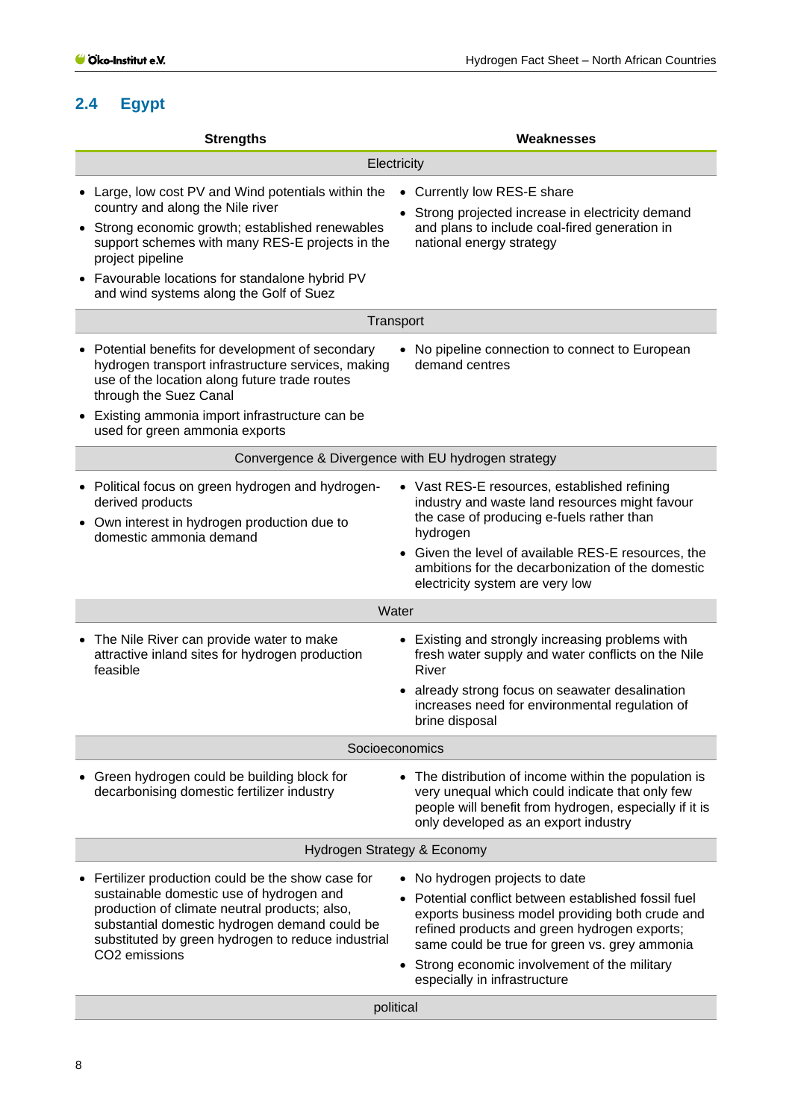## <span id="page-7-0"></span>**2.4 Egypt**

| <b>Strengths</b>                                                                                                                                                                                                                                                                                                 | Weaknesses                                                                                                                                                                                                                                                                                                                |  |  |  |
|------------------------------------------------------------------------------------------------------------------------------------------------------------------------------------------------------------------------------------------------------------------------------------------------------------------|---------------------------------------------------------------------------------------------------------------------------------------------------------------------------------------------------------------------------------------------------------------------------------------------------------------------------|--|--|--|
| Electricity                                                                                                                                                                                                                                                                                                      |                                                                                                                                                                                                                                                                                                                           |  |  |  |
| • Large, low cost PV and Wind potentials within the<br>country and along the Nile river<br>• Strong economic growth; established renewables<br>support schemes with many RES-E projects in the<br>project pipeline<br>• Favourable locations for standalone hybrid PV<br>and wind systems along the Golf of Suez | • Currently low RES-E share<br>Strong projected increase in electricity demand<br>and plans to include coal-fired generation in<br>national energy strategy                                                                                                                                                               |  |  |  |
|                                                                                                                                                                                                                                                                                                                  | Transport                                                                                                                                                                                                                                                                                                                 |  |  |  |
| • Potential benefits for development of secondary<br>hydrogen transport infrastructure services, making<br>use of the location along future trade routes<br>through the Suez Canal<br>• Existing ammonia import infrastructure can be<br>used for green ammonia exports                                          | • No pipeline connection to connect to European<br>demand centres                                                                                                                                                                                                                                                         |  |  |  |
|                                                                                                                                                                                                                                                                                                                  | Convergence & Divergence with EU hydrogen strategy                                                                                                                                                                                                                                                                        |  |  |  |
| • Political focus on green hydrogen and hydrogen-<br>derived products<br>Own interest in hydrogen production due to<br>domestic ammonia demand                                                                                                                                                                   | • Vast RES-E resources, established refining<br>industry and waste land resources might favour<br>the case of producing e-fuels rather than<br>hydrogen<br>Given the level of available RES-E resources, the<br>ambitions for the decarbonization of the domestic<br>electricity system are very low                      |  |  |  |
|                                                                                                                                                                                                                                                                                                                  | Water                                                                                                                                                                                                                                                                                                                     |  |  |  |
| • The Nile River can provide water to make<br>attractive inland sites for hydrogen production<br>feasible                                                                                                                                                                                                        | • Existing and strongly increasing problems with<br>fresh water supply and water conflicts on the Nile<br>River<br>already strong focus on seawater desalination<br>increases need for environmental regulation of<br>brine disposal                                                                                      |  |  |  |
|                                                                                                                                                                                                                                                                                                                  | Socioeconomics                                                                                                                                                                                                                                                                                                            |  |  |  |
| • Green hydrogen could be building block for<br>decarbonising domestic fertilizer industry                                                                                                                                                                                                                       | • The distribution of income within the population is<br>very unequal which could indicate that only few<br>people will benefit from hydrogen, especially if it is<br>only developed as an export industry                                                                                                                |  |  |  |
| Hydrogen Strategy & Economy                                                                                                                                                                                                                                                                                      |                                                                                                                                                                                                                                                                                                                           |  |  |  |
| Fertilizer production could be the show case for<br>sustainable domestic use of hydrogen and<br>production of climate neutral products; also,<br>substantial domestic hydrogen demand could be<br>substituted by green hydrogen to reduce industrial<br>CO2 emissions                                            | • No hydrogen projects to date<br>Potential conflict between established fossil fuel<br>exports business model providing both crude and<br>refined products and green hydrogen exports;<br>same could be true for green vs. grey ammonia<br>• Strong economic involvement of the military<br>especially in infrastructure |  |  |  |
|                                                                                                                                                                                                                                                                                                                  | political                                                                                                                                                                                                                                                                                                                 |  |  |  |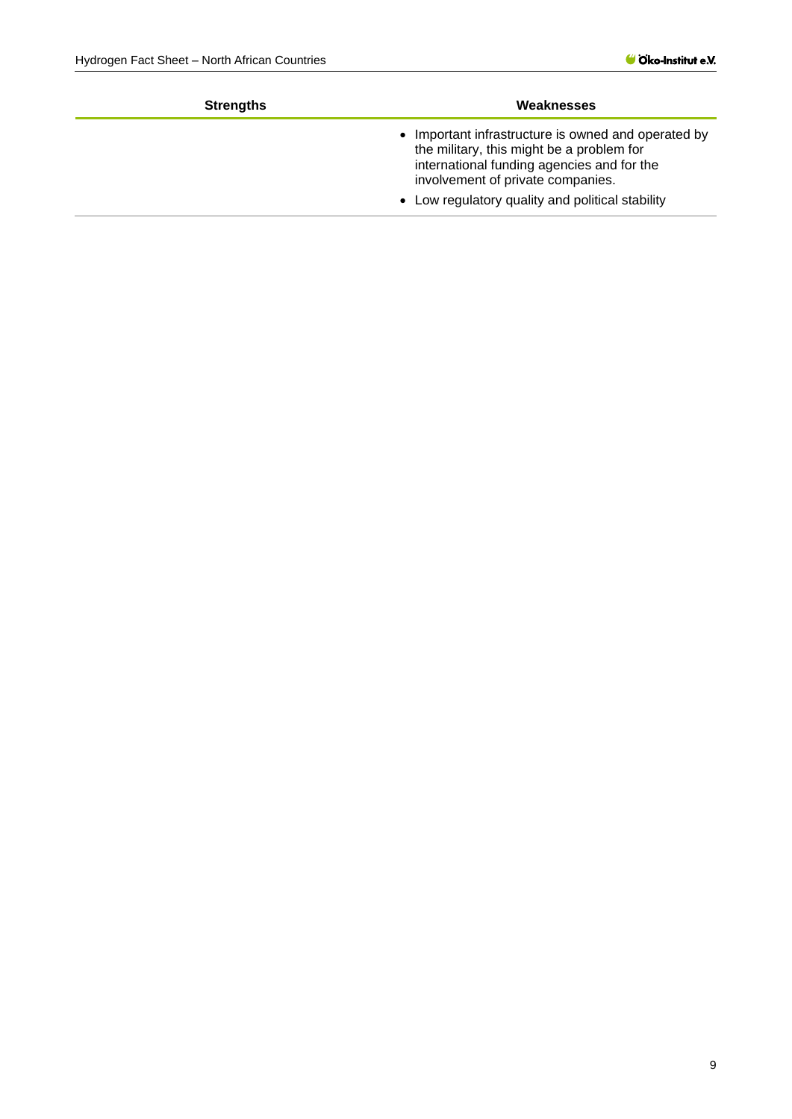| Weaknesses                                                                                                                                                                          |  |  |
|-------------------------------------------------------------------------------------------------------------------------------------------------------------------------------------|--|--|
| • Important infrastructure is owned and operated by<br>the military, this might be a problem for<br>international funding agencies and for the<br>involvement of private companies. |  |  |
| • Low regulatory quality and political stability                                                                                                                                    |  |  |
|                                                                                                                                                                                     |  |  |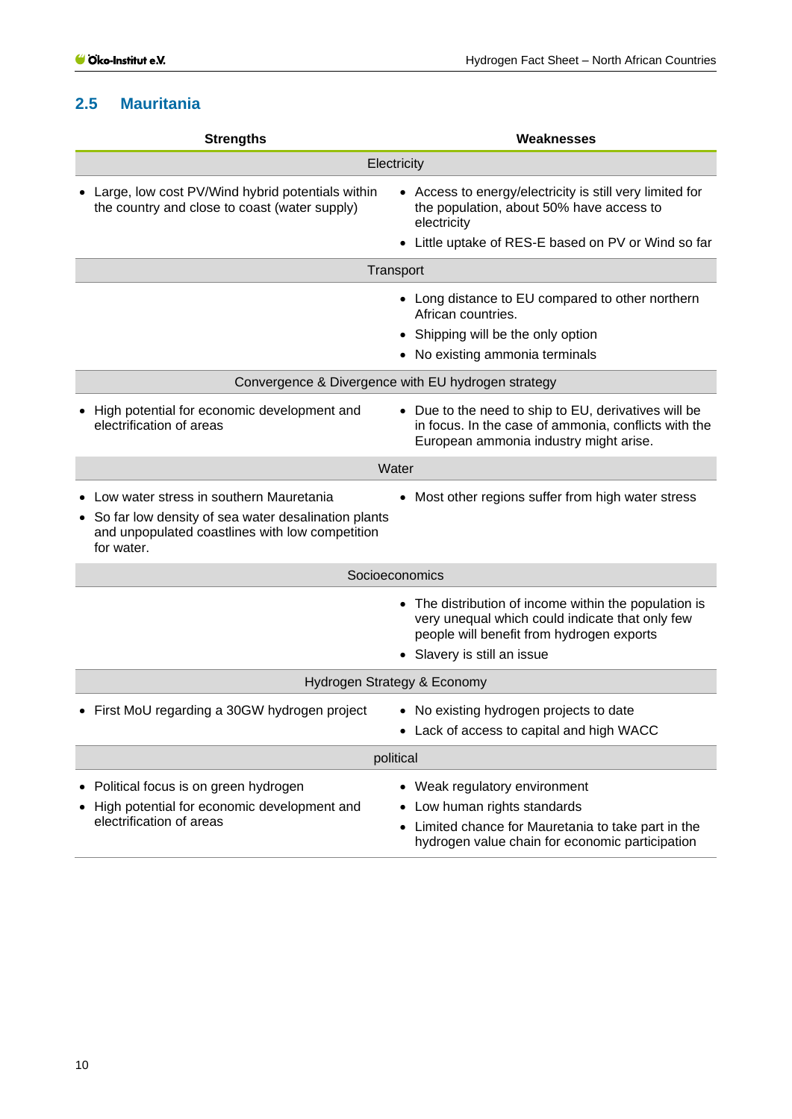## <span id="page-9-0"></span>**2.5 Mauritania**

| <b>Strengths</b>                                                                                                                                                  | <b>Weaknesses</b>                                                                                                                                                                    |  |  |  |
|-------------------------------------------------------------------------------------------------------------------------------------------------------------------|--------------------------------------------------------------------------------------------------------------------------------------------------------------------------------------|--|--|--|
| Electricity                                                                                                                                                       |                                                                                                                                                                                      |  |  |  |
| Large, low cost PV/Wind hybrid potentials within<br>the country and close to coast (water supply)                                                                 | • Access to energy/electricity is still very limited for<br>the population, about 50% have access to<br>electricity<br>• Little uptake of RES-E based on PV or Wind so far           |  |  |  |
|                                                                                                                                                                   | Transport                                                                                                                                                                            |  |  |  |
|                                                                                                                                                                   | • Long distance to EU compared to other northern<br>African countries.<br>• Shipping will be the only option<br>• No existing ammonia terminals                                      |  |  |  |
|                                                                                                                                                                   | Convergence & Divergence with EU hydrogen strategy                                                                                                                                   |  |  |  |
| High potential for economic development and<br>electrification of areas                                                                                           | • Due to the need to ship to EU, derivatives will be<br>in focus. In the case of ammonia, conflicts with the<br>European ammonia industry might arise.                               |  |  |  |
| Water                                                                                                                                                             |                                                                                                                                                                                      |  |  |  |
| Low water stress in southern Mauretania<br>• So far low density of sea water desalination plants<br>and unpopulated coastlines with low competition<br>for water. | • Most other regions suffer from high water stress                                                                                                                                   |  |  |  |
| Socioeconomics                                                                                                                                                    |                                                                                                                                                                                      |  |  |  |
|                                                                                                                                                                   | • The distribution of income within the population is<br>very unequal which could indicate that only few<br>people will benefit from hydrogen exports<br>• Slavery is still an issue |  |  |  |
| Hydrogen Strategy & Economy                                                                                                                                       |                                                                                                                                                                                      |  |  |  |
| • First MoU regarding a 30GW hydrogen project                                                                                                                     | • No existing hydrogen projects to date<br>Lack of access to capital and high WACC                                                                                                   |  |  |  |
| political                                                                                                                                                         |                                                                                                                                                                                      |  |  |  |
| Political focus is on green hydrogen<br>High potential for economic development and<br>electrification of areas                                                   | • Weak regulatory environment<br>Low human rights standards<br>Limited chance for Mauretania to take part in the<br>hydrogen value chain for economic participation                  |  |  |  |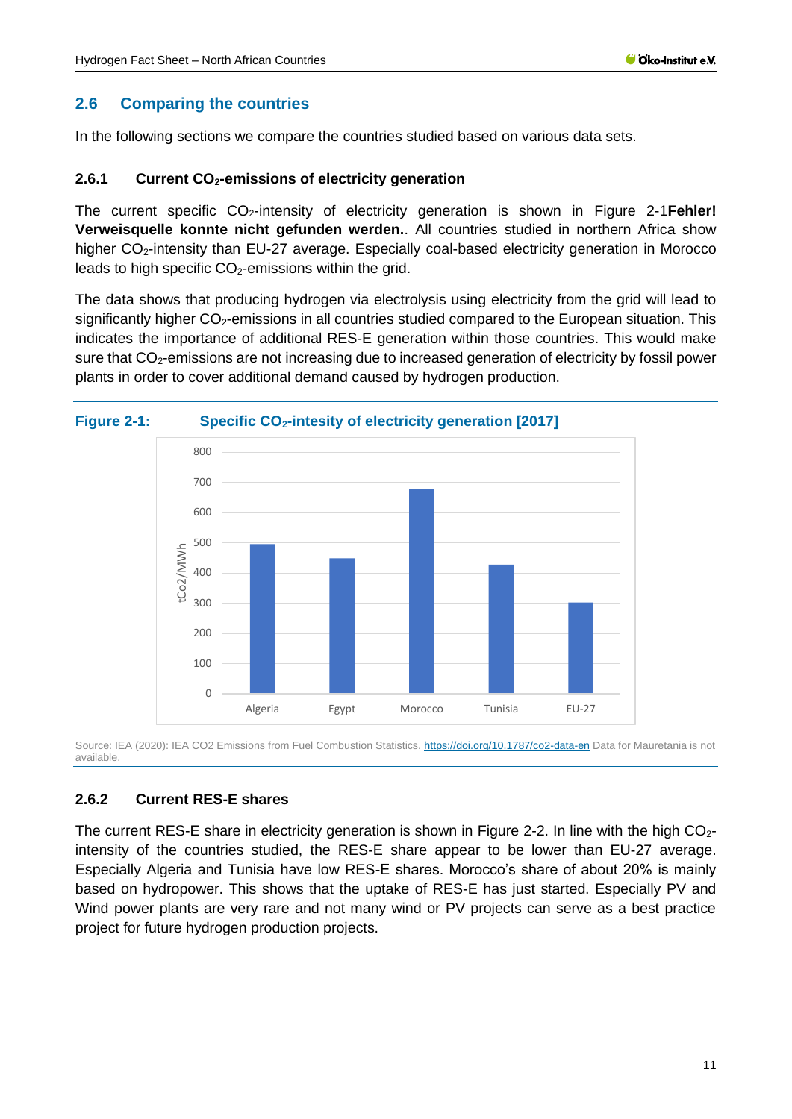### <span id="page-10-0"></span>**2.6 Comparing the countries**

In the following sections we compare the countries studied based on various data sets.

#### <span id="page-10-1"></span>**2.6.1 Current CO2-emissions of electricity generation**

The current specific CO2-intensity of electricity generation is shown in [Figure 2-1](#page-10-3)**Fehler! Verweisquelle konnte nicht gefunden werden.**. All countries studied in northern Africa show higher CO<sub>2</sub>-intensity than EU-27 average. Especially coal-based electricity generation in Morocco leads to high specific  $CO<sub>2</sub>$ -emissions within the grid.

The data shows that producing hydrogen via electrolysis using electricity from the grid will lead to significantly higher  $CO<sub>2</sub>$ -emissions in all countries studied compared to the European situation. This indicates the importance of additional RES-E generation within those countries. This would make sure that CO<sub>2</sub>-emissions are not increasing due to increased generation of electricity by fossil power plants in order to cover additional demand caused by hydrogen production.

<span id="page-10-3"></span>



Source: IEA (2020): IEA CO2 Emissions from Fuel Combustion Statistics.<https://doi.org/10.1787/co2-data-en> Data for Mauretania is not available.

### <span id="page-10-2"></span>**2.6.2 Current RES-E shares**

The current RES-E share in electricity generation is shown in [Figure 2-2.](#page-11-1) In line with the high  $CO<sub>2</sub>$ intensity of the countries studied, the RES-E share appear to be lower than EU-27 average. Especially Algeria and Tunisia have low RES-E shares. Morocco's share of about 20% is mainly based on hydropower. This shows that the uptake of RES-E has just started. Especially PV and Wind power plants are very rare and not many wind or PV projects can serve as a best practice project for future hydrogen production projects.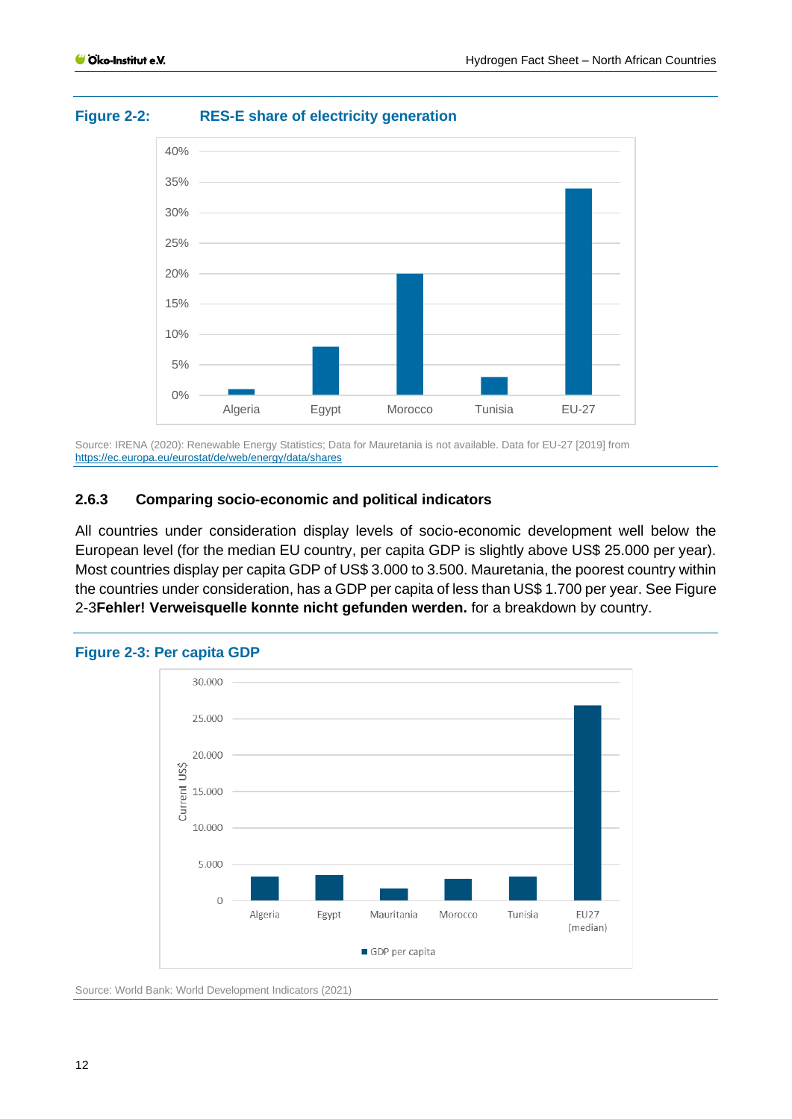<span id="page-11-1"></span>



Source: IRENA (2020): Renewable Energy Statistics; Data for Mauretania is not available. Data for EU-27 [2019] from <https://ec.europa.eu/eurostat/de/web/energy/data/shares>

### <span id="page-11-0"></span>**2.6.3 Comparing socio-economic and political indicators**

All countries under consideration display levels of socio-economic development well below the European level (for the median EU country, per capita GDP is slightly above US\$ 25.000 per year). Most countries display per capita GDP of US\$ 3.000 to 3.500. Mauretania, the poorest country within the countries under consideration, has a GDP per capita of less than US\$ 1.700 per year. Se[e Figure](#page-11-2)  [2-3](#page-11-2)**Fehler! Verweisquelle konnte nicht gefunden werden.** for a breakdown by country.



#### <span id="page-11-2"></span>**Figure 2-3: Per capita GDP**

Source: World Bank: World Development Indicators (2021)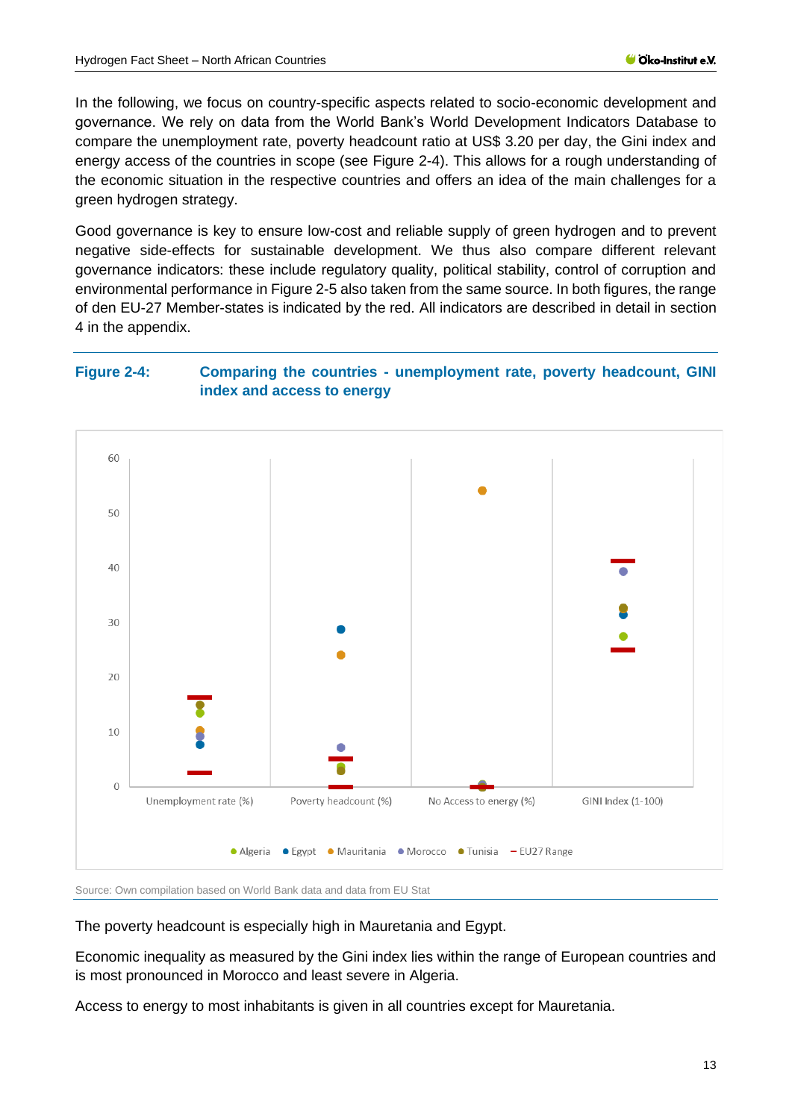In the following, we focus on country-specific aspects related to socio-economic development and governance. We rely on data from the World Bank's World Development Indicators Database to compare the unemployment rate, poverty headcount ratio at US\$ 3.20 per day, the Gini index and energy access of the countries in scope (see [Figure 2-4\)](#page-12-0). This allows for a rough understanding of the economic situation in the respective countries and offers an idea of the main challenges for a green hydrogen strategy.

Good governance is key to ensure low-cost and reliable supply of green hydrogen and to prevent negative side-effects for sustainable development. We thus also compare different relevant governance indicators: these include regulatory quality, political stability, control of corruption and environmental performance i[n Figure 2-5](#page-13-1) also taken from the same source. In both figures, the range of den EU-27 Member-states is indicated by the red. All indicators are described in detail in section [4](#page-38-0) in the appendix.

### <span id="page-12-0"></span>**Figure 2-4: Comparing the countries - unemployment rate, poverty headcount, GINI index and access to energy**



Source: Own compilation based on World Bank data and data from EU Stat

The poverty headcount is especially high in Mauretania and Egypt.

Economic inequality as measured by the Gini index lies within the range of European countries and is most pronounced in Morocco and least severe in Algeria.

Access to energy to most inhabitants is given in all countries except for Mauretania.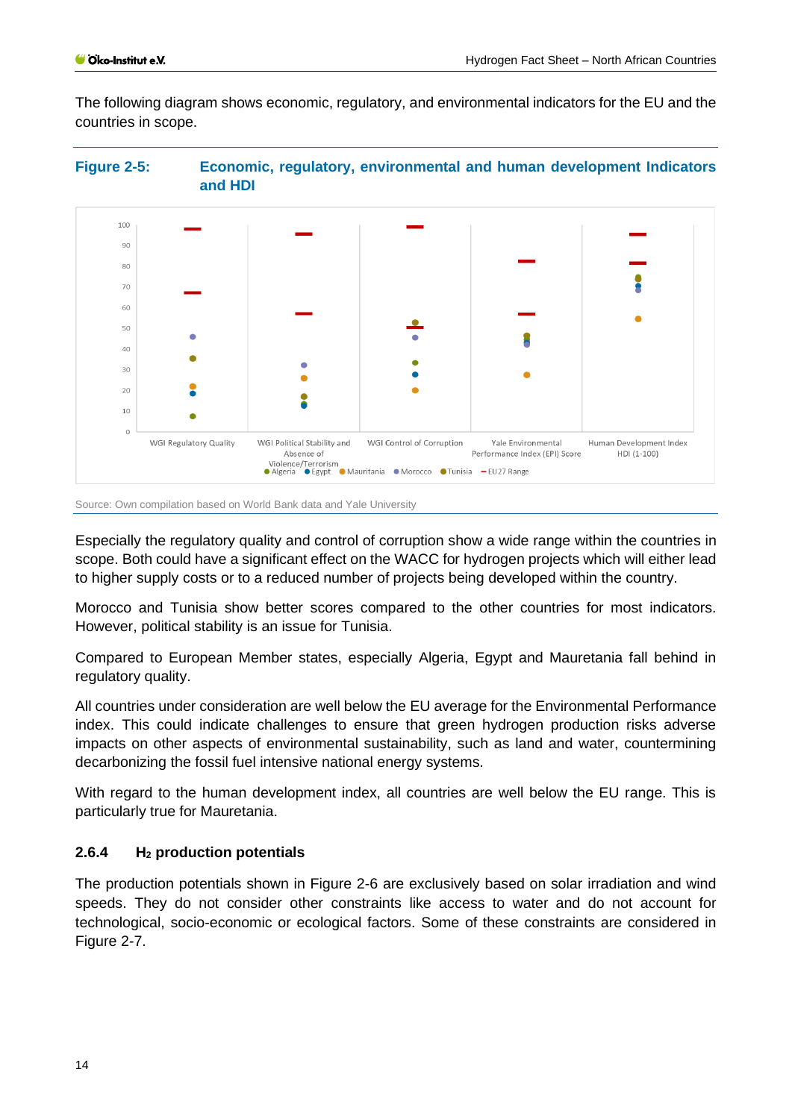The following diagram shows economic, regulatory, and environmental indicators for the EU and the countries in scope.

<span id="page-13-1"></span>



Source: Own compilation based on World Bank data and Yale University

Especially the regulatory quality and control of corruption show a wide range within the countries in scope. Both could have a significant effect on the WACC for hydrogen projects which will either lead to higher supply costs or to a reduced number of projects being developed within the country.

Morocco and Tunisia show better scores compared to the other countries for most indicators. However, political stability is an issue for Tunisia.

Compared to European Member states, especially Algeria, Egypt and Mauretania fall behind in regulatory quality.

All countries under consideration are well below the EU average for the Environmental Performance index. This could indicate challenges to ensure that green hydrogen production risks adverse impacts on other aspects of environmental sustainability, such as land and water, countermining decarbonizing the fossil fuel intensive national energy systems.

With regard to the human development index, all countries are well below the EU range. This is particularly true for Mauretania.

## <span id="page-13-0"></span>**2.6.4 H<sup>2</sup> production potentials**

The production potentials shown in [Figure 2-6](#page-14-0) are exclusively based on solar irradiation and wind speeds. They do not consider other constraints like access to water and do not account for technological, socio-economic or ecological factors. Some of these constraints are considered in [Figure 2-7.](#page-15-1)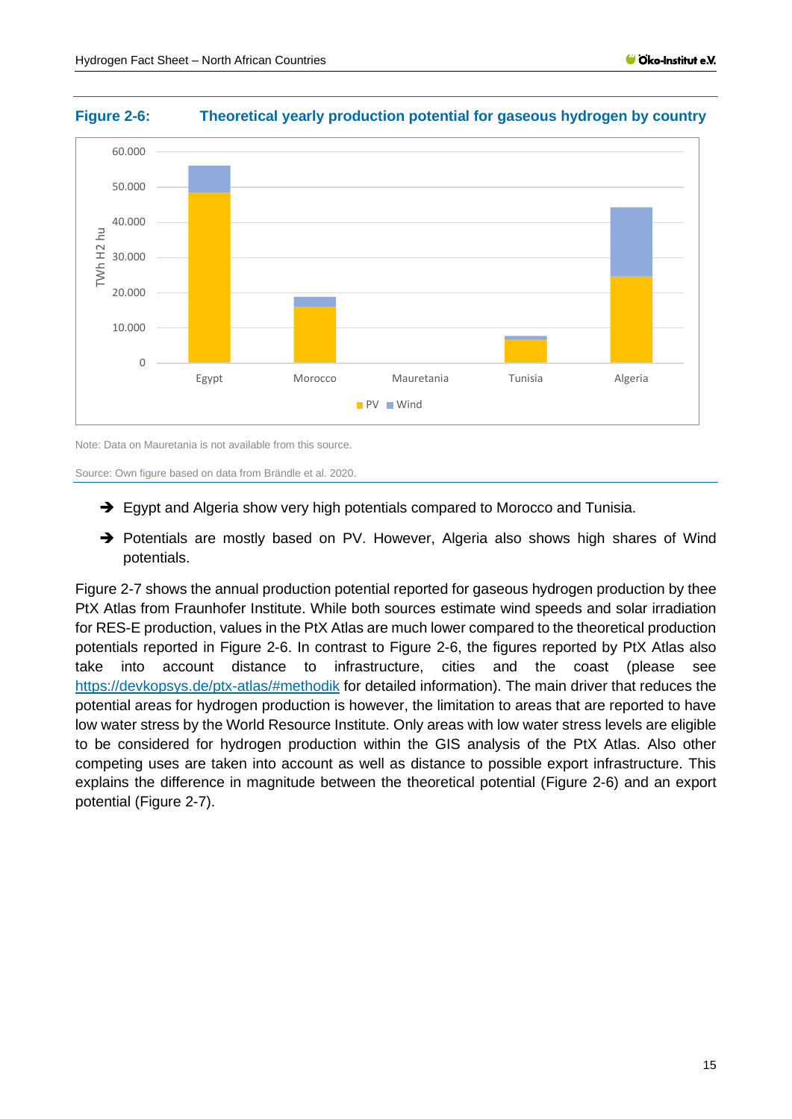

#### <span id="page-14-0"></span>**Figure 2-6: Theoretical yearly production potential for gaseous hydrogen by country**

Note: Data on Mauretania is not available from this source.

Source: Own figure based on data from Brändle et al. 2020.

- ➔ Egypt and Algeria show very high potentials compared to Morocco and Tunisia.
- ➔ Potentials are mostly based on PV. However, Algeria also shows high shares of Wind potentials.

[Figure 2-7](#page-15-1) shows the annual production potential reported for gaseous hydrogen production by thee PtX Atlas from Fraunhofer Institute. While both sources estimate wind speeds and solar irradiation for RES-E production, values in the PtX Atlas are much lower compared to the theoretical production potentials reported in [Figure 2-6.](#page-14-0) In contrast to [Figure 2-6,](#page-14-0) the figures reported by PtX Atlas also take into account distance to infrastructure, cities and the coast (please see <https://devkopsys.de/ptx-atlas/#methodik> for detailed information). The main driver that reduces the potential areas for hydrogen production is however, the limitation to areas that are reported to have low water stress by the World Resource Institute. Only areas with low water stress levels are eligible to be considered for hydrogen production within the GIS analysis of the PtX Atlas. Also other competing uses are taken into account as well as distance to possible export infrastructure. This explains the difference in magnitude between the theoretical potential [\(Figure 2-6\)](#page-14-0) and an export potential [\(Figure 2-7\)](#page-15-1).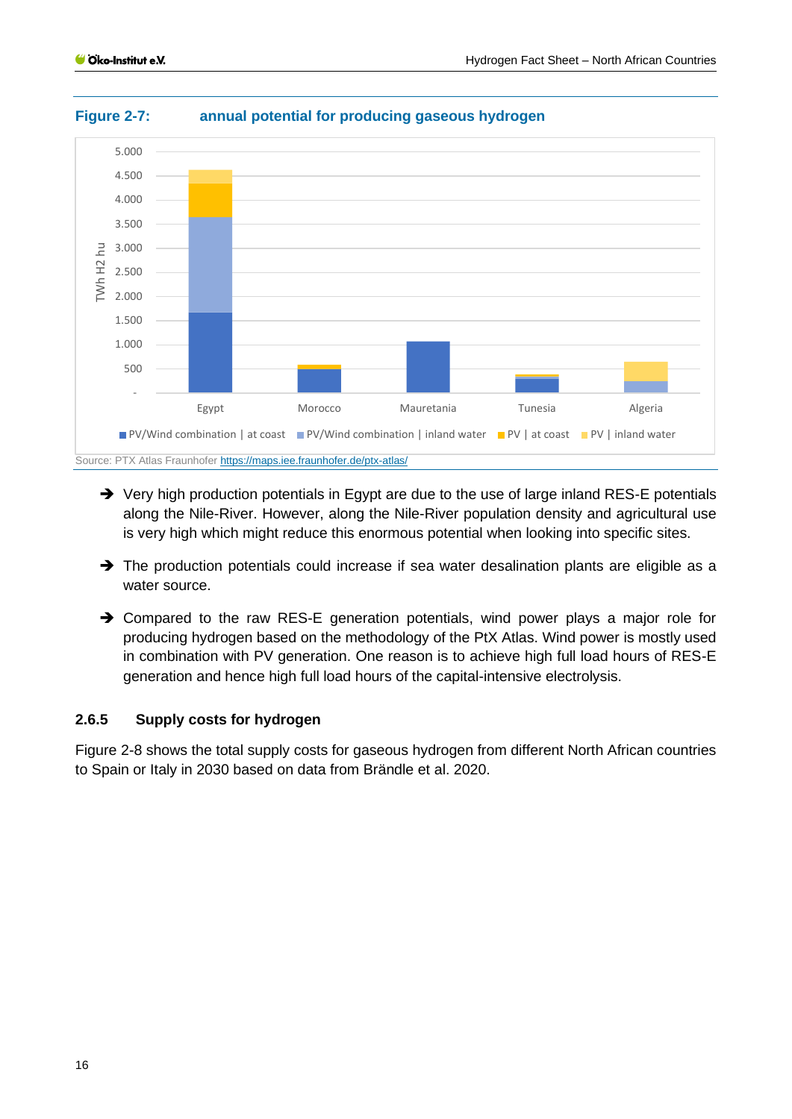

#### <span id="page-15-1"></span>**Figure 2-7: annual potential for producing gaseous hydrogen**

- ➔ Very high production potentials in Egypt are due to the use of large inland RES-E potentials along the Nile-River. However, along the Nile-River population density and agricultural use is very high which might reduce this enormous potential when looking into specific sites.
- → The production potentials could increase if sea water desalination plants are eligible as a water source.
- ➔ Compared to the raw RES-E generation potentials, wind power plays a major role for producing hydrogen based on the methodology of the PtX Atlas. Wind power is mostly used in combination with PV generation. One reason is to achieve high full load hours of RES-E generation and hence high full load hours of the capital-intensive electrolysis.

#### <span id="page-15-0"></span>**2.6.5 Supply costs for hydrogen**

[Figure 2-8](#page-16-0) shows the total supply costs for gaseous hydrogen from different North African countries to Spain or Italy in 2030 based on data from Brändle et al. 2020.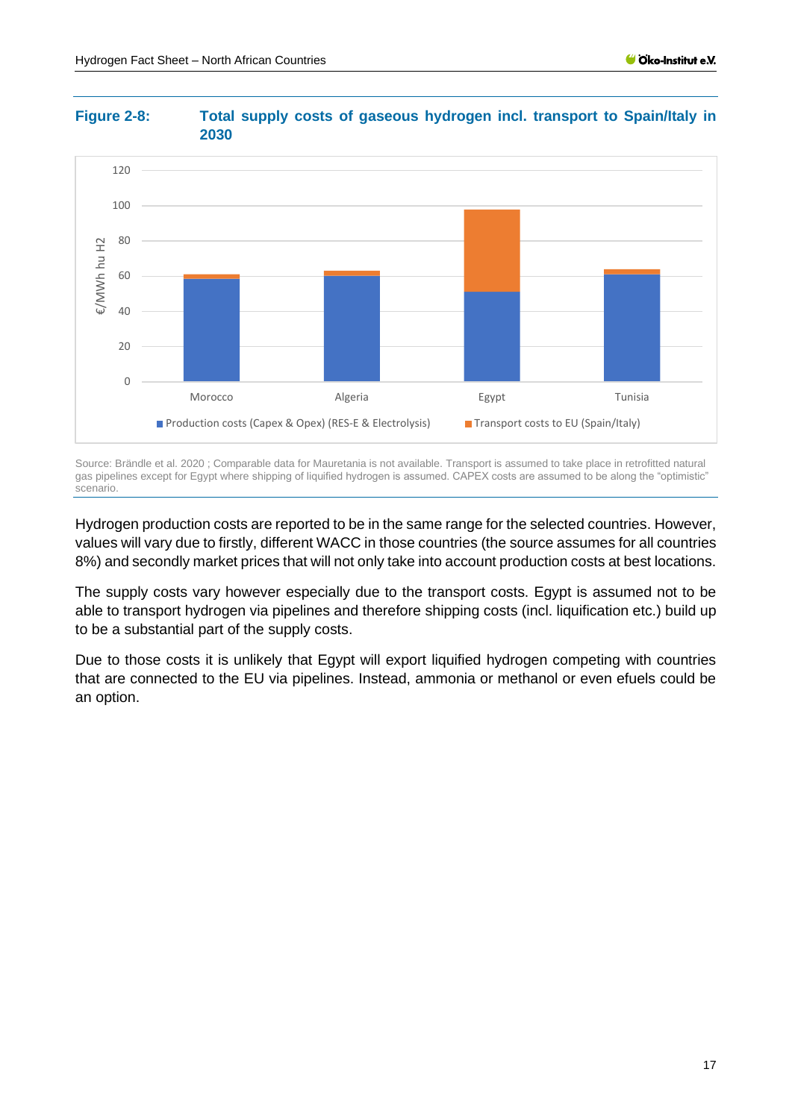

#### <span id="page-16-0"></span>**Figure 2-8: Total supply costs of gaseous hydrogen incl. transport to Spain/Italy in 2030**

Source: Brändle et al. 2020 ; Comparable data for Mauretania is not available. Transport is assumed to take place in retrofitted natural gas pipelines except for Egypt where shipping of liquified hydrogen is assumed. CAPEX costs are assumed to be along the "optimistic" scenario.

Hydrogen production costs are reported to be in the same range for the selected countries. However, values will vary due to firstly, different WACC in those countries (the source assumes for all countries 8%) and secondly market prices that will not only take into account production costs at best locations.

The supply costs vary however especially due to the transport costs. Egypt is assumed not to be able to transport hydrogen via pipelines and therefore shipping costs (incl. liquification etc.) build up to be a substantial part of the supply costs.

Due to those costs it is unlikely that Egypt will export liquified hydrogen competing with countries that are connected to the EU via pipelines. Instead, ammonia or methanol or even efuels could be an option.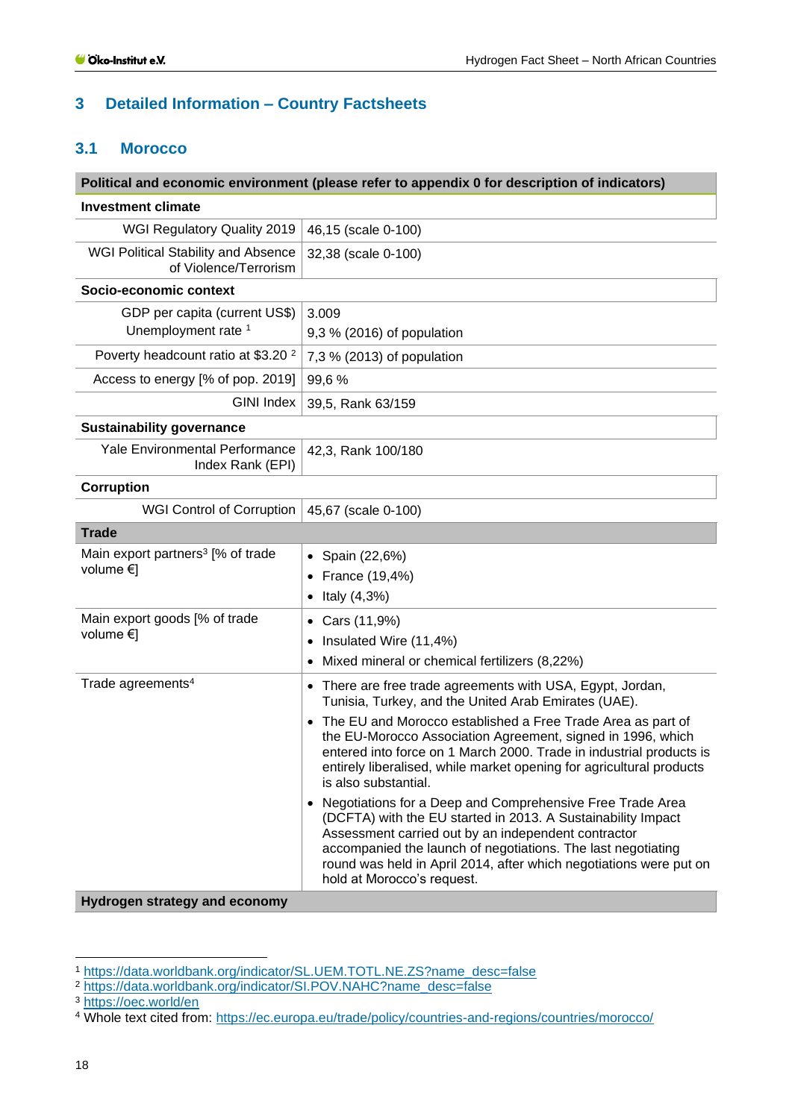## <span id="page-17-0"></span>**3 Detailed Information – Country Factsheets**

#### <span id="page-17-1"></span>**3.1 Morocco**

|                                                                     | Political and economic environment (please refer to appendix 0 for description of indicators)                                                                                                                                                                                                                                                                                                                                                                                                                                                                                                                                                                                                                                                                                     |
|---------------------------------------------------------------------|-----------------------------------------------------------------------------------------------------------------------------------------------------------------------------------------------------------------------------------------------------------------------------------------------------------------------------------------------------------------------------------------------------------------------------------------------------------------------------------------------------------------------------------------------------------------------------------------------------------------------------------------------------------------------------------------------------------------------------------------------------------------------------------|
| <b>Investment climate</b>                                           |                                                                                                                                                                                                                                                                                                                                                                                                                                                                                                                                                                                                                                                                                                                                                                                   |
| <b>WGI Regulatory Quality 2019</b>                                  | 46,15 (scale 0-100)                                                                                                                                                                                                                                                                                                                                                                                                                                                                                                                                                                                                                                                                                                                                                               |
| <b>WGI Political Stability and Absence</b><br>of Violence/Terrorism | 32,38 (scale 0-100)                                                                                                                                                                                                                                                                                                                                                                                                                                                                                                                                                                                                                                                                                                                                                               |
| Socio-economic context                                              |                                                                                                                                                                                                                                                                                                                                                                                                                                                                                                                                                                                                                                                                                                                                                                                   |
| GDP per capita (current US\$)<br>Unemployment rate <sup>1</sup>     | 3.009<br>9,3 % (2016) of population                                                                                                                                                                                                                                                                                                                                                                                                                                                                                                                                                                                                                                                                                                                                               |
| Poverty headcount ratio at \$3.20 <sup>2</sup>                      | 7,3 % (2013) of population                                                                                                                                                                                                                                                                                                                                                                                                                                                                                                                                                                                                                                                                                                                                                        |
| Access to energy [% of pop. 2019]                                   | 99,6%                                                                                                                                                                                                                                                                                                                                                                                                                                                                                                                                                                                                                                                                                                                                                                             |
| <b>GINI Index</b>                                                   | 39,5, Rank 63/159                                                                                                                                                                                                                                                                                                                                                                                                                                                                                                                                                                                                                                                                                                                                                                 |
| <b>Sustainability governance</b>                                    |                                                                                                                                                                                                                                                                                                                                                                                                                                                                                                                                                                                                                                                                                                                                                                                   |
| Yale Environmental Performance<br>Index Rank (EPI)                  | 42,3, Rank 100/180                                                                                                                                                                                                                                                                                                                                                                                                                                                                                                                                                                                                                                                                                                                                                                |
| Corruption                                                          |                                                                                                                                                                                                                                                                                                                                                                                                                                                                                                                                                                                                                                                                                                                                                                                   |
| <b>WGI Control of Corruption</b>                                    | 45,67 (scale 0-100)                                                                                                                                                                                                                                                                                                                                                                                                                                                                                                                                                                                                                                                                                                                                                               |
| <b>Trade</b>                                                        |                                                                                                                                                                                                                                                                                                                                                                                                                                                                                                                                                                                                                                                                                                                                                                                   |
| Main export partners <sup>3</sup> [% of trade<br>volume €]          | Spain (22,6%)<br>$\bullet$<br>France (19,4%)<br>Italy (4,3%)<br>$\bullet$                                                                                                                                                                                                                                                                                                                                                                                                                                                                                                                                                                                                                                                                                                         |
| Main export goods [% of trade<br>volume $\in$ ]                     | Cars (11,9%)<br>$\bullet$<br>Insulated Wire (11,4%)<br>$\bullet$<br>Mixed mineral or chemical fertilizers (8,22%)                                                                                                                                                                                                                                                                                                                                                                                                                                                                                                                                                                                                                                                                 |
| Trade agreements <sup>4</sup>                                       | • There are free trade agreements with USA, Egypt, Jordan,<br>Tunisia, Turkey, and the United Arab Emirates (UAE).<br>• The EU and Morocco established a Free Trade Area as part of<br>the EU-Morocco Association Agreement, signed in 1996, which<br>entered into force on 1 March 2000. Trade in industrial products is<br>entirely liberalised, while market opening for agricultural products<br>is also substantial.<br>Negotiations for a Deep and Comprehensive Free Trade Area<br>(DCFTA) with the EU started in 2013. A Sustainability Impact<br>Assessment carried out by an independent contractor<br>accompanied the launch of negotiations. The last negotiating<br>round was held in April 2014, after which negotiations were put on<br>hold at Morocco's request. |
| <b>Hydrogen strategy and economy</b>                                |                                                                                                                                                                                                                                                                                                                                                                                                                                                                                                                                                                                                                                                                                                                                                                                   |

<sup>1</sup> [https://data.worldbank.org/indicator/SL.UEM.TOTL.NE.ZS?name\\_desc=false](https://data.worldbank.org/indicator/SL.UEM.TOTL.NE.ZS?name_desc=false)

<sup>2</sup> [https://data.worldbank.org/indicator/SI.POV.NAHC?name\\_desc=false](https://data.worldbank.org/indicator/SI.POV.NAHC?name_desc=false)

<sup>3</sup> <https://oec.world/en>

<sup>4</sup> Whole text cited from: <https://ec.europa.eu/trade/policy/countries-and-regions/countries/morocco/>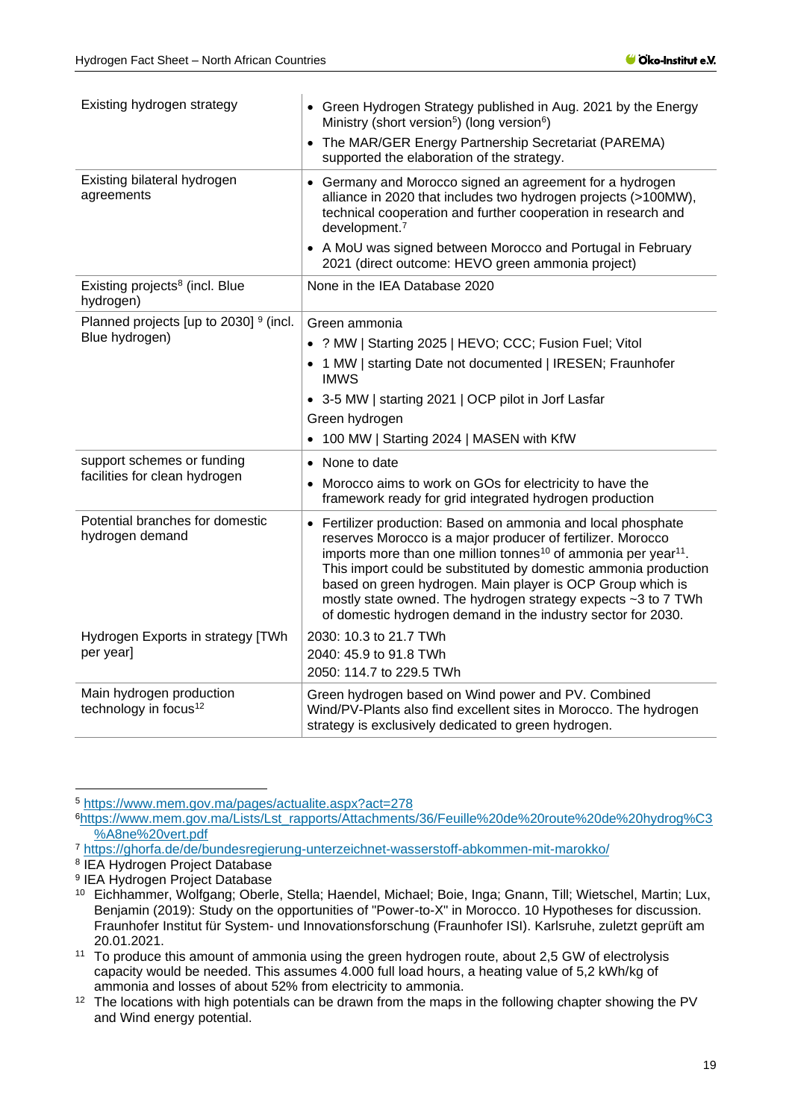| Existing hydrogen strategy                                    | • Green Hydrogen Strategy published in Aug. 2021 by the Energy<br>Ministry (short version <sup>5</sup> ) (long version <sup>6</sup> )                                                                                                                                                                                                                                                                                                                                                    |  |  |
|---------------------------------------------------------------|------------------------------------------------------------------------------------------------------------------------------------------------------------------------------------------------------------------------------------------------------------------------------------------------------------------------------------------------------------------------------------------------------------------------------------------------------------------------------------------|--|--|
|                                                               | The MAR/GER Energy Partnership Secretariat (PAREMA)<br>$\bullet$<br>supported the elaboration of the strategy.                                                                                                                                                                                                                                                                                                                                                                           |  |  |
| Existing bilateral hydrogen<br>agreements                     | • Germany and Morocco signed an agreement for a hydrogen<br>alliance in 2020 that includes two hydrogen projects (>100MW),<br>technical cooperation and further cooperation in research and<br>development. <sup>7</sup>                                                                                                                                                                                                                                                                 |  |  |
|                                                               | • A MoU was signed between Morocco and Portugal in February<br>2021 (direct outcome: HEVO green ammonia project)                                                                                                                                                                                                                                                                                                                                                                         |  |  |
| Existing projects <sup>8</sup> (incl. Blue<br>hydrogen)       | None in the IEA Database 2020                                                                                                                                                                                                                                                                                                                                                                                                                                                            |  |  |
| Planned projects [up to 2030] 9 (incl.                        | Green ammonia                                                                                                                                                                                                                                                                                                                                                                                                                                                                            |  |  |
| Blue hydrogen)                                                | • ? MW   Starting 2025   HEVO; CCC; Fusion Fuel; Vitol                                                                                                                                                                                                                                                                                                                                                                                                                                   |  |  |
|                                                               | 1 MW   starting Date not documented   IRESEN; Fraunhofer<br><b>IMWS</b>                                                                                                                                                                                                                                                                                                                                                                                                                  |  |  |
|                                                               | • 3-5 MW   starting 2021   OCP pilot in Jorf Lasfar                                                                                                                                                                                                                                                                                                                                                                                                                                      |  |  |
|                                                               | Green hydrogen                                                                                                                                                                                                                                                                                                                                                                                                                                                                           |  |  |
|                                                               | 100 MW   Starting 2024   MASEN with KfW                                                                                                                                                                                                                                                                                                                                                                                                                                                  |  |  |
| support schemes or funding                                    | • None to date                                                                                                                                                                                                                                                                                                                                                                                                                                                                           |  |  |
| facilities for clean hydrogen                                 | Morocco aims to work on GOs for electricity to have the<br>framework ready for grid integrated hydrogen production                                                                                                                                                                                                                                                                                                                                                                       |  |  |
| Potential branches for domestic<br>hydrogen demand            | • Fertilizer production: Based on ammonia and local phosphate<br>reserves Morocco is a major producer of fertilizer. Morocco<br>imports more than one million tonnes <sup>10</sup> of ammonia per year <sup>11</sup> .<br>This import could be substituted by domestic ammonia production<br>based on green hydrogen. Main player is OCP Group which is<br>mostly state owned. The hydrogen strategy expects ~3 to 7 TWh<br>of domestic hydrogen demand in the industry sector for 2030. |  |  |
| Hydrogen Exports in strategy [TWh<br>per year]                | 2030: 10.3 to 21.7 TWh<br>2040: 45.9 to 91.8 TWh                                                                                                                                                                                                                                                                                                                                                                                                                                         |  |  |
|                                                               | 2050: 114.7 to 229.5 TWh                                                                                                                                                                                                                                                                                                                                                                                                                                                                 |  |  |
| Main hydrogen production<br>technology in focus <sup>12</sup> | Green hydrogen based on Wind power and PV. Combined<br>Wind/PV-Plants also find excellent sites in Morocco. The hydrogen<br>strategy is exclusively dedicated to green hydrogen.                                                                                                                                                                                                                                                                                                         |  |  |

<sup>5</sup> <https://www.mem.gov.ma/pages/actualite.aspx?act=278>

<sup>6</sup>[https://www.mem.gov.ma/Lists/Lst\\_rapports/Attachments/36/Feuille%20de%20route%20de%20hydrog%C3](https://www.mem.gov.ma/Lists/Lst_rapports/Attachments/36/Feuille%20de%20route%20de%20hydrog%C3%A8ne%20vert.pdf) [%A8ne%20vert.pdf](https://www.mem.gov.ma/Lists/Lst_rapports/Attachments/36/Feuille%20de%20route%20de%20hydrog%C3%A8ne%20vert.pdf)

<sup>7</sup> <https://ghorfa.de/de/bundesregierung-unterzeichnet-wasserstoff-abkommen-mit-marokko/>

<sup>8</sup> IEA Hydrogen Project Database

<sup>9</sup> IEA Hydrogen Project Database

<sup>10</sup> Eichhammer, Wolfgang; Oberle, Stella; Haendel, Michael; Boie, Inga; Gnann, Till; Wietschel, Martin; Lux, Benjamin (2019): Study on the opportunities of "Power-to-X" in Morocco. 10 Hypotheses for discussion. Fraunhofer Institut für System- und Innovationsforschung (Fraunhofer ISI). Karlsruhe, zuletzt geprüft am 20.01.2021.

<sup>&</sup>lt;sup>11</sup> To produce this amount of ammonia using the green hydrogen route, about 2,5 GW of electrolysis capacity would be needed. This assumes 4.000 full load hours, a heating value of 5,2 kWh/kg of ammonia and losses of about 52% from electricity to ammonia.

<sup>&</sup>lt;sup>12</sup> The locations with high potentials can be drawn from the maps in the following chapter showing the PV and Wind energy potential.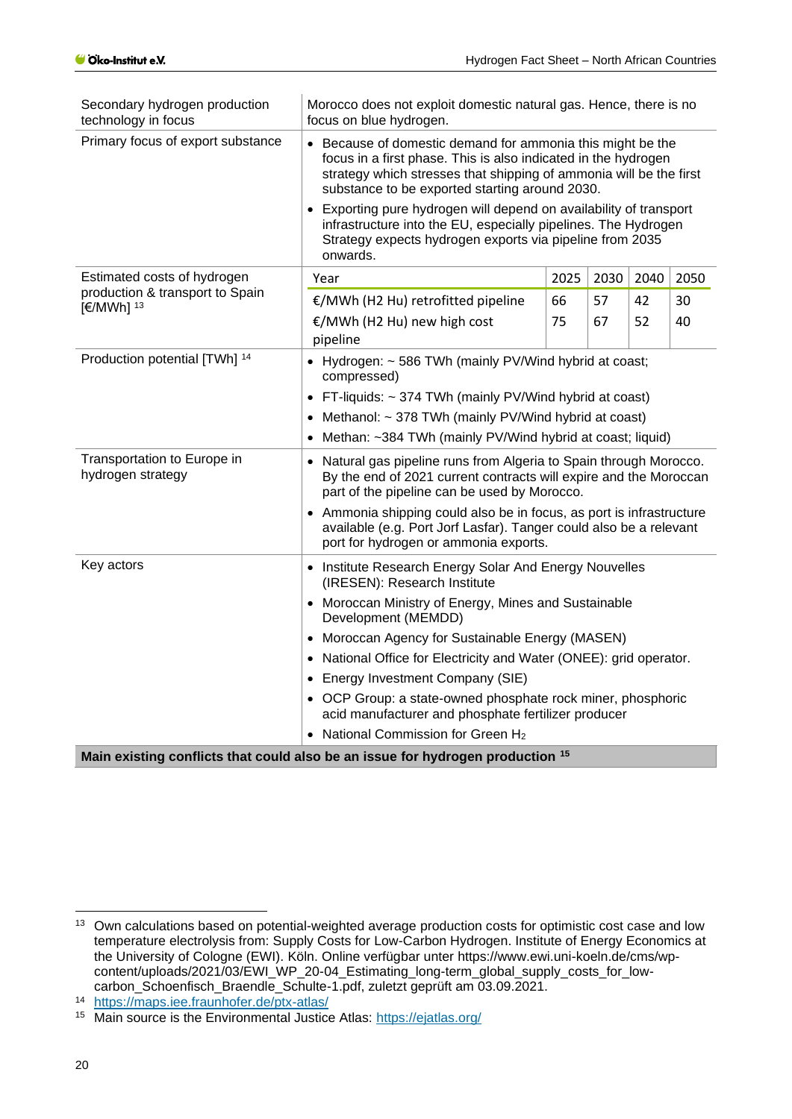| Secondary hydrogen production<br>technology in focus     | Morocco does not exploit domestic natural gas. Hence, there is no<br>focus on blue hydrogen.                                                                                                                                                                                                                                                                                                                                                                         |      |      |      |      |
|----------------------------------------------------------|----------------------------------------------------------------------------------------------------------------------------------------------------------------------------------------------------------------------------------------------------------------------------------------------------------------------------------------------------------------------------------------------------------------------------------------------------------------------|------|------|------|------|
| Primary focus of export substance                        | • Because of domestic demand for ammonia this might be the<br>focus in a first phase. This is also indicated in the hydrogen<br>strategy which stresses that shipping of ammonia will be the first<br>substance to be exported starting around 2030.<br>• Exporting pure hydrogen will depend on availability of transport<br>infrastructure into the EU, especially pipelines. The Hydrogen<br>Strategy expects hydrogen exports via pipeline from 2035<br>onwards. |      |      |      |      |
|                                                          |                                                                                                                                                                                                                                                                                                                                                                                                                                                                      |      |      |      |      |
| Estimated costs of hydrogen                              | Year                                                                                                                                                                                                                                                                                                                                                                                                                                                                 | 2025 | 2030 | 2040 | 2050 |
| production & transport to Spain<br>[€/MWh] <sup>13</sup> | €/MWh (H2 Hu) retrofitted pipeline                                                                                                                                                                                                                                                                                                                                                                                                                                   | 66   | 57   | 42   | 30   |
|                                                          | €/MWh (H2 Hu) new high cost<br>pipeline                                                                                                                                                                                                                                                                                                                                                                                                                              | 75   | 67   | 52   | 40   |
| Production potential [TWh] 14                            | • Hydrogen: ~ 586 TWh (mainly PV/Wind hybrid at coast;<br>compressed)                                                                                                                                                                                                                                                                                                                                                                                                |      |      |      |      |
|                                                          | FT-liquids: ~ 374 TWh (mainly PV/Wind hybrid at coast)                                                                                                                                                                                                                                                                                                                                                                                                               |      |      |      |      |
|                                                          | Methanol: ~ 378 TWh (mainly PV/Wind hybrid at coast)                                                                                                                                                                                                                                                                                                                                                                                                                 |      |      |      |      |
|                                                          | Methan: ~384 TWh (mainly PV/Wind hybrid at coast; liquid)                                                                                                                                                                                                                                                                                                                                                                                                            |      |      |      |      |
| Transportation to Europe in<br>hydrogen strategy         | • Natural gas pipeline runs from Algeria to Spain through Morocco.<br>By the end of 2021 current contracts will expire and the Moroccan<br>part of the pipeline can be used by Morocco.                                                                                                                                                                                                                                                                              |      |      |      |      |
|                                                          | • Ammonia shipping could also be in focus, as port is infrastructure<br>available (e.g. Port Jorf Lasfar). Tanger could also be a relevant<br>port for hydrogen or ammonia exports.                                                                                                                                                                                                                                                                                  |      |      |      |      |
| Key actors                                               | • Institute Research Energy Solar And Energy Nouvelles<br>(IRESEN): Research Institute                                                                                                                                                                                                                                                                                                                                                                               |      |      |      |      |
|                                                          | • Moroccan Ministry of Energy, Mines and Sustainable<br>Development (MEMDD)                                                                                                                                                                                                                                                                                                                                                                                          |      |      |      |      |
|                                                          | • Moroccan Agency for Sustainable Energy (MASEN)                                                                                                                                                                                                                                                                                                                                                                                                                     |      |      |      |      |
|                                                          | • National Office for Electricity and Water (ONEE): grid operator.                                                                                                                                                                                                                                                                                                                                                                                                   |      |      |      |      |
|                                                          | Energy Investment Company (SIE)                                                                                                                                                                                                                                                                                                                                                                                                                                      |      |      |      |      |
|                                                          | • OCP Group: a state-owned phosphate rock miner, phosphoric<br>acid manufacturer and phosphate fertilizer producer                                                                                                                                                                                                                                                                                                                                                   |      |      |      |      |
|                                                          | • National Commission for Green H <sub>2</sub>                                                                                                                                                                                                                                                                                                                                                                                                                       |      |      |      |      |
|                                                          | Main oxiating conflicts that could also be an issue for budrogan production $15$                                                                                                                                                                                                                                                                                                                                                                                     |      |      |      |      |

**Main existing conflicts that could also be an issue for hydrogen production <sup>15</sup>**

<sup>&</sup>lt;sup>13</sup> Own calculations based on potential-weighted average production costs for optimistic cost case and low temperature electrolysis from: Supply Costs for Low-Carbon Hydrogen. Institute of Energy Economics at the University of Cologne (EWI). Köln. Online verfügbar unter https://www.ewi.uni-koeln.de/cms/wpcontent/uploads/2021/03/EWI\_WP\_20-04\_Estimating\_long-term\_global\_supply\_costs\_for\_lowcarbon\_Schoenfisch\_Braendle\_Schulte-1.pdf, zuletzt geprüft am 03.09.2021.

<sup>14</sup> <https://maps.iee.fraunhofer.de/ptx-atlas/>

<sup>15</sup> Main source is the Environmental Justice Atlas:<https://ejatlas.org/>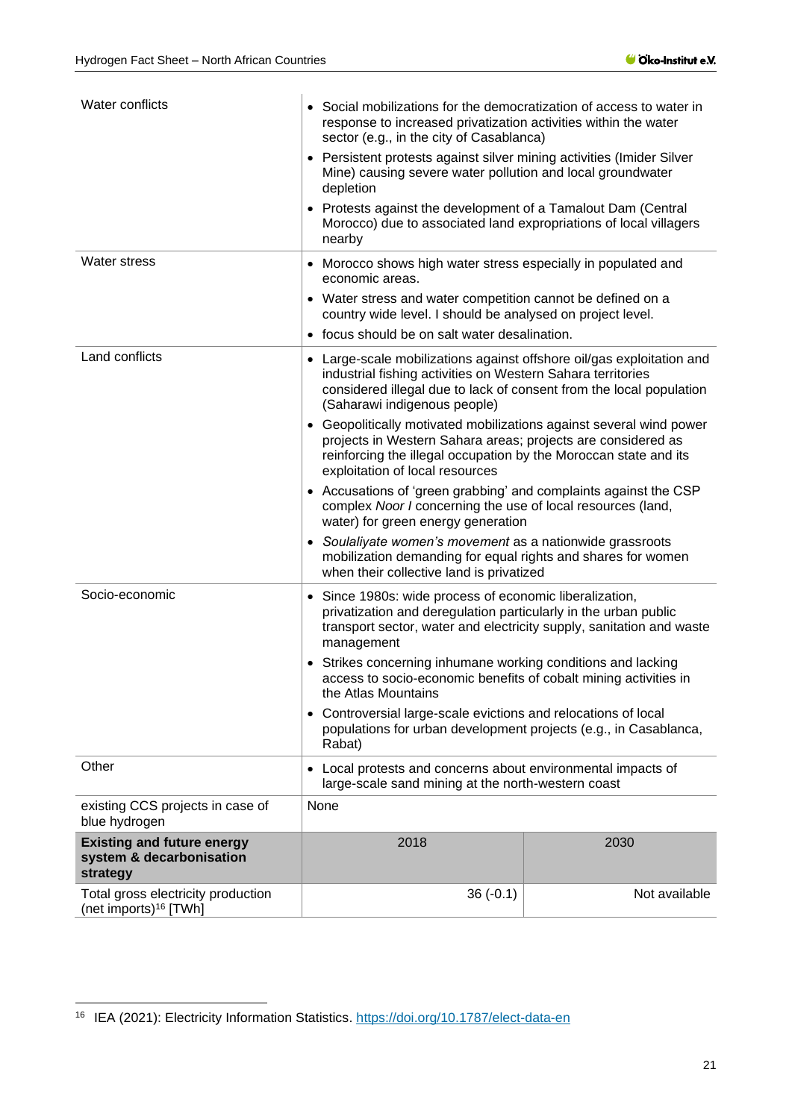| Water conflicts                                                           | • Social mobilizations for the democratization of access to water in<br>response to increased privatization activities within the water<br>sector (e.g., in the city of Casablanca)                                                         |               |  |
|---------------------------------------------------------------------------|---------------------------------------------------------------------------------------------------------------------------------------------------------------------------------------------------------------------------------------------|---------------|--|
|                                                                           | • Persistent protests against silver mining activities (Imider Silver<br>Mine) causing severe water pollution and local groundwater<br>depletion                                                                                            |               |  |
|                                                                           | • Protests against the development of a Tamalout Dam (Central<br>Morocco) due to associated land expropriations of local villagers<br>nearby                                                                                                |               |  |
| <b>Water stress</b>                                                       | • Morocco shows high water stress especially in populated and<br>economic areas.                                                                                                                                                            |               |  |
|                                                                           | • Water stress and water competition cannot be defined on a<br>country wide level. I should be analysed on project level.                                                                                                                   |               |  |
|                                                                           | • focus should be on salt water desalination.                                                                                                                                                                                               |               |  |
| Land conflicts                                                            | • Large-scale mobilizations against offshore oil/gas exploitation and<br>industrial fishing activities on Western Sahara territories<br>considered illegal due to lack of consent from the local population<br>(Saharawi indigenous people) |               |  |
|                                                                           | • Geopolitically motivated mobilizations against several wind power<br>projects in Western Sahara areas; projects are considered as<br>reinforcing the illegal occupation by the Moroccan state and its<br>exploitation of local resources  |               |  |
|                                                                           | • Accusations of 'green grabbing' and complaints against the CSP<br>complex Noor I concerning the use of local resources (land,<br>water) for green energy generation                                                                       |               |  |
|                                                                           | • Soulaliyate women's movement as a nationwide grassroots<br>mobilization demanding for equal rights and shares for women<br>when their collective land is privatized                                                                       |               |  |
| Socio-economic                                                            | • Since 1980s: wide process of economic liberalization,<br>privatization and deregulation particularly in the urban public<br>transport sector, water and electricity supply, sanitation and waste<br>management                            |               |  |
|                                                                           | • Strikes concerning inhumane working conditions and lacking<br>access to socio-economic benefits of cobalt mining activities in<br>the Atlas Mountains                                                                                     |               |  |
|                                                                           | • Controversial large-scale evictions and relocations of local<br>populations for urban development projects (e.g., in Casablanca,<br>Rabat)                                                                                                |               |  |
| Other                                                                     | • Local protests and concerns about environmental impacts of<br>large-scale sand mining at the north-western coast                                                                                                                          |               |  |
| existing CCS projects in case of<br>blue hydrogen                         | None                                                                                                                                                                                                                                        |               |  |
| <b>Existing and future energy</b><br>system & decarbonisation<br>strategy | 2018                                                                                                                                                                                                                                        | 2030          |  |
| Total gross electricity production<br>(net imports) <sup>16</sup> [TWh]   | $36(-0.1)$                                                                                                                                                                                                                                  | Not available |  |

<sup>16</sup> IEA (2021): Electricity Information Statistics.<https://doi.org/10.1787/elect-data-en>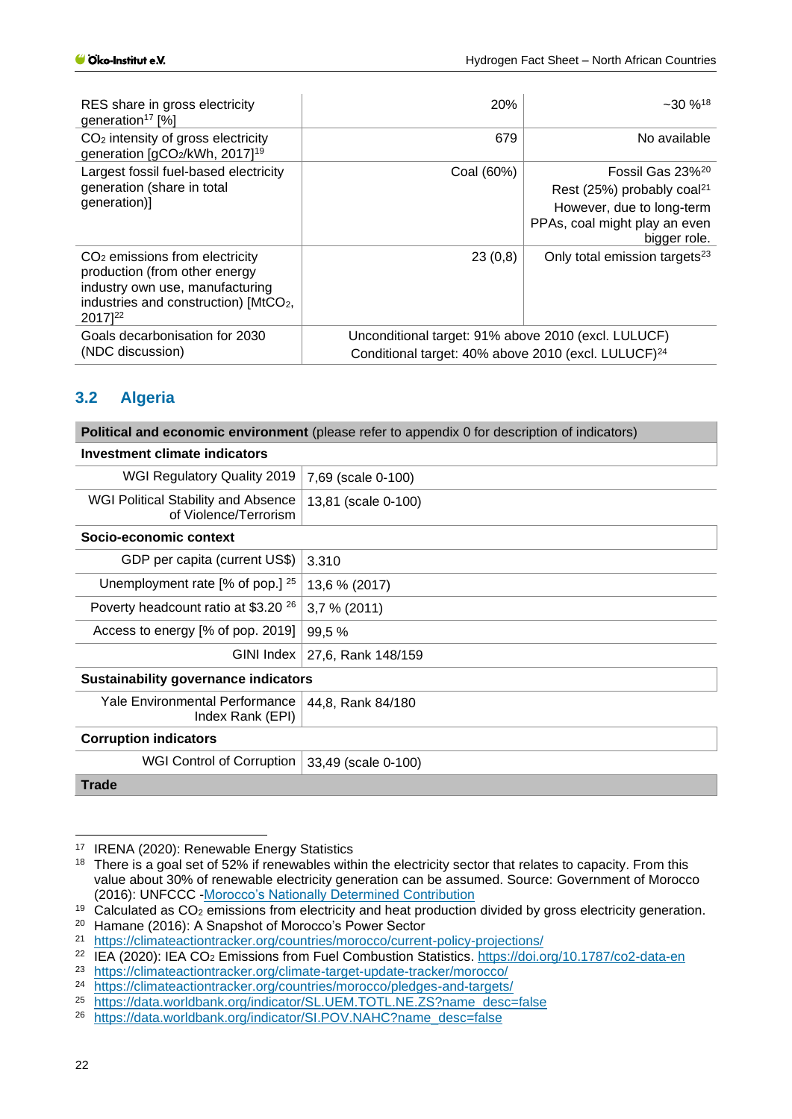| RES share in gross electricity<br>generation <sup>17</sup> [%]                                                                                                                   | 20%                                                                                                                    | $-30\%$ <sup>18</sup>                                                                                                                                |  |
|----------------------------------------------------------------------------------------------------------------------------------------------------------------------------------|------------------------------------------------------------------------------------------------------------------------|------------------------------------------------------------------------------------------------------------------------------------------------------|--|
| CO <sub>2</sub> intensity of gross electricity<br>generation [gCO2/kWh, 2017] <sup>19</sup>                                                                                      | 679                                                                                                                    | No available                                                                                                                                         |  |
| Largest fossil fuel-based electricity<br>generation (share in total<br>generation)]                                                                                              | Coal (60%)                                                                                                             | Fossil Gas 23% <sup>20</sup><br>Rest (25%) probably coal <sup>21</sup><br>However, due to long-term<br>PPAs, coal might play an even<br>bigger role. |  |
| $CO2$ emissions from electricity<br>production (from other energy<br>industry own use, manufacturing<br>industries and construction) [MtCO <sub>2</sub> ,<br>2017] <sup>22</sup> | 23(0,8)                                                                                                                | Only total emission targets <sup>23</sup>                                                                                                            |  |
| Goals decarbonisation for 2030<br>(NDC discussion)                                                                                                                               | Unconditional target: 91% above 2010 (excl. LULUCF)<br>Conditional target: 40% above 2010 (excl. LULUCF) <sup>24</sup> |                                                                                                                                                      |  |

## <span id="page-21-0"></span>**3.2 Algeria**

|                                                                     | <b>Political and economic environment</b> (please refer to appendix 0 for description of indicators) |  |
|---------------------------------------------------------------------|------------------------------------------------------------------------------------------------------|--|
| Investment climate indicators                                       |                                                                                                      |  |
| WGI Regulatory Quality 2019                                         | 7,69 (scale 0-100)                                                                                   |  |
| <b>WGI Political Stability and Absence</b><br>of Violence/Terrorism | 13,81 (scale 0-100)                                                                                  |  |
| Socio-economic context                                              |                                                                                                      |  |
| GDP per capita (current US\$)                                       | 3.310                                                                                                |  |
| Unemployment rate $[%$ of pop.] $25$                                | 13,6 % (2017)                                                                                        |  |
| Poverty headcount ratio at \$3.20 <sup>26</sup>                     | 3,7% (2011)                                                                                          |  |
| Access to energy [% of pop. 2019]                                   | 99,5 %                                                                                               |  |
| GINI Index                                                          | 27,6, Rank 148/159                                                                                   |  |
| <b>Sustainability governance indicators</b>                         |                                                                                                      |  |
| Yale Environmental Performance<br>Index Rank (EPI)                  | 44,8, Rank 84/180                                                                                    |  |
| <b>Corruption indicators</b>                                        |                                                                                                      |  |
| WGI Control of Corruption                                           | 33,49 (scale 0-100)                                                                                  |  |
| <b>Trade</b>                                                        |                                                                                                      |  |

<sup>17</sup> IRENA (2020): Renewable Energy Statistics

<sup>&</sup>lt;sup>18</sup> There is a goal set of 52% if renewables within the electricity sector that relates to capacity. From this value about 30% of renewable electricity generation can be assumed. Source: Government of Morocco (2016): UNFCCC [-Morocco's Nationally Determined Contribution](https://www4.unfccc.int/sites/ndcstaging/PublishedDocuments/Morocco%20First/Morocco%20First%20NDC-English.pdf) 

<sup>&</sup>lt;sup>19</sup> Calculated as CO<sub>2</sub> emissions from electricity and heat production divided by gross electricity generation.

<sup>&</sup>lt;sup>20</sup> Hamane (2016): A Snapshot of Morocco's Power Sector<br><sup>21</sup> https://climateactiontracker.org/countries/morocco/curren

<sup>&</sup>lt;sup>21</sup> <https://climateactiontracker.org/countries/morocco/current-policy-projections/><br><sup>22</sup> IEA (2020): IEA CO<sub>2</sub> Emissions from Fuel Combustion Statistics, https://doi.org

<sup>&</sup>lt;sup>22</sup> IEA (2020): IEA CO<sub>2</sub> Emissions from Fuel Combustion Statistics.<https://doi.org/10.1787/co2-data-en><br><sup>23</sup> https://climateactiontracker.org/climate-target-undate-tracker/morocco/

<sup>&</sup>lt;sup>23</sup> <https://climateactiontracker.org/climate-target-update-tracker/morocco/><br><sup>24</sup> https://climateactiontracker.org/countries/morocco/pledges-and-targets/

<sup>&</sup>lt;sup>24</sup> <https://climateactiontracker.org/countries/morocco/pledges-and-targets/><br><sup>25</sup> https://data.worldbank.org/indicator/SL LIEM TOTL NE ZS2pame.desc-

<sup>&</sup>lt;sup>25</sup> [https://data.worldbank.org/indicator/SL.UEM.TOTL.NE.ZS?name\\_desc=false](https://data.worldbank.org/indicator/SL.UEM.TOTL.NE.ZS?name_desc=false)

[https://data.worldbank.org/indicator/SI.POV.NAHC?name\\_desc=false](https://data.worldbank.org/indicator/SI.POV.NAHC?name_desc=false)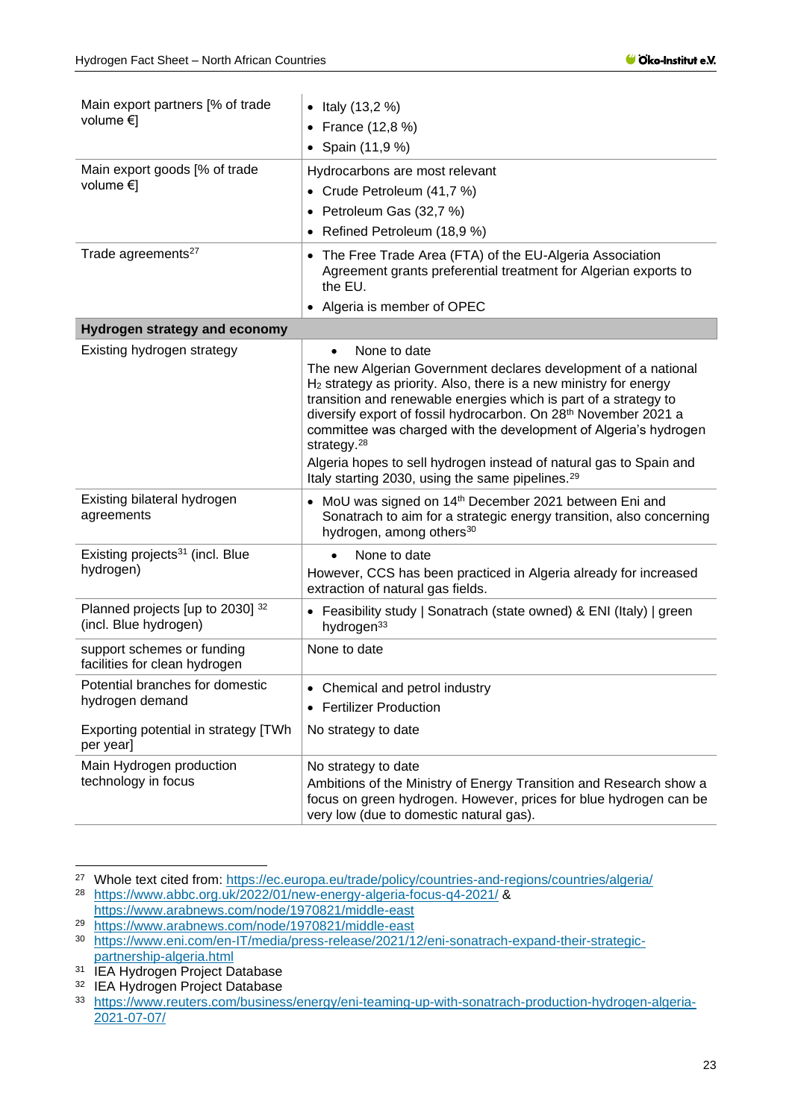| Main export partners [% of trade<br>volume €]                                              | • Italy $(13, 2%)$<br>France (12,8 %)<br>• Spain $(11, 9\%)$                                                                                                                                                                                                                                                                                                                                                                                                                                                                                |
|--------------------------------------------------------------------------------------------|---------------------------------------------------------------------------------------------------------------------------------------------------------------------------------------------------------------------------------------------------------------------------------------------------------------------------------------------------------------------------------------------------------------------------------------------------------------------------------------------------------------------------------------------|
| Main export goods [% of trade<br>volume $\in$                                              | Hydrocarbons are most relevant<br>• Crude Petroleum (41,7 %)<br>• Petroleum Gas (32,7 %)<br>Refined Petroleum (18,9 %)                                                                                                                                                                                                                                                                                                                                                                                                                      |
| Trade agreements <sup>27</sup>                                                             | • The Free Trade Area (FTA) of the EU-Algeria Association<br>Agreement grants preferential treatment for Algerian exports to<br>the EU.<br>• Algeria is member of OPEC                                                                                                                                                                                                                                                                                                                                                                      |
| <b>Hydrogen strategy and economy</b>                                                       |                                                                                                                                                                                                                                                                                                                                                                                                                                                                                                                                             |
| Existing hydrogen strategy                                                                 | None to date<br>The new Algerian Government declares development of a national<br>H <sub>2</sub> strategy as priority. Also, there is a new ministry for energy<br>transition and renewable energies which is part of a strategy to<br>diversify export of fossil hydrocarbon. On 28th November 2021 a<br>committee was charged with the development of Algeria's hydrogen<br>strategy. <sup>28</sup><br>Algeria hopes to sell hydrogen instead of natural gas to Spain and<br>Italy starting 2030, using the same pipelines. <sup>29</sup> |
| Existing bilateral hydrogen<br>agreements                                                  | • MoU was signed on 14 <sup>th</sup> December 2021 between Eni and<br>Sonatrach to aim for a strategic energy transition, also concerning<br>hydrogen, among others <sup>30</sup>                                                                                                                                                                                                                                                                                                                                                           |
| Existing projects <sup>31</sup> (incl. Blue<br>hydrogen)                                   | None to date<br>However, CCS has been practiced in Algeria already for increased<br>extraction of natural gas fields.                                                                                                                                                                                                                                                                                                                                                                                                                       |
| Planned projects [up to 2030] 32<br>(incl. Blue hydrogen)                                  | • Feasibility study   Sonatrach (state owned) & ENI (Italy)   green<br>hydrogen <sup>33</sup>                                                                                                                                                                                                                                                                                                                                                                                                                                               |
| support schemes or funding<br>facilities for clean hydrogen                                | None to date                                                                                                                                                                                                                                                                                                                                                                                                                                                                                                                                |
| Potential branches for domestic<br>hydrogen demand<br>Exporting potential in strategy [TWh | • Chemical and petrol industry<br>• Fertilizer Production<br>No strategy to date                                                                                                                                                                                                                                                                                                                                                                                                                                                            |
| per year]                                                                                  |                                                                                                                                                                                                                                                                                                                                                                                                                                                                                                                                             |
| Main Hydrogen production<br>technology in focus                                            | No strategy to date<br>Ambitions of the Ministry of Energy Transition and Research show a<br>focus on green hydrogen. However, prices for blue hydrogen can be<br>very low (due to domestic natural gas).                                                                                                                                                                                                                                                                                                                                   |

<sup>&</sup>lt;sup>27</sup> Whole text cited from: <https://ec.europa.eu/trade/policy/countries-and-regions/countries/algeria/> <sup>28</sup> <https://www.abbc.org.uk/2022/01/new-energy-algeria-focus-q4-2021/> &

<https://www.arabnews.com/node/1970821/middle-east>

<sup>29</sup> <https://www.arabnews.com/node/1970821/middle-east>

<sup>30</sup> [https://www.eni.com/en-IT/media/press-release/2021/12/eni-sonatrach-expand-their-strategic](https://www.eni.com/en-IT/media/press-release/2021/12/eni-sonatrach-expand-their-strategic-partnership-algeria.html)[partnership-algeria.html](https://www.eni.com/en-IT/media/press-release/2021/12/eni-sonatrach-expand-their-strategic-partnership-algeria.html)

<sup>&</sup>lt;sup>31</sup> IEA Hydrogen Project Database

<sup>32</sup> IEA Hydrogen Project Database

<sup>33</sup> [https://www.reuters.com/business/energy/eni-teaming-up-with-sonatrach-production-hydrogen-algeria-](https://www.reuters.com/business/energy/eni-teaming-up-with-sonatrach-production-hydrogen-algeria-2021-07-07/)[2021-07-07/](https://www.reuters.com/business/energy/eni-teaming-up-with-sonatrach-production-hydrogen-algeria-2021-07-07/)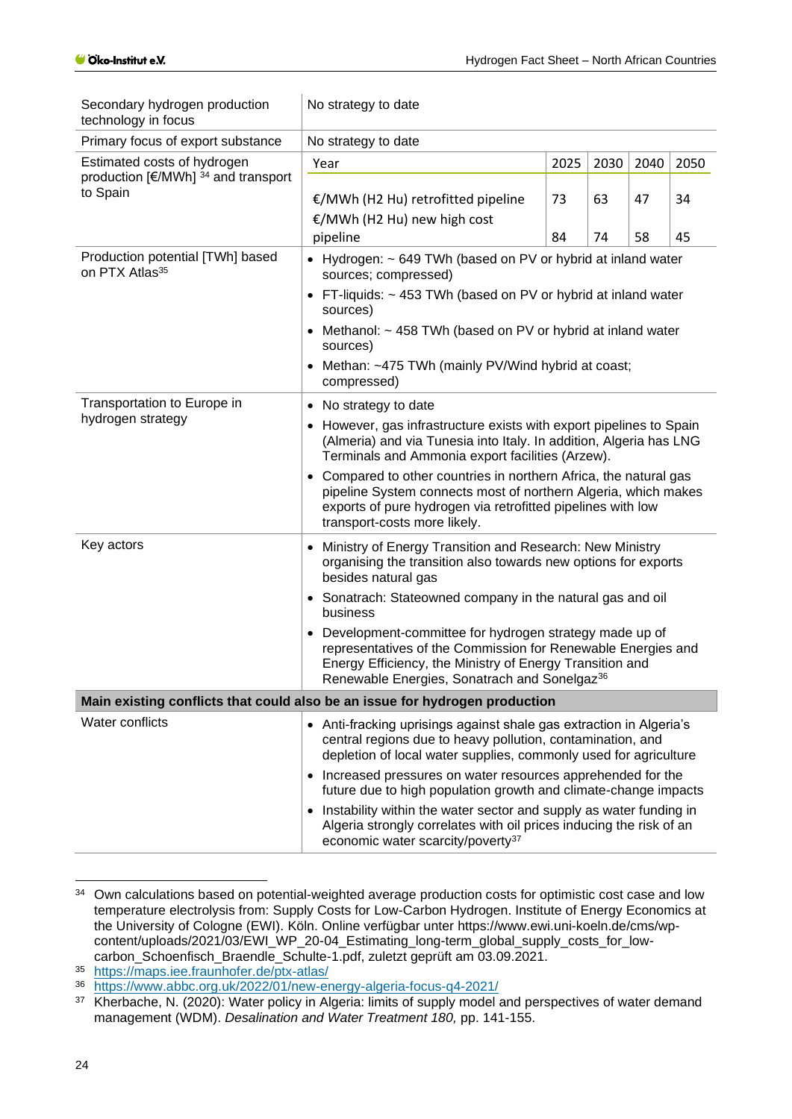| No strategy to date                                                                                                                                                                                                                |                                                                               |          |                                                                      |                                                                                                                                                                                                                                                                                                                                                                                                                                                                                                                                                                                                         |
|------------------------------------------------------------------------------------------------------------------------------------------------------------------------------------------------------------------------------------|-------------------------------------------------------------------------------|----------|----------------------------------------------------------------------|---------------------------------------------------------------------------------------------------------------------------------------------------------------------------------------------------------------------------------------------------------------------------------------------------------------------------------------------------------------------------------------------------------------------------------------------------------------------------------------------------------------------------------------------------------------------------------------------------------|
| No strategy to date                                                                                                                                                                                                                |                                                                               |          |                                                                      |                                                                                                                                                                                                                                                                                                                                                                                                                                                                                                                                                                                                         |
| Year                                                                                                                                                                                                                               | 2025                                                                          | 2030     | 2040                                                                 | 2050                                                                                                                                                                                                                                                                                                                                                                                                                                                                                                                                                                                                    |
|                                                                                                                                                                                                                                    |                                                                               |          |                                                                      |                                                                                                                                                                                                                                                                                                                                                                                                                                                                                                                                                                                                         |
|                                                                                                                                                                                                                                    |                                                                               |          |                                                                      | 34                                                                                                                                                                                                                                                                                                                                                                                                                                                                                                                                                                                                      |
|                                                                                                                                                                                                                                    |                                                                               |          |                                                                      |                                                                                                                                                                                                                                                                                                                                                                                                                                                                                                                                                                                                         |
|                                                                                                                                                                                                                                    |                                                                               |          |                                                                      | 45                                                                                                                                                                                                                                                                                                                                                                                                                                                                                                                                                                                                      |
| sources; compressed)                                                                                                                                                                                                               |                                                                               |          |                                                                      |                                                                                                                                                                                                                                                                                                                                                                                                                                                                                                                                                                                                         |
| • FT-liquids: $\sim$ 453 TWh (based on PV or hybrid at inland water<br>sources)                                                                                                                                                    |                                                                               |          |                                                                      |                                                                                                                                                                                                                                                                                                                                                                                                                                                                                                                                                                                                         |
| • Methanol: ~ 458 TWh (based on PV or hybrid at inland water<br>sources)                                                                                                                                                           |                                                                               |          |                                                                      |                                                                                                                                                                                                                                                                                                                                                                                                                                                                                                                                                                                                         |
| compressed)                                                                                                                                                                                                                        |                                                                               |          |                                                                      |                                                                                                                                                                                                                                                                                                                                                                                                                                                                                                                                                                                                         |
| No strategy to date                                                                                                                                                                                                                |                                                                               |          |                                                                      |                                                                                                                                                                                                                                                                                                                                                                                                                                                                                                                                                                                                         |
| However, gas infrastructure exists with export pipelines to Spain<br>(Almeria) and via Tunesia into Italy. In addition, Algeria has LNG<br>Terminals and Ammonia export facilities (Arzew).                                        |                                                                               |          |                                                                      |                                                                                                                                                                                                                                                                                                                                                                                                                                                                                                                                                                                                         |
| • Compared to other countries in northern Africa, the natural gas<br>pipeline System connects most of northern Algeria, which makes<br>exports of pure hydrogen via retrofitted pipelines with low<br>transport-costs more likely. |                                                                               |          |                                                                      |                                                                                                                                                                                                                                                                                                                                                                                                                                                                                                                                                                                                         |
| Ministry of Energy Transition and Research: New Ministry<br>$\bullet$<br>organising the transition also towards new options for exports<br>besides natural gas                                                                     |                                                                               |          |                                                                      |                                                                                                                                                                                                                                                                                                                                                                                                                                                                                                                                                                                                         |
| • Sonatrach: Stateowned company in the natural gas and oil<br>business                                                                                                                                                             |                                                                               |          |                                                                      |                                                                                                                                                                                                                                                                                                                                                                                                                                                                                                                                                                                                         |
|                                                                                                                                                                                                                                    |                                                                               |          |                                                                      |                                                                                                                                                                                                                                                                                                                                                                                                                                                                                                                                                                                                         |
| Main existing conflicts that could also be an issue for hydrogen production                                                                                                                                                        |                                                                               |          |                                                                      |                                                                                                                                                                                                                                                                                                                                                                                                                                                                                                                                                                                                         |
| • Anti-fracking uprisings against shale gas extraction in Algeria's<br>central regions due to heavy pollution, contamination, and<br>depletion of local water supplies, commonly used for agriculture                              |                                                                               |          |                                                                      |                                                                                                                                                                                                                                                                                                                                                                                                                                                                                                                                                                                                         |
|                                                                                                                                                                                                                                    |                                                                               |          |                                                                      |                                                                                                                                                                                                                                                                                                                                                                                                                                                                                                                                                                                                         |
| economic water scarcity/poverty <sup>37</sup>                                                                                                                                                                                      |                                                                               |          |                                                                      |                                                                                                                                                                                                                                                                                                                                                                                                                                                                                                                                                                                                         |
|                                                                                                                                                                                                                                    | €/MWh (H2 Hu) retrofitted pipeline<br>€/MWh (H2 Hu) new high cost<br>pipeline | 73<br>84 | 63<br>74<br>Renewable Energies, Sonatrach and Sonelgaz <sup>36</sup> | 47<br>58<br>• Hydrogen: ~ 649 TWh (based on PV or hybrid at inland water<br>• Methan: ~475 TWh (mainly PV/Wind hybrid at coast;<br>• Development-committee for hydrogen strategy made up of<br>representatives of the Commission for Renewable Energies and<br>Energy Efficiency, the Ministry of Energy Transition and<br>• Increased pressures on water resources apprehended for the<br>future due to high population growth and climate-change impacts<br>Instability within the water sector and supply as water funding in<br>Algeria strongly correlates with oil prices inducing the risk of an |

<sup>&</sup>lt;sup>34</sup> Own calculations based on potential-weighted average production costs for optimistic cost case and low temperature electrolysis from: Supply Costs for Low-Carbon Hydrogen. Institute of Energy Economics at the University of Cologne (EWI). Köln. Online verfügbar unter https://www.ewi.uni-koeln.de/cms/wpcontent/uploads/2021/03/EWI\_WP\_20-04\_Estimating\_long-term\_global\_supply\_costs\_for\_lowcarbon\_Schoenfisch\_Braendle\_Schulte-1.pdf, zuletzt geprüft am 03.09.2021.

<sup>35</sup> <https://maps.iee.fraunhofer.de/ptx-atlas/><br>36 https://www.abbc.org.uk/2022/01/new-en

<sup>36</sup> <https://www.abbc.org.uk/2022/01/new-energy-algeria-focus-q4-2021/>

Kherbache, N. (2020): Water policy in Algeria: limits of supply model and perspectives of water demand management (WDM). *Desalination and Water Treatment 180,* pp. 141-155.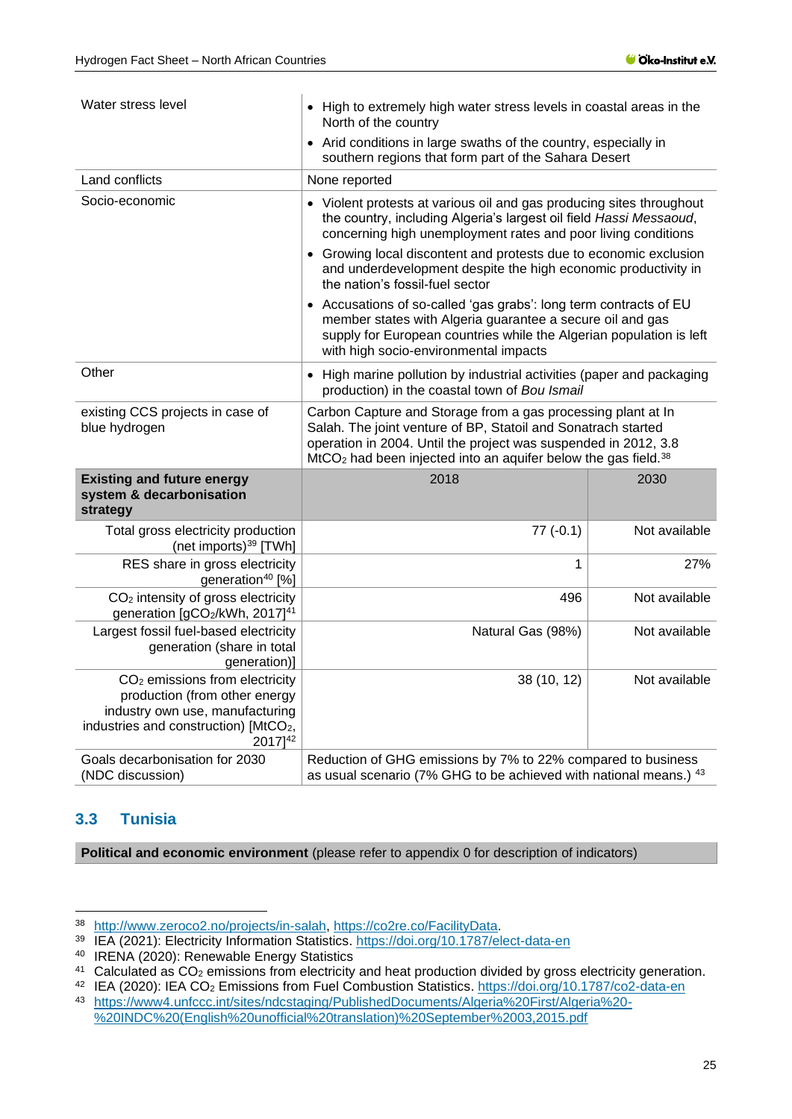| Water stress level                                                                                                                                                                         | • High to extremely high water stress levels in coastal areas in the<br>North of the country                                                                                                                                                                                     |               |  |
|--------------------------------------------------------------------------------------------------------------------------------------------------------------------------------------------|----------------------------------------------------------------------------------------------------------------------------------------------------------------------------------------------------------------------------------------------------------------------------------|---------------|--|
|                                                                                                                                                                                            | • Arid conditions in large swaths of the country, especially in<br>southern regions that form part of the Sahara Desert                                                                                                                                                          |               |  |
| Land conflicts                                                                                                                                                                             | None reported                                                                                                                                                                                                                                                                    |               |  |
| Socio-economic                                                                                                                                                                             | • Violent protests at various oil and gas producing sites throughout<br>the country, including Algeria's largest oil field Hassi Messaoud,<br>concerning high unemployment rates and poor living conditions                                                                      |               |  |
|                                                                                                                                                                                            | • Growing local discontent and protests due to economic exclusion<br>and underdevelopment despite the high economic productivity in<br>the nation's fossil-fuel sector                                                                                                           |               |  |
|                                                                                                                                                                                            | • Accusations of so-called 'gas grabs': long term contracts of EU<br>member states with Algeria guarantee a secure oil and gas<br>supply for European countries while the Algerian population is left<br>with high socio-environmental impacts                                   |               |  |
| Other                                                                                                                                                                                      | • High marine pollution by industrial activities (paper and packaging<br>production) in the coastal town of Bou Ismail                                                                                                                                                           |               |  |
| existing CCS projects in case of<br>blue hydrogen                                                                                                                                          | Carbon Capture and Storage from a gas processing plant at In<br>Salah. The joint venture of BP, Statoil and Sonatrach started<br>operation in 2004. Until the project was suspended in 2012, 3.8<br>$MtCO2$ had been injected into an aquifer below the gas field. <sup>38</sup> |               |  |
| <b>Existing and future energy</b><br>system & decarbonisation<br>strategy                                                                                                                  | 2018                                                                                                                                                                                                                                                                             | 2030          |  |
| Total gross electricity production<br>(net imports) <sup>39</sup> [TWh]                                                                                                                    | $77(-0.1)$                                                                                                                                                                                                                                                                       | Not available |  |
| RES share in gross electricity<br>generation <sup>40</sup> [%]                                                                                                                             | 1                                                                                                                                                                                                                                                                                | 27%           |  |
| CO <sub>2</sub> intensity of gross electricity<br>generation [gCO2/kWh, 2017] <sup>41</sup>                                                                                                | 496                                                                                                                                                                                                                                                                              | Not available |  |
| Largest fossil fuel-based electricity<br>generation (share in total<br>generation)]                                                                                                        | Natural Gas (98%)                                                                                                                                                                                                                                                                | Not available |  |
| CO <sub>2</sub> emissions from electricity<br>production (from other energy<br>industry own use, manufacturing<br>industries and construction) [MtCO <sub>2</sub> ,<br>2017] <sup>42</sup> | 38 (10, 12)                                                                                                                                                                                                                                                                      | Not available |  |
| Goals decarbonisation for 2030<br>(NDC discussion)                                                                                                                                         | Reduction of GHG emissions by 7% to 22% compared to business<br>as usual scenario (7% GHG to be achieved with national means.) 43                                                                                                                                                |               |  |

### <span id="page-24-0"></span>**3.3 Tunisia**

**Political and economic environment** (please refer to appendix [0](#page-38-1) for description of indicators)

<sup>38</sup> [http://www.zeroco2.no/projects/in-salah,](http://www.zeroco2.no/projects/in-salah) [https://co2re.co/FacilityData.](https://co2re.co/FacilityData)

<sup>39</sup> IEA (2021): Electricity Information Statistics.<https://doi.org/10.1787/elect-data-en>

<sup>40</sup> IRENA (2020): Renewable Energy Statistics

<sup>41</sup> Calculated as CO<sub>2</sub> emissions from electricity and heat production divided by gross electricity generation.

<sup>42</sup> IEA (2020): IEA CO<sup>2</sup> Emissions from Fuel Combustion Statistics.<https://doi.org/10.1787/co2-data-en>

<sup>43</sup> [https://www4.unfccc.int/sites/ndcstaging/PublishedDocuments/Algeria%20First/Algeria%20-](https://www4.unfccc.int/sites/ndcstaging/PublishedDocuments/Algeria%20First/Algeria%20-%20INDC%20(English%20unofficial%20translation)%20September%2003,2015.pdf)

[<sup>%20</sup>INDC%20\(English%20unofficial%20translation\)%20September%2003,2015.pdf](https://www4.unfccc.int/sites/ndcstaging/PublishedDocuments/Algeria%20First/Algeria%20-%20INDC%20(English%20unofficial%20translation)%20September%2003,2015.pdf)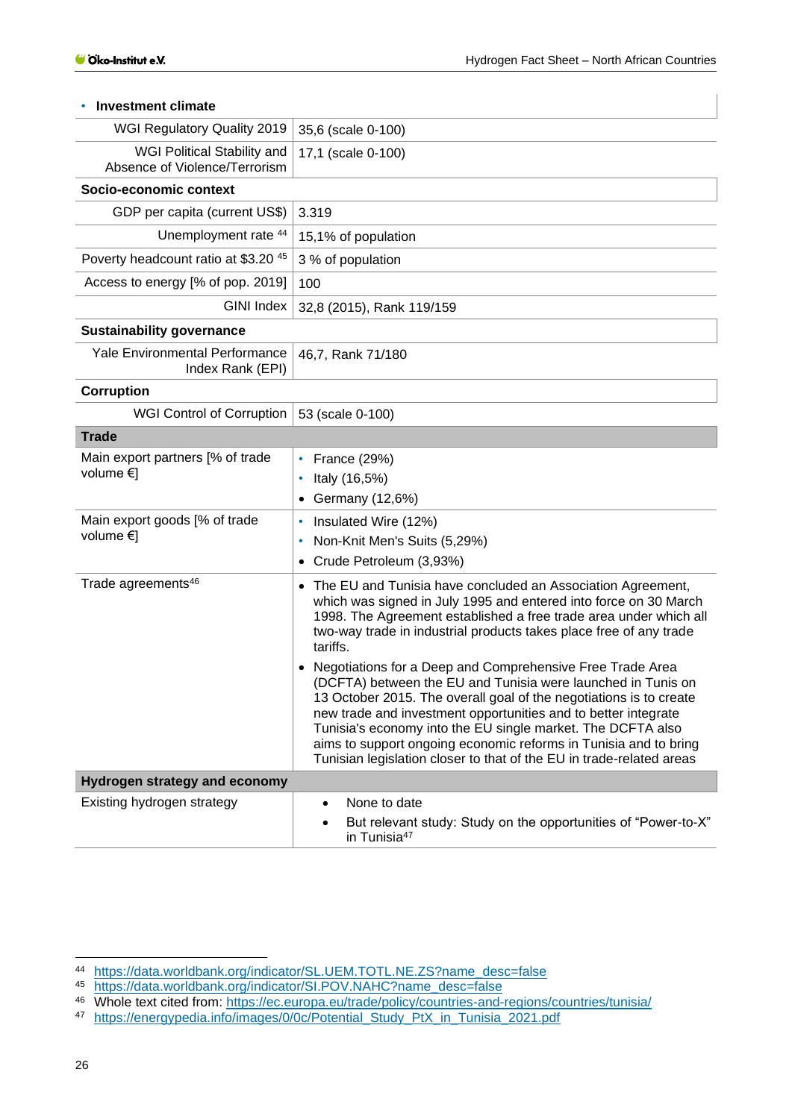| WGI Regulatory Quality 2019                                  | 35,6 (scale 0-100)                                                                                                                                                                                                                                                                                                                                                                                                                                                                                                                                                                                                                                                                                                                                                                       |
|--------------------------------------------------------------|------------------------------------------------------------------------------------------------------------------------------------------------------------------------------------------------------------------------------------------------------------------------------------------------------------------------------------------------------------------------------------------------------------------------------------------------------------------------------------------------------------------------------------------------------------------------------------------------------------------------------------------------------------------------------------------------------------------------------------------------------------------------------------------|
| WGI Political Stability and<br>Absence of Violence/Terrorism | 17,1 (scale 0-100)                                                                                                                                                                                                                                                                                                                                                                                                                                                                                                                                                                                                                                                                                                                                                                       |
| Socio-economic context                                       |                                                                                                                                                                                                                                                                                                                                                                                                                                                                                                                                                                                                                                                                                                                                                                                          |
| GDP per capita (current US\$)                                | 3.319                                                                                                                                                                                                                                                                                                                                                                                                                                                                                                                                                                                                                                                                                                                                                                                    |
| Unemployment rate 44                                         | 15,1% of population                                                                                                                                                                                                                                                                                                                                                                                                                                                                                                                                                                                                                                                                                                                                                                      |
| Poverty headcount ratio at \$3.20 45                         | 3 % of population                                                                                                                                                                                                                                                                                                                                                                                                                                                                                                                                                                                                                                                                                                                                                                        |
| Access to energy [% of pop. 2019]                            | 100                                                                                                                                                                                                                                                                                                                                                                                                                                                                                                                                                                                                                                                                                                                                                                                      |
| GINI Index                                                   | 32,8 (2015), Rank 119/159                                                                                                                                                                                                                                                                                                                                                                                                                                                                                                                                                                                                                                                                                                                                                                |
| <b>Sustainability governance</b>                             |                                                                                                                                                                                                                                                                                                                                                                                                                                                                                                                                                                                                                                                                                                                                                                                          |
| <b>Yale Environmental Performance</b><br>Index Rank (EPI)    | 46,7, Rank 71/180                                                                                                                                                                                                                                                                                                                                                                                                                                                                                                                                                                                                                                                                                                                                                                        |
| <b>Corruption</b>                                            |                                                                                                                                                                                                                                                                                                                                                                                                                                                                                                                                                                                                                                                                                                                                                                                          |
| <b>WGI Control of Corruption</b>                             | 53 (scale 0-100)                                                                                                                                                                                                                                                                                                                                                                                                                                                                                                                                                                                                                                                                                                                                                                         |
| <b>Trade</b>                                                 |                                                                                                                                                                                                                                                                                                                                                                                                                                                                                                                                                                                                                                                                                                                                                                                          |
| Main export partners [% of trade<br>volume €]                | France (29%)<br>٠<br>Italy (16,5%)<br>٠<br>Germany (12,6%)<br>٠                                                                                                                                                                                                                                                                                                                                                                                                                                                                                                                                                                                                                                                                                                                          |
| Main export goods [% of trade<br>volume $\in$ ]              | Insulated Wire (12%)<br>٠<br>Non-Knit Men's Suits (5,29%)<br>٠<br>Crude Petroleum (3,93%)<br>$\bullet$                                                                                                                                                                                                                                                                                                                                                                                                                                                                                                                                                                                                                                                                                   |
| Trade agreements <sup>46</sup>                               | The EU and Tunisia have concluded an Association Agreement,<br>٠<br>which was signed in July 1995 and entered into force on 30 March<br>1998. The Agreement established a free trade area under which all<br>two-way trade in industrial products takes place free of any trade<br>tariffs.<br>Negotiations for a Deep and Comprehensive Free Trade Area<br>$\bullet$<br>(DCFTA) between the EU and Tunisia were launched in Tunis on<br>13 October 2015. The overall goal of the negotiations is to create<br>new trade and investment opportunities and to better integrate<br>Tunisia's economy into the EU single market. The DCFTA also<br>aims to support ongoing economic reforms in Tunisia and to bring<br>Tunisian legislation closer to that of the EU in trade-related areas |
| <b>Hydrogen strategy and economy</b>                         |                                                                                                                                                                                                                                                                                                                                                                                                                                                                                                                                                                                                                                                                                                                                                                                          |
| Existing hydrogen strategy                                   | None to date<br>٠<br>But relevant study: Study on the opportunities of "Power-to-X"<br>in Tunisia <sup>47</sup>                                                                                                                                                                                                                                                                                                                                                                                                                                                                                                                                                                                                                                                                          |

#### • **Investment climate**

<sup>44</sup> [https://data.worldbank.org/indicator/SL.UEM.TOTL.NE.ZS?name\\_desc=false](https://data.worldbank.org/indicator/SL.UEM.TOTL.NE.ZS?name_desc=false)

<sup>45</sup> [https://data.worldbank.org/indicator/SI.POV.NAHC?name\\_desc=false](https://data.worldbank.org/indicator/SI.POV.NAHC?name_desc=false)

<sup>46</sup> Whole text cited from: <https://ec.europa.eu/trade/policy/countries-and-regions/countries/tunisia/>

<sup>47</sup> [https://energypedia.info/images/0/0c/Potential\\_Study\\_PtX\\_in\\_Tunisia\\_2021.pdf](https://energypedia.info/images/0/0c/Potential_Study_PtX_in_Tunisia_2021.pdf)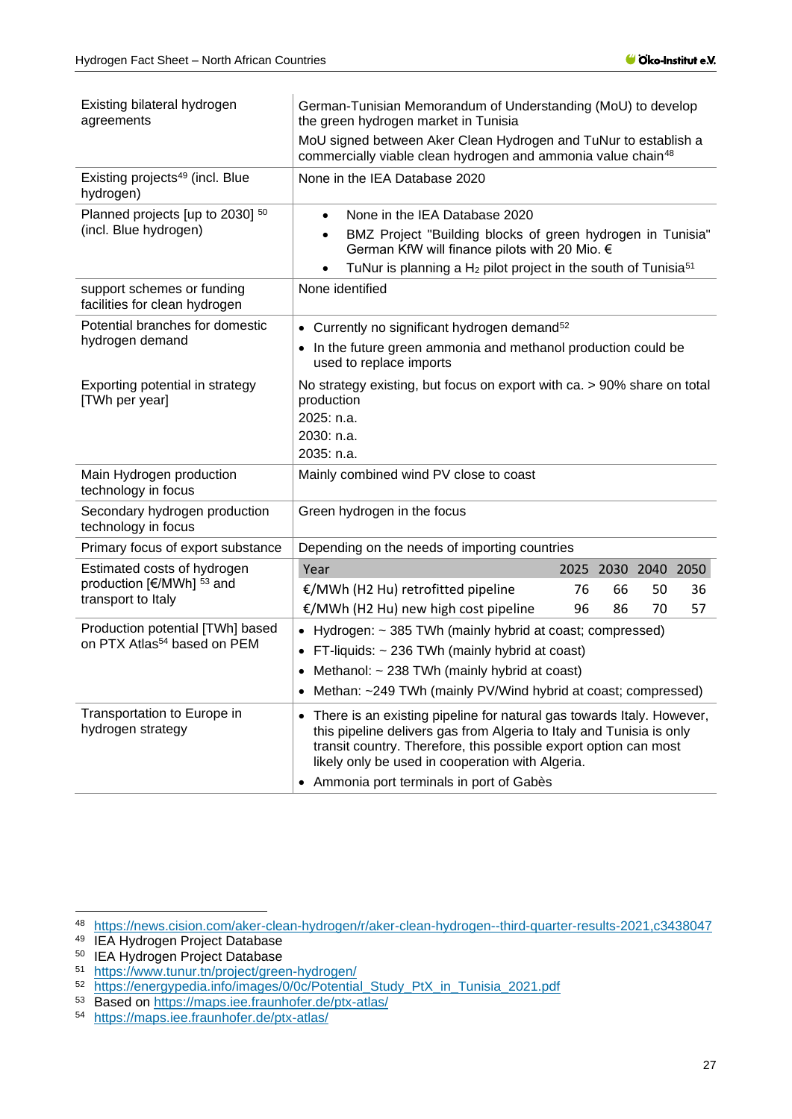| Existing bilateral hydrogen<br>agreements                                   | German-Tunisian Memorandum of Understanding (MoU) to develop<br>the green hydrogen market in Tunisia                                                                                                                                                                               |    |    |                     |    |
|-----------------------------------------------------------------------------|------------------------------------------------------------------------------------------------------------------------------------------------------------------------------------------------------------------------------------------------------------------------------------|----|----|---------------------|----|
|                                                                             | MoU signed between Aker Clean Hydrogen and TuNur to establish a<br>commercially viable clean hydrogen and ammonia value chain <sup>48</sup>                                                                                                                                        |    |    |                     |    |
| Existing projects <sup>49</sup> (incl. Blue<br>hydrogen)                    | None in the IEA Database 2020                                                                                                                                                                                                                                                      |    |    |                     |    |
| Planned projects [up to 2030] 50                                            | None in the IEA Database 2020<br>$\bullet$                                                                                                                                                                                                                                         |    |    |                     |    |
| (incl. Blue hydrogen)                                                       | BMZ Project "Building blocks of green hydrogen in Tunisia"<br>$\bullet$<br>German KfW will finance pilots with 20 Mio. €                                                                                                                                                           |    |    |                     |    |
|                                                                             | TuNur is planning a H <sub>2</sub> pilot project in the south of Tunisia <sup>51</sup>                                                                                                                                                                                             |    |    |                     |    |
| support schemes or funding<br>facilities for clean hydrogen                 | None identified                                                                                                                                                                                                                                                                    |    |    |                     |    |
| Potential branches for domestic                                             | • Currently no significant hydrogen demand <sup>52</sup>                                                                                                                                                                                                                           |    |    |                     |    |
| hydrogen demand                                                             | In the future green ammonia and methanol production could be<br>used to replace imports                                                                                                                                                                                            |    |    |                     |    |
| Exporting potential in strategy<br>[TWh per year]                           | No strategy existing, but focus on export with ca. > 90% share on total<br>production                                                                                                                                                                                              |    |    |                     |    |
|                                                                             | 2025: n.a.                                                                                                                                                                                                                                                                         |    |    |                     |    |
|                                                                             | 2030: n.a.                                                                                                                                                                                                                                                                         |    |    |                     |    |
|                                                                             | 2035: n.a.                                                                                                                                                                                                                                                                         |    |    |                     |    |
| Main Hydrogen production<br>technology in focus                             | Mainly combined wind PV close to coast                                                                                                                                                                                                                                             |    |    |                     |    |
| Secondary hydrogen production<br>technology in focus                        | Green hydrogen in the focus                                                                                                                                                                                                                                                        |    |    |                     |    |
| Primary focus of export substance                                           | Depending on the needs of importing countries                                                                                                                                                                                                                                      |    |    |                     |    |
| Estimated costs of hydrogen                                                 | Year                                                                                                                                                                                                                                                                               |    |    | 2025 2030 2040 2050 |    |
| production [€/MWh] <sup>53</sup> and<br>transport to Italy                  | €/MWh (H2 Hu) retrofitted pipeline                                                                                                                                                                                                                                                 | 76 | 66 | 50                  | 36 |
|                                                                             | €/MWh (H2 Hu) new high cost pipeline                                                                                                                                                                                                                                               | 96 | 86 | 70                  | 57 |
| Production potential [TWh] based<br>on PTX Atlas <sup>54</sup> based on PEM | Hydrogen: ~ 385 TWh (mainly hybrid at coast; compressed)<br>$\bullet$                                                                                                                                                                                                              |    |    |                     |    |
|                                                                             | FT-liquids: $\sim$ 236 TWh (mainly hybrid at coast)<br>$\bullet$                                                                                                                                                                                                                   |    |    |                     |    |
|                                                                             | Methanol: ~ 238 TWh (mainly hybrid at coast)<br>$\bullet$                                                                                                                                                                                                                          |    |    |                     |    |
|                                                                             | Methan: ~249 TWh (mainly PV/Wind hybrid at coast; compressed)                                                                                                                                                                                                                      |    |    |                     |    |
| Transportation to Europe in<br>hydrogen strategy                            | There is an existing pipeline for natural gas towards Italy. However,<br>$\bullet$<br>this pipeline delivers gas from Algeria to Italy and Tunisia is only<br>transit country. Therefore, this possible export option can most<br>likely only be used in cooperation with Algeria. |    |    |                     |    |
|                                                                             | Ammonia port terminals in port of Gabès<br>$\bullet$                                                                                                                                                                                                                               |    |    |                     |    |

<sup>48</sup> <https://news.cision.com/aker-clean-hydrogen/r/aker-clean-hydrogen--third-quarter-results-2021,c3438047>

<sup>&</sup>lt;sup>49</sup> IEA Hydrogen Project Database

<sup>&</sup>lt;sup>50</sup> IEA Hydrogen Project Database

<sup>51</sup> <https://www.tunur.tn/project/green-hydrogen/>

<sup>52</sup> [https://energypedia.info/images/0/0c/Potential\\_Study\\_PtX\\_in\\_Tunisia\\_2021.pdf](https://energypedia.info/images/0/0c/Potential_Study_PtX_in_Tunisia_2021.pdf)

<sup>53</sup> Based on<https://maps.iee.fraunhofer.de/ptx-atlas/>

<sup>54</sup> <https://maps.iee.fraunhofer.de/ptx-atlas/>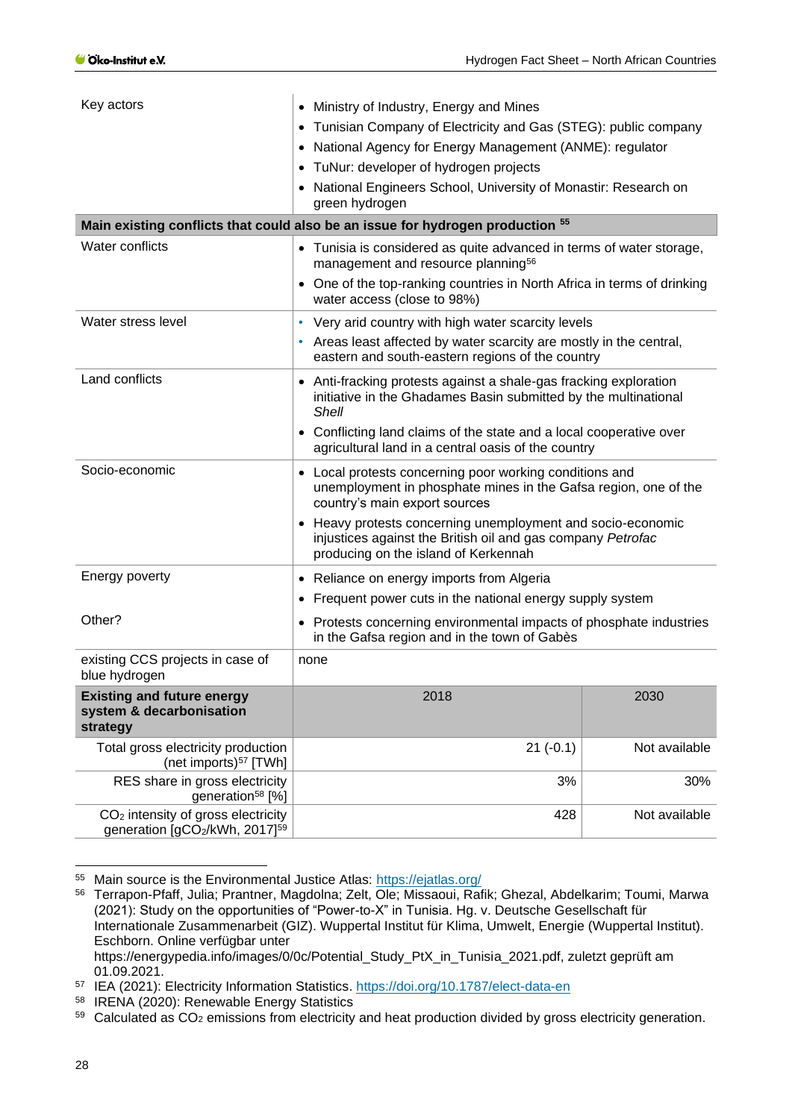| Key actors                                                                                  | • Ministry of Industry, Energy and Mines                                                                                                                                     |               |  |
|---------------------------------------------------------------------------------------------|------------------------------------------------------------------------------------------------------------------------------------------------------------------------------|---------------|--|
|                                                                                             | Tunisian Company of Electricity and Gas (STEG): public company                                                                                                               |               |  |
|                                                                                             | • National Agency for Energy Management (ANME): regulator                                                                                                                    |               |  |
|                                                                                             | • TuNur: developer of hydrogen projects                                                                                                                                      |               |  |
|                                                                                             | • National Engineers School, University of Monastir: Research on<br>green hydrogen                                                                                           |               |  |
|                                                                                             | Main existing conflicts that could also be an issue for hydrogen production 55                                                                                               |               |  |
| Water conflicts                                                                             | • Tunisia is considered as quite advanced in terms of water storage,<br>management and resource planning <sup>56</sup>                                                       |               |  |
|                                                                                             | • One of the top-ranking countries in North Africa in terms of drinking<br>water access (close to 98%)                                                                       |               |  |
| Water stress level                                                                          | • Very arid country with high water scarcity levels<br>Areas least affected by water scarcity are mostly in the central,<br>eastern and south-eastern regions of the country |               |  |
| Land conflicts                                                                              | • Anti-fracking protests against a shale-gas fracking exploration<br>initiative in the Ghadames Basin submitted by the multinational<br>Shell                                |               |  |
|                                                                                             | • Conflicting land claims of the state and a local cooperative over<br>agricultural land in a central oasis of the country                                                   |               |  |
| Socio-economic                                                                              | • Local protests concerning poor working conditions and<br>unemployment in phosphate mines in the Gafsa region, one of the<br>country's main export sources                  |               |  |
|                                                                                             | • Heavy protests concerning unemployment and socio-economic<br>injustices against the British oil and gas company Petrofac<br>producing on the island of Kerkennah           |               |  |
| Energy poverty                                                                              | • Reliance on energy imports from Algeria                                                                                                                                    |               |  |
|                                                                                             | • Frequent power cuts in the national energy supply system                                                                                                                   |               |  |
| Other?                                                                                      | • Protests concerning environmental impacts of phosphate industries<br>in the Gafsa region and in the town of Gabès                                                          |               |  |
| existing CCS projects in case of<br>blue hydrogen                                           | none                                                                                                                                                                         |               |  |
| <b>Existing and future energy</b><br>system & decarbonisation<br>strategy                   | 2018                                                                                                                                                                         | 2030          |  |
| Total gross electricity production<br>(net imports) <sup>57</sup> [TWh]                     | $21(-0.1)$                                                                                                                                                                   | Not available |  |
| RES share in gross electricity<br>generation <sup>58</sup> [%]                              | 3%                                                                                                                                                                           | 30%           |  |
| CO <sub>2</sub> intensity of gross electricity<br>generation [gCO2/kWh, 2017] <sup>59</sup> | 428                                                                                                                                                                          | Not available |  |

<sup>55</sup> Main source is the Environmental Justice Atlas:<https://ejatlas.org/>

<sup>56</sup> Terrapon-Pfaff, Julia; Prantner, Magdolna; Zelt, Ole; Missaoui, Rafik; Ghezal, Abdelkarim; Toumi, Marwa (2021): Study on the opportunities of "Power-to-X" in Tunisia. Hg. v. Deutsche Gesellschaft für Internationale Zusammenarbeit (GIZ). Wuppertal Institut für Klima, Umwelt, Energie (Wuppertal Institut). Eschborn. Online verfügbar unter https://energypedia.info/images/0/0c/Potential\_Study\_PtX\_in\_Tunisia\_2021.pdf, zuletzt geprüft am

<sup>01.09.2021.</sup>

<sup>57</sup> IEA (2021): Electricity Information Statistics.<https://doi.org/10.1787/elect-data-en>

<sup>58</sup> IRENA (2020): Renewable Energy Statistics

 $59$  Calculated as CO<sub>2</sub> emissions from electricity and heat production divided by gross electricity generation.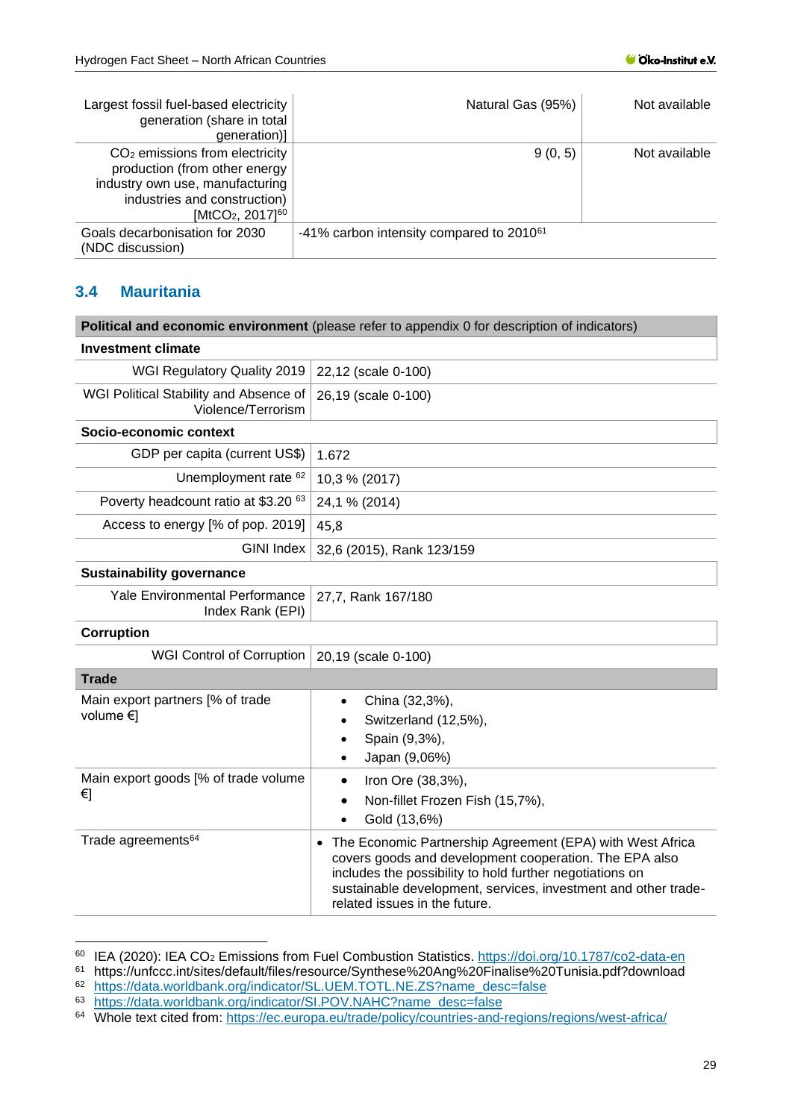| Largest fossil fuel-based electricity<br>generation (share in total<br>generation)]                                                                                              | Natural Gas (95%)                                    | Not available |
|----------------------------------------------------------------------------------------------------------------------------------------------------------------------------------|------------------------------------------------------|---------------|
| $CO2$ emissions from electricity<br>production (from other energy<br>industry own use, manufacturing<br>industries and construction)<br>[MtCO <sub>2</sub> , 2017] <sup>60</sup> | 9(0, 5)                                              | Not available |
| Goals decarbonisation for 2030<br>(NDC discussion)                                                                                                                               | -41% carbon intensity compared to 2010 <sup>61</sup> |               |

## <span id="page-28-0"></span>**3.4 Mauritania**

|                                                              | Political and economic environment (please refer to appendix 0 for description of indicators)                                                                                                                                                                                                   |
|--------------------------------------------------------------|-------------------------------------------------------------------------------------------------------------------------------------------------------------------------------------------------------------------------------------------------------------------------------------------------|
| <b>Investment climate</b>                                    |                                                                                                                                                                                                                                                                                                 |
| WGI Regulatory Quality 2019                                  | 22,12 (scale 0-100)                                                                                                                                                                                                                                                                             |
| WGI Political Stability and Absence of<br>Violence/Terrorism | 26,19 (scale 0-100)                                                                                                                                                                                                                                                                             |
| Socio-economic context                                       |                                                                                                                                                                                                                                                                                                 |
| GDP per capita (current US\$)                                | 1.672                                                                                                                                                                                                                                                                                           |
| Unemployment rate 62                                         | 10,3 % (2017)                                                                                                                                                                                                                                                                                   |
| Poverty headcount ratio at \$3.20 63                         | 24,1 % (2014)                                                                                                                                                                                                                                                                                   |
| Access to energy [% of pop. 2019]                            | 45,8                                                                                                                                                                                                                                                                                            |
| <b>GINI Index</b>                                            | 32,6 (2015), Rank 123/159                                                                                                                                                                                                                                                                       |
| <b>Sustainability governance</b>                             |                                                                                                                                                                                                                                                                                                 |
| Yale Environmental Performance<br>Index Rank (EPI)           | 27,7, Rank 167/180                                                                                                                                                                                                                                                                              |
| Corruption                                                   |                                                                                                                                                                                                                                                                                                 |
| <b>WGI Control of Corruption</b>                             | 20,19 (scale 0-100)                                                                                                                                                                                                                                                                             |
| <b>Trade</b>                                                 |                                                                                                                                                                                                                                                                                                 |
| Main export partners [% of trade<br>volume $\in$             | China (32,3%),<br>$\bullet$<br>Switzerland (12,5%),<br>Spain (9,3%),<br>Japan (9,06%)<br>$\bullet$                                                                                                                                                                                              |
| Main export goods [% of trade volume<br>€]                   | Iron Ore (38,3%),<br>$\bullet$<br>Non-fillet Frozen Fish (15,7%),<br>Gold (13,6%)                                                                                                                                                                                                               |
| Trade agreements <sup>64</sup>                               | The Economic Partnership Agreement (EPA) with West Africa<br>$\bullet$<br>covers goods and development cooperation. The EPA also<br>includes the possibility to hold further negotiations on<br>sustainable development, services, investment and other trade-<br>related issues in the future. |

<sup>60</sup> IEA (2020): IEA CO<sub>2</sub> Emissions from Fuel Combustion Statistics.<https://doi.org/10.1787/co2-data-en><br>61 https://unfccc.int/sites/default/files/resource/Synthese%20Ang%20Finalise%20Tunisia pdf?download

<sup>&</sup>lt;sup>61</sup> https://unfccc.int/sites/default/files/resource/Synthese%20Ang%20Finalise%20Tunisia.pdf?download

<sup>62</sup> [https://data.worldbank.org/indicator/SL.UEM.TOTL.NE.ZS?name\\_desc=false](https://data.worldbank.org/indicator/SL.UEM.TOTL.NE.ZS?name_desc=false)

[https://data.worldbank.org/indicator/SI.POV.NAHC?name\\_desc=false](https://data.worldbank.org/indicator/SI.POV.NAHC?name_desc=false)

<sup>64</sup> Whole text cited from: <https://ec.europa.eu/trade/policy/countries-and-regions/regions/west-africa/>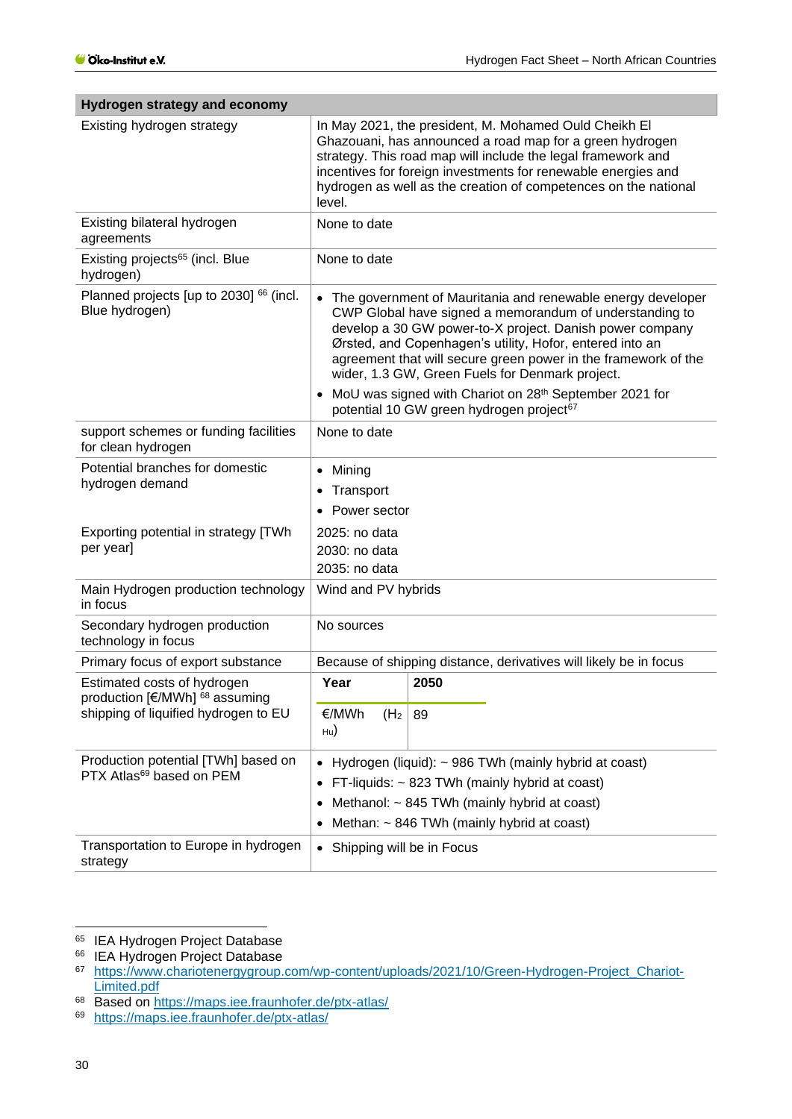| nyarogon saratogy ana coonomy                                               |                                                                                                                                                                                                                                                                                                                                                                       |                                                                                                    |  |
|-----------------------------------------------------------------------------|-----------------------------------------------------------------------------------------------------------------------------------------------------------------------------------------------------------------------------------------------------------------------------------------------------------------------------------------------------------------------|----------------------------------------------------------------------------------------------------|--|
| Existing hydrogen strategy                                                  | In May 2021, the president, M. Mohamed Ould Cheikh EI<br>Ghazouani, has announced a road map for a green hydrogen<br>strategy. This road map will include the legal framework and<br>incentives for foreign investments for renewable energies and<br>hydrogen as well as the creation of competences on the national<br>level.                                       |                                                                                                    |  |
| Existing bilateral hydrogen<br>agreements                                   | None to date                                                                                                                                                                                                                                                                                                                                                          |                                                                                                    |  |
| Existing projects <sup>65</sup> (incl. Blue<br>hydrogen)                    | None to date                                                                                                                                                                                                                                                                                                                                                          |                                                                                                    |  |
| Planned projects [up to 2030] <sup>66</sup> (incl.<br>Blue hydrogen)        | • The government of Mauritania and renewable energy developer<br>CWP Global have signed a memorandum of understanding to<br>develop a 30 GW power-to-X project. Danish power company<br>Ørsted, and Copenhagen's utility, Hofor, entered into an<br>agreement that will secure green power in the framework of the<br>wider, 1.3 GW, Green Fuels for Denmark project. |                                                                                                    |  |
|                                                                             |                                                                                                                                                                                                                                                                                                                                                                       | MoU was signed with Chariot on 28th September 2021 for<br>potential 10 GW green hydrogen project67 |  |
| support schemes or funding facilities<br>for clean hydrogen                 | None to date                                                                                                                                                                                                                                                                                                                                                          |                                                                                                    |  |
| Potential branches for domestic<br>hydrogen demand                          | Mining<br>$\bullet$<br>Transport<br>Power sector<br>$\bullet$                                                                                                                                                                                                                                                                                                         |                                                                                                    |  |
| Exporting potential in strategy [TWh<br>per year]                           | 2025: no data<br>2030: no data<br>2035: no data                                                                                                                                                                                                                                                                                                                       |                                                                                                    |  |
| Main Hydrogen production technology<br>in focus                             | Wind and PV hybrids                                                                                                                                                                                                                                                                                                                                                   |                                                                                                    |  |
| Secondary hydrogen production<br>technology in focus                        | No sources                                                                                                                                                                                                                                                                                                                                                            |                                                                                                    |  |
| Primary focus of export substance                                           |                                                                                                                                                                                                                                                                                                                                                                       | Because of shipping distance, derivatives will likely be in focus                                  |  |
| Estimated costs of hydrogen<br>production [€/MWh] <sup>68</sup> assuming    | Year                                                                                                                                                                                                                                                                                                                                                                  | 2050                                                                                               |  |
| shipping of liquified hydrogen to EU                                        | €/MWh<br>(H <sub>2</sub> )<br>$_{\text{Hu}}$                                                                                                                                                                                                                                                                                                                          | 89                                                                                                 |  |
| Production potential [TWh] based on<br>PTX Atlas <sup>69</sup> based on PEM | Hydrogen (liquid): ~ 986 TWh (mainly hybrid at coast)<br>$\bullet$<br>FT-liquids: ~ 823 TWh (mainly hybrid at coast)<br>$\bullet$<br>Methanol: ~ 845 TWh (mainly hybrid at coast)<br>$\bullet$<br>Methan: ~ 846 TWh (mainly hybrid at coast)<br>$\bullet$                                                                                                             |                                                                                                    |  |
| Transportation to Europe in hydrogen<br>strategy                            | Shipping will be in Focus<br>$\bullet$                                                                                                                                                                                                                                                                                                                                |                                                                                                    |  |

## **Hydrogen strategy and economy**

<sup>68</sup> Based on<https://maps.iee.fraunhofer.de/ptx-atlas/>

<sup>&</sup>lt;sup>65</sup> IEA Hydrogen Project Database

<sup>&</sup>lt;sup>66</sup> IEA Hydrogen Project Database

<sup>67</sup> [https://www.chariotenergygroup.com/wp-content/uploads/2021/10/Green-Hydrogen-Project\\_Chariot-](https://www.chariotenergygroup.com/wp-content/uploads/2021/10/Green-Hydrogen-Project_Chariot-Limited.pdf)Limited.pdf

<sup>69</sup> <https://maps.iee.fraunhofer.de/ptx-atlas/>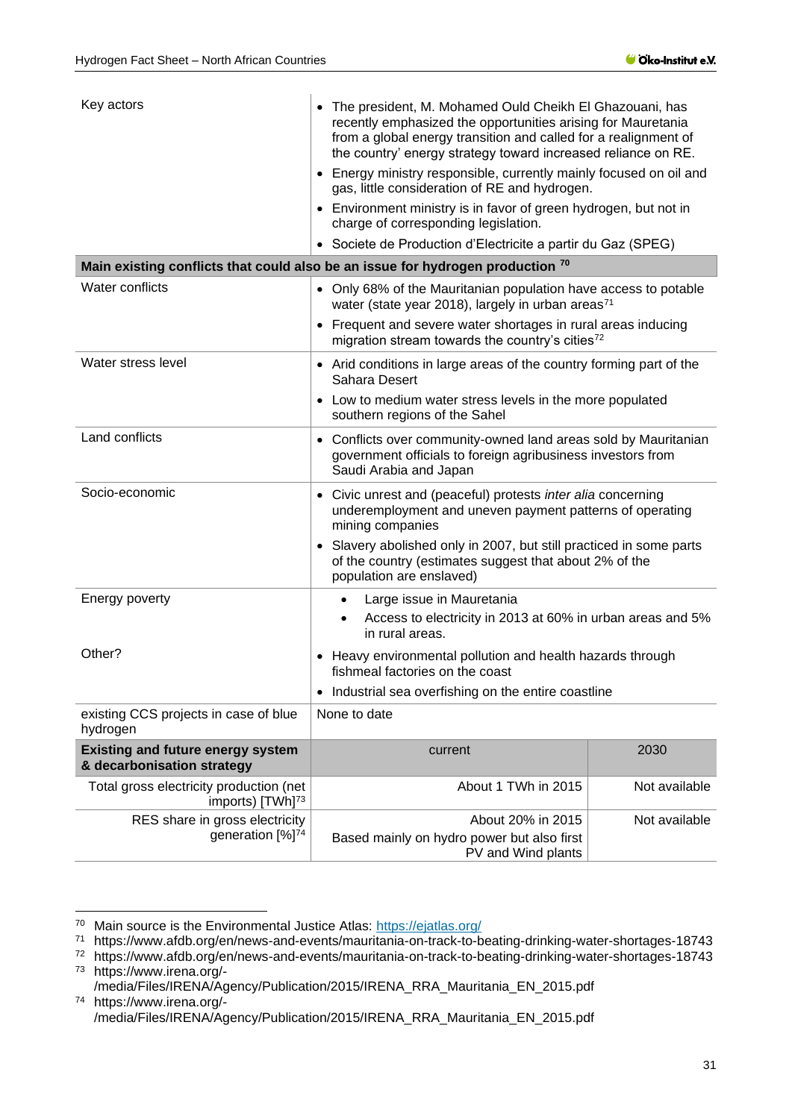| Key actors                                                              | • The president, M. Mohamed Ould Cheikh El Ghazouani, has<br>recently emphasized the opportunities arising for Mauretania<br>from a global energy transition and called for a realignment of<br>the country' energy strategy toward increased reliance on RE. |               |  |
|-------------------------------------------------------------------------|---------------------------------------------------------------------------------------------------------------------------------------------------------------------------------------------------------------------------------------------------------------|---------------|--|
|                                                                         | • Energy ministry responsible, currently mainly focused on oil and<br>gas, little consideration of RE and hydrogen.                                                                                                                                           |               |  |
|                                                                         | • Environment ministry is in favor of green hydrogen, but not in<br>charge of corresponding legislation.                                                                                                                                                      |               |  |
|                                                                         | • Societe de Production d'Electricite a partir du Gaz (SPEG)                                                                                                                                                                                                  |               |  |
|                                                                         | Main existing conflicts that could also be an issue for hydrogen production 70                                                                                                                                                                                |               |  |
| <b>Water conflicts</b>                                                  | • Only 68% of the Mauritanian population have access to potable<br>water (state year 2018), largely in urban areas <sup>71</sup>                                                                                                                              |               |  |
|                                                                         | • Frequent and severe water shortages in rural areas inducing<br>migration stream towards the country's cities <sup>72</sup>                                                                                                                                  |               |  |
| Water stress level                                                      | • Arid conditions in large areas of the country forming part of the<br>Sahara Desert                                                                                                                                                                          |               |  |
|                                                                         | • Low to medium water stress levels in the more populated<br>southern regions of the Sahel                                                                                                                                                                    |               |  |
| Land conflicts                                                          | • Conflicts over community-owned land areas sold by Mauritanian<br>government officials to foreign agribusiness investors from<br>Saudi Arabia and Japan                                                                                                      |               |  |
| Socio-economic                                                          | • Civic unrest and (peaceful) protests inter alia concerning<br>underemployment and uneven payment patterns of operating<br>mining companies                                                                                                                  |               |  |
|                                                                         | • Slavery abolished only in 2007, but still practiced in some parts<br>of the country (estimates suggest that about 2% of the<br>population are enslaved)                                                                                                     |               |  |
| Energy poverty                                                          | Large issue in Mauretania<br>Access to electricity in 2013 at 60% in urban areas and 5%<br>$\bullet$<br>in rural areas.                                                                                                                                       |               |  |
| Other?                                                                  | • Heavy environmental pollution and health hazards through<br>fishmeal factories on the coast                                                                                                                                                                 |               |  |
|                                                                         | • Industrial sea overfishing on the entire coastline                                                                                                                                                                                                          |               |  |
| existing CCS projects in case of blue<br>hydrogen                       | None to date                                                                                                                                                                                                                                                  |               |  |
| <b>Existing and future energy system</b><br>& decarbonisation strategy  | current                                                                                                                                                                                                                                                       | 2030          |  |
| Total gross electricity production (net<br>imports) [TWh] <sup>73</sup> | About 1 TWh in 2015                                                                                                                                                                                                                                           | Not available |  |
| RES share in gross electricity<br>generation [%] <sup>74</sup>          | About 20% in 2015<br>Based mainly on hydro power but also first<br>PV and Wind plants                                                                                                                                                                         | Not available |  |

<sup>73</sup> https://www.irena.org/-

<sup>&</sup>lt;sup>70</sup> Main source is the Environmental Justice Atlas:<https://ejatlas.org/>

<sup>71</sup> https://www.afdb.org/en/news-and-events/mauritania-on-track-to-beating-drinking-water-shortages-18743

<sup>72</sup> https://www.afdb.org/en/news-and-events/mauritania-on-track-to-beating-drinking-water-shortages-18743

<sup>/</sup>media/Files/IRENA/Agency/Publication/2015/IRENA\_RRA\_Mauritania\_EN\_2015.pdf <sup>74</sup> https://www.irena.org/-

<sup>/</sup>media/Files/IRENA/Agency/Publication/2015/IRENA\_RRA\_Mauritania\_EN\_2015.pdf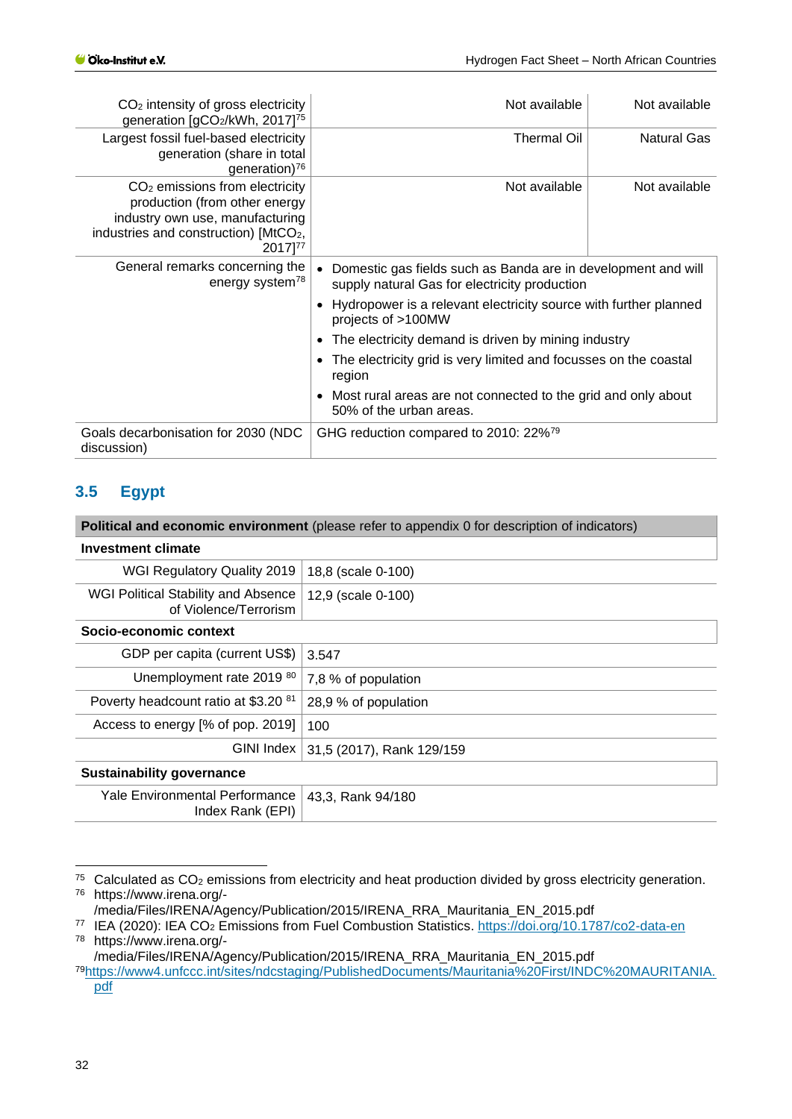| $CO2$ intensity of gross electricity<br>generation [gCO2/kWh, 2017] <sup>75</sup>                                                                                    | Not available                                                                                                  | Not available      |  |
|----------------------------------------------------------------------------------------------------------------------------------------------------------------------|----------------------------------------------------------------------------------------------------------------|--------------------|--|
| Largest fossil fuel-based electricity<br>generation (share in total<br>generation) <sup>76</sup>                                                                     | Thermal Oil                                                                                                    | <b>Natural Gas</b> |  |
| $CO2$ emissions from electricity<br>production (from other energy<br>industry own use, manufacturing<br>industries and construction) [MtCO <sub>2</sub> ,<br>2017]77 | Not available                                                                                                  | Not available      |  |
| General remarks concerning the<br>energy system <sup>78</sup>                                                                                                        | Domestic gas fields such as Banda are in development and will<br>supply natural Gas for electricity production |                    |  |
|                                                                                                                                                                      | Hydropower is a relevant electricity source with further planned<br>projects of >100MW                         |                    |  |
|                                                                                                                                                                      | The electricity demand is driven by mining industry                                                            |                    |  |
|                                                                                                                                                                      | The electricity grid is very limited and focusses on the coastal<br>region                                     |                    |  |
|                                                                                                                                                                      | Most rural areas are not connected to the grid and only about<br>50% of the urban areas.                       |                    |  |
| Goals decarbonisation for 2030 (NDC<br>discussion)                                                                                                                   | GHG reduction compared to 2010: 22% <sup>79</sup>                                                              |                    |  |

## <span id="page-31-0"></span>**3.5 Egypt**

| <b>Political and economic environment</b> (please refer to appendix 0 for description of indicators) |                           |  |  |  |
|------------------------------------------------------------------------------------------------------|---------------------------|--|--|--|
| <b>Investment climate</b>                                                                            |                           |  |  |  |
| WGI Regulatory Quality 2019                                                                          | 18,8 (scale 0-100)        |  |  |  |
| WGI Political Stability and Absence<br>of Violence/Terrorism                                         | 12,9 (scale 0-100)        |  |  |  |
| Socio-economic context                                                                               |                           |  |  |  |
| GDP per capita (current US\$)                                                                        | 3.547                     |  |  |  |
| Unemployment rate 2019 80                                                                            | 7,8 % of population       |  |  |  |
| Poverty headcount ratio at \$3.20 <sup>81</sup>                                                      | 28,9 % of population      |  |  |  |
| Access to energy [% of pop. 2019]                                                                    | 100                       |  |  |  |
| GINI Index                                                                                           | 31,5 (2017), Rank 129/159 |  |  |  |
| <b>Sustainability governance</b>                                                                     |                           |  |  |  |
| <b>Yale Environmental Performance</b><br>Index Rank (EPI)                                            | 43,3, Rank 94/180         |  |  |  |

 $75$  Calculated as CO<sub>2</sub> emissions from electricity and heat production divided by gross electricity generation. <sup>76</sup> https://www.irena.org/-

/media/Files/IRENA/Agency/Publication/2015/IRENA\_RRA\_Mauritania\_EN\_2015.pdf

<sup>/</sup>media/Files/IRENA/Agency/Publication/2015/IRENA\_RRA\_Mauritania\_EN\_2015.pdf

<sup>77</sup> IEA (2020): IEA CO<sup>2</sup> Emissions from Fuel Combustion Statistics.<https://doi.org/10.1787/co2-data-en> <sup>78</sup> https://www.irena.org/-

<sup>79</sup>[https://www4.unfccc.int/sites/ndcstaging/PublishedDocuments/Mauritania%20First/INDC%20MAURITANIA.](https://www4.unfccc.int/sites/ndcstaging/PublishedDocuments/Mauritania%20First/INDC%20MAURITANIA.pdf) [pdf](https://www4.unfccc.int/sites/ndcstaging/PublishedDocuments/Mauritania%20First/INDC%20MAURITANIA.pdf)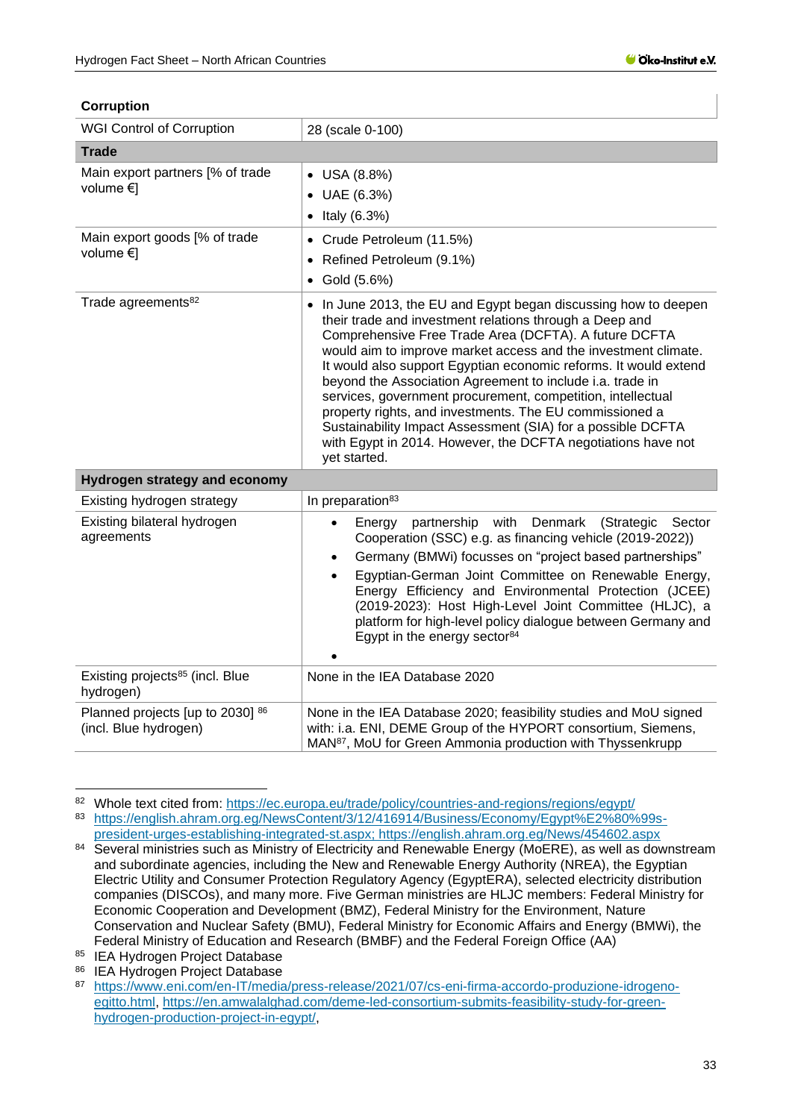#### **Corruption**

| <b>WGI Control of Corruption</b>                          | 28 (scale 0-100)                                                                                                                                                                                                                                                                                                                                                                                                                                                                                                                                                                                                                                                |  |  |  |
|-----------------------------------------------------------|-----------------------------------------------------------------------------------------------------------------------------------------------------------------------------------------------------------------------------------------------------------------------------------------------------------------------------------------------------------------------------------------------------------------------------------------------------------------------------------------------------------------------------------------------------------------------------------------------------------------------------------------------------------------|--|--|--|
| <b>Trade</b>                                              |                                                                                                                                                                                                                                                                                                                                                                                                                                                                                                                                                                                                                                                                 |  |  |  |
| Main export partners [% of trade<br>volume €]             | $\bullet$ USA (8.8%)<br>UAE (6.3%)<br>$\bullet$<br>Italy $(6.3%)$<br>$\bullet$                                                                                                                                                                                                                                                                                                                                                                                                                                                                                                                                                                                  |  |  |  |
| Main export goods [% of trade<br>volume $\in$             | • Crude Petroleum (11.5%)<br>Refined Petroleum (9.1%)<br>$\bullet$<br>Gold (5.6%)<br>$\bullet$                                                                                                                                                                                                                                                                                                                                                                                                                                                                                                                                                                  |  |  |  |
| Trade agreements <sup>82</sup>                            | • In June 2013, the EU and Egypt began discussing how to deepen<br>their trade and investment relations through a Deep and<br>Comprehensive Free Trade Area (DCFTA). A future DCFTA<br>would aim to improve market access and the investment climate.<br>It would also support Egyptian economic reforms. It would extend<br>beyond the Association Agreement to include i.a. trade in<br>services, government procurement, competition, intellectual<br>property rights, and investments. The EU commissioned a<br>Sustainability Impact Assessment (SIA) for a possible DCFTA<br>with Egypt in 2014. However, the DCFTA negotiations have not<br>yet started. |  |  |  |
| <b>Hydrogen strategy and economy</b>                      |                                                                                                                                                                                                                                                                                                                                                                                                                                                                                                                                                                                                                                                                 |  |  |  |
| Existing hydrogen strategy                                | In preparation <sup>83</sup>                                                                                                                                                                                                                                                                                                                                                                                                                                                                                                                                                                                                                                    |  |  |  |
| Existing bilateral hydrogen<br>agreements                 | partnership with<br>Denmark<br>Energy<br>(Strategic<br>Sector<br>$\bullet$<br>Cooperation (SSC) e.g. as financing vehicle (2019-2022))<br>Germany (BMWi) focusses on "project based partnerships"<br>$\bullet$<br>Egyptian-German Joint Committee on Renewable Energy,<br>$\bullet$<br>Energy Efficiency and Environmental Protection (JCEE)<br>(2019-2023): Host High-Level Joint Committee (HLJC), a<br>platform for high-level policy dialogue between Germany and<br>Egypt in the energy sector <sup>84</sup>                                                                                                                                               |  |  |  |
| Existing projects <sup>85</sup> (incl. Blue<br>hydrogen)  | None in the IEA Database 2020                                                                                                                                                                                                                                                                                                                                                                                                                                                                                                                                                                                                                                   |  |  |  |
| Planned projects [up to 2030] 86<br>(incl. Blue hydrogen) | None in the IEA Database 2020; feasibility studies and MoU signed<br>with: i.a. ENI, DEME Group of the HYPORT consortium, Siemens,<br>MAN <sup>87</sup> , MoU for Green Ammonia production with Thyssenkrupp                                                                                                                                                                                                                                                                                                                                                                                                                                                    |  |  |  |

<sup>82</sup> Whole text cited from: <https://ec.europa.eu/trade/policy/countries-and-regions/regions/egypt/>

<sup>83</sup> [https://english.ahram.org.eg/NewsContent/3/12/416914/Business/Economy/Egypt%E2%80%99s-](https://english.ahram.org.eg/NewsContent/3/12/416914/Business/Economy/Egypt%E2%80%99s-president-urges-establishing-integrated-st.aspx)

[president-urges-establishing-integrated-st.aspx;](https://english.ahram.org.eg/NewsContent/3/12/416914/Business/Economy/Egypt%E2%80%99s-president-urges-establishing-integrated-st.aspx) https://english.ahram.org.eg/News/454602.aspx 84 Several ministries such as Ministry of Electricity and Renewable Energy (MoERE), as well as downstream and subordinate agencies, including the New and Renewable Energy Authority (NREA), the Egyptian Electric Utility and Consumer Protection Regulatory Agency (EgyptERA), selected electricity distribution companies (DISCOs), and many more. Five German ministries are HLJC members: Federal Ministry for Economic Cooperation and Development (BMZ), Federal Ministry for the Environment, Nature Conservation and Nuclear Safety (BMU), Federal Ministry for Economic Affairs and Energy (BMWi), the Federal Ministry of Education and Research (BMBF) and the Federal Foreign Office (AA)

<sup>85</sup> IEA Hydrogen Project Database

<sup>86</sup> IEA Hydrogen Project Database

[https://www.eni.com/en-IT/media/press-release/2021/07/cs-eni-firma-accordo-produzione-idrogeno](https://www.eni.com/en-IT/media/press-release/2021/07/cs-eni-firma-accordo-produzione-idrogeno-egitto.html)[egitto.html,](https://www.eni.com/en-IT/media/press-release/2021/07/cs-eni-firma-accordo-produzione-idrogeno-egitto.html) [https://en.amwalalghad.com/deme-led-consortium-submits-feasibility-study-for-green](https://en.amwalalghad.com/deme-led-consortium-submits-feasibility-study-for-green-hydrogen-production-project-in-egypt/)[hydrogen-production-project-in-egypt/,](https://en.amwalalghad.com/deme-led-consortium-submits-feasibility-study-for-green-hydrogen-production-project-in-egypt/)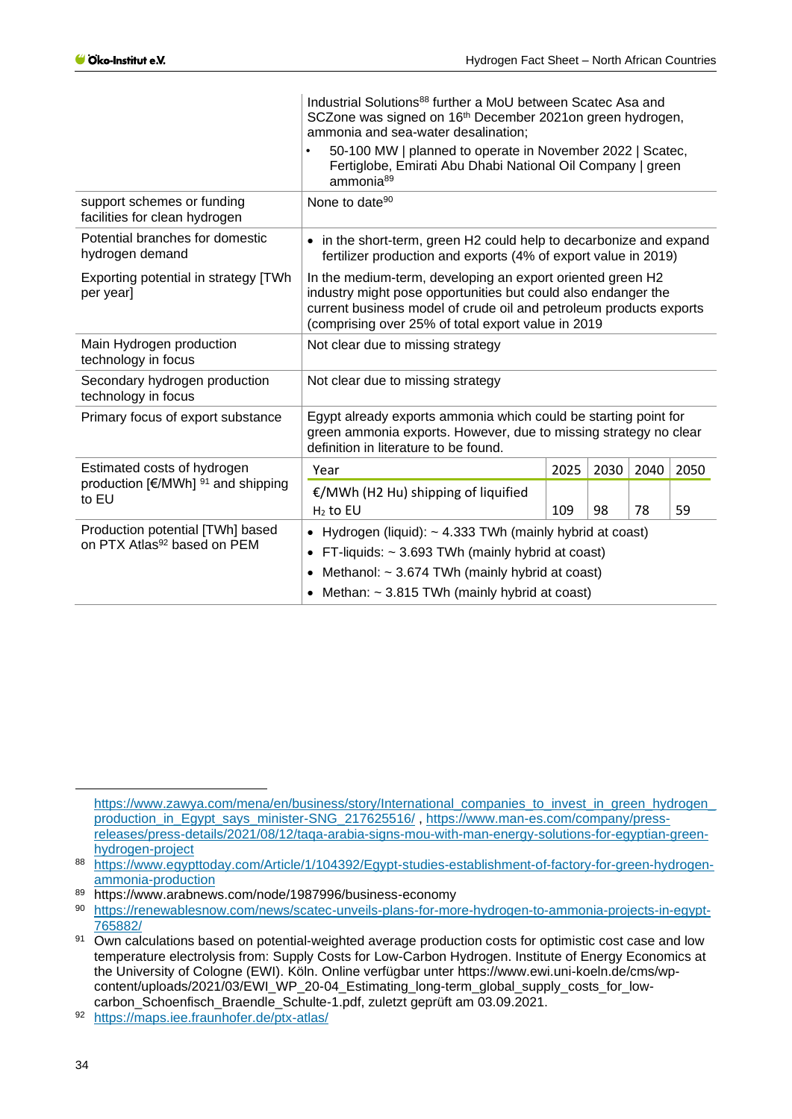|                                                                             | Industrial Solutions <sup>88</sup> further a MoU between Scatec Asa and<br>SCZone was signed on 16 <sup>th</sup> December 2021on green hydrogen,<br>ammonia and sea-water desalination;<br>50-100 MW   planned to operate in November 2022   Scatec,<br>Fertiglobe, Emirati Abu Dhabi National Oil Company   green<br>ammonia <sup>89</sup> |      |      |      |      |
|-----------------------------------------------------------------------------|---------------------------------------------------------------------------------------------------------------------------------------------------------------------------------------------------------------------------------------------------------------------------------------------------------------------------------------------|------|------|------|------|
| support schemes or funding<br>facilities for clean hydrogen                 | None to date <sup>90</sup>                                                                                                                                                                                                                                                                                                                  |      |      |      |      |
| Potential branches for domestic<br>hydrogen demand                          | in the short-term, green H2 could help to decarbonize and expand<br>fertilizer production and exports (4% of export value in 2019)                                                                                                                                                                                                          |      |      |      |      |
| Exporting potential in strategy [TWh<br>per year]                           | In the medium-term, developing an export oriented green H2<br>industry might pose opportunities but could also endanger the<br>current business model of crude oil and petroleum products exports<br>(comprising over 25% of total export value in 2019                                                                                     |      |      |      |      |
| Main Hydrogen production<br>technology in focus                             | Not clear due to missing strategy                                                                                                                                                                                                                                                                                                           |      |      |      |      |
| Secondary hydrogen production<br>technology in focus                        | Not clear due to missing strategy                                                                                                                                                                                                                                                                                                           |      |      |      |      |
| Primary focus of export substance                                           | Egypt already exports ammonia which could be starting point for<br>green ammonia exports. However, due to missing strategy no clear<br>definition in literature to be found.                                                                                                                                                                |      |      |      |      |
| Estimated costs of hydrogen                                                 | Year                                                                                                                                                                                                                                                                                                                                        | 2025 | 2030 | 2040 | 2050 |
| production $[€/MWh]$ <sup>91</sup> and shipping<br>to EU                    | €/MWh (H2 Hu) shipping of liquified<br>$H2$ to EU                                                                                                                                                                                                                                                                                           | 109  | 98   | 78   | 59   |
| Production potential [TWh] based<br>on PTX Atlas <sup>92</sup> based on PEM | • Hydrogen (liquid): $\sim$ 4.333 TWh (mainly hybrid at coast)<br>FT-liquids: $\sim$ 3.693 TWh (mainly hybrid at coast)<br>Methanol: $\sim$ 3.674 TWh (mainly hybrid at coast)<br>$\bullet$<br>• Methan: $\sim$ 3.815 TWh (mainly hybrid at coast)                                                                                          |      |      |      |      |

[https://www.zawya.com/mena/en/business/story/International\\_companies\\_to\\_invest\\_in\\_green\\_hydrogen\\_](https://www.zawya.com/mena/en/business/story/International_companies_to_invest_in_green_hydrogen_production_in_Egypt_says_minister-SNG_217625516/) [production\\_in\\_Egypt\\_says\\_minister-SNG\\_217625516/](https://www.zawya.com/mena/en/business/story/International_companies_to_invest_in_green_hydrogen_production_in_Egypt_says_minister-SNG_217625516/) , [https://www.man-es.com/company/press](https://www.man-es.com/company/press-releases/press-details/2021/08/12/taqa-arabia-signs-mou-with-man-energy-solutions-for-egyptian-green-hydrogen-project)[releases/press-details/2021/08/12/taqa-arabia-signs-mou-with-man-energy-solutions-for-egyptian-green](https://www.man-es.com/company/press-releases/press-details/2021/08/12/taqa-arabia-signs-mou-with-man-energy-solutions-for-egyptian-green-hydrogen-project)[hydrogen-project](https://www.man-es.com/company/press-releases/press-details/2021/08/12/taqa-arabia-signs-mou-with-man-energy-solutions-for-egyptian-green-hydrogen-project)

<sup>88</sup> [https://www.egypttoday.com/Article/1/104392/Egypt-studies-establishment-of-factory-for-green-hydrogen](https://www.egypttoday.com/Article/1/104392/Egypt-studies-establishment-of-factory-for-green-hydrogen-ammonia-production)[ammonia-production](https://www.egypttoday.com/Article/1/104392/Egypt-studies-establishment-of-factory-for-green-hydrogen-ammonia-production)

<sup>89</sup> https://www.arabnews.com/node/1987996/business-economy

<sup>90</sup> [https://renewablesnow.com/news/scatec-unveils-plans-for-more-hydrogen-to-ammonia-projects-in-egypt-](https://renewablesnow.com/news/scatec-unveils-plans-for-more-hydrogen-to-ammonia-projects-in-egypt-765882/)[765882/](https://renewablesnow.com/news/scatec-unveils-plans-for-more-hydrogen-to-ammonia-projects-in-egypt-765882/)

<sup>91</sup> Own calculations based on potential-weighted average production costs for optimistic cost case and low temperature electrolysis from: Supply Costs for Low-Carbon Hydrogen. Institute of Energy Economics at the University of Cologne (EWI). Köln. Online verfügbar unter https://www.ewi.uni-koeln.de/cms/wpcontent/uploads/2021/03/EWI\_WP\_20-04\_Estimating\_long-term\_global\_supply\_costs\_for\_lowcarbon\_Schoenfisch\_Braendle\_Schulte-1.pdf, zuletzt geprüft am 03.09.2021.

<sup>92</sup> <https://maps.iee.fraunhofer.de/ptx-atlas/>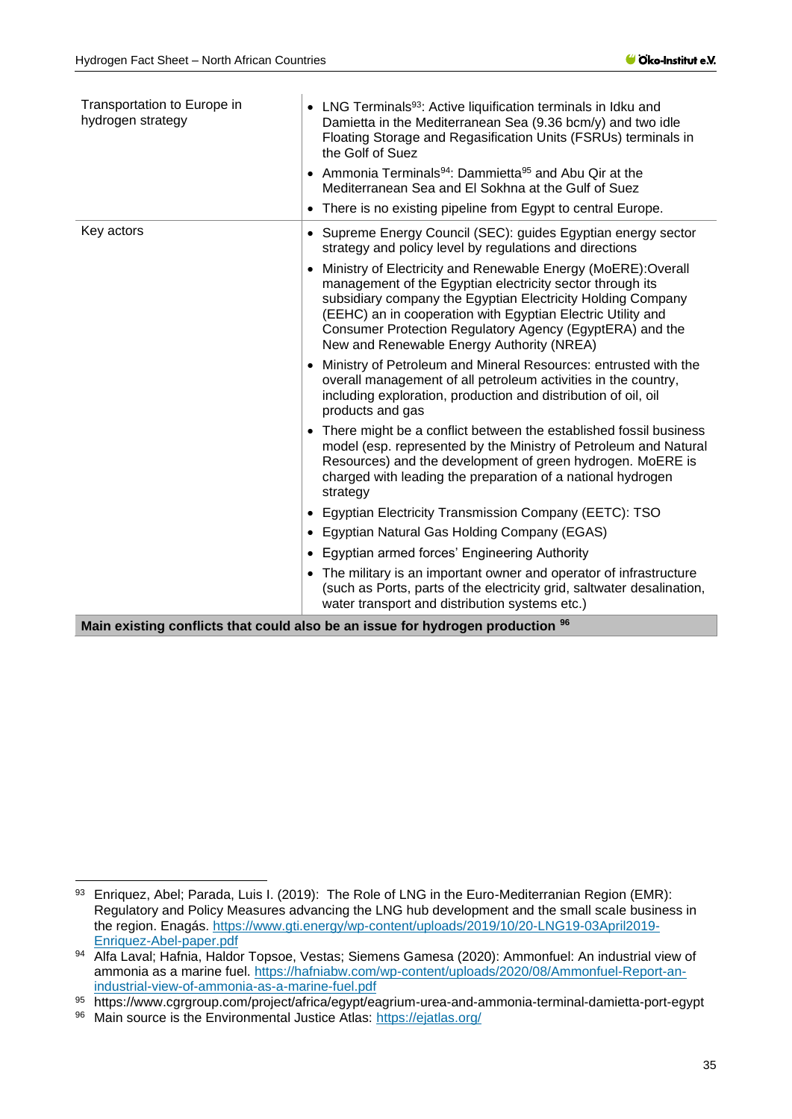í

| Transportation to Europe in<br>hydrogen strategy | • LNG Terminals <sup>93</sup> : Active liquification terminals in Idku and<br>Damietta in the Mediterranean Sea (9.36 bcm/y) and two idle<br>Floating Storage and Regasification Units (FSRUs) terminals in<br>the Golf of Suez<br>• Ammonia Terminals <sup>94</sup> : Dammietta <sup>95</sup> and Abu Qir at the<br>Mediterranean Sea and El Sokhna at the Gulf of Suez<br>There is no existing pipeline from Egypt to central Europe.<br>$\bullet$ |
|--------------------------------------------------|------------------------------------------------------------------------------------------------------------------------------------------------------------------------------------------------------------------------------------------------------------------------------------------------------------------------------------------------------------------------------------------------------------------------------------------------------|
| Key actors                                       |                                                                                                                                                                                                                                                                                                                                                                                                                                                      |
|                                                  | Supreme Energy Council (SEC): guides Egyptian energy sector<br>$\bullet$<br>strategy and policy level by regulations and directions                                                                                                                                                                                                                                                                                                                  |
|                                                  | Ministry of Electricity and Renewable Energy (MoERE):Overall<br>$\bullet$<br>management of the Egyptian electricity sector through its<br>subsidiary company the Egyptian Electricity Holding Company<br>(EEHC) an in cooperation with Egyptian Electric Utility and<br>Consumer Protection Regulatory Agency (EgyptERA) and the<br>New and Renewable Energy Authority (NREA)                                                                        |
|                                                  | Ministry of Petroleum and Mineral Resources: entrusted with the<br>$\bullet$<br>overall management of all petroleum activities in the country,<br>including exploration, production and distribution of oil, oil<br>products and gas                                                                                                                                                                                                                 |
|                                                  | There might be a conflict between the established fossil business<br>$\bullet$<br>model (esp. represented by the Ministry of Petroleum and Natural<br>Resources) and the development of green hydrogen. MoERE is<br>charged with leading the preparation of a national hydrogen<br>strategy                                                                                                                                                          |
|                                                  | Egyptian Electricity Transmission Company (EETC): TSO                                                                                                                                                                                                                                                                                                                                                                                                |
|                                                  | Egyptian Natural Gas Holding Company (EGAS)                                                                                                                                                                                                                                                                                                                                                                                                          |
|                                                  | <b>Egyptian armed forces' Engineering Authority</b>                                                                                                                                                                                                                                                                                                                                                                                                  |
|                                                  | • The military is an important owner and operator of infrastructure<br>(such as Ports, parts of the electricity grid, saltwater desalination,<br>water transport and distribution systems etc.)                                                                                                                                                                                                                                                      |
|                                                  |                                                                                                                                                                                                                                                                                                                                                                                                                                                      |

**Main existing conflicts that could also be an issue for hydrogen production <sup>96</sup>**

<sup>93</sup> Enriquez, Abel; Parada, Luis I. (2019): The Role of LNG in the Euro-Mediterranian Region (EMR): Regulatory and Policy Measures advancing the LNG hub development and the small scale business in the region. Enagás. [https://www.gti.energy/wp-content/uploads/2019/10/20-LNG19-03April2019-](https://www.gti.energy/wp-content/uploads/2019/10/20-LNG19-03April2019-Enriquez-Abel-paper.pdf) [Enriquez-Abel-paper.pdf](https://www.gti.energy/wp-content/uploads/2019/10/20-LNG19-03April2019-Enriquez-Abel-paper.pdf)

<sup>94</sup> Alfa Laval; Hafnia, Haldor Topsoe, Vestas; Siemens Gamesa (2020): Ammonfuel: An industrial view of ammonia as a marine fuel. [https://hafniabw.com/wp-content/uploads/2020/08/Ammonfuel-Report-an](https://hafniabw.com/wp-content/uploads/2020/08/Ammonfuel-Report-an-industrial-view-of-ammonia-as-a-marine-fuel.pdf)[industrial-view-of-ammonia-as-a-marine-fuel.pdf](https://hafniabw.com/wp-content/uploads/2020/08/Ammonfuel-Report-an-industrial-view-of-ammonia-as-a-marine-fuel.pdf)

<sup>95</sup> https://www.cgrgroup.com/project/africa/egypt/eagrium-urea-and-ammonia-terminal-damietta-port-egypt

<sup>96</sup> Main source is the Environmental Justice Atlas:<https://ejatlas.org/>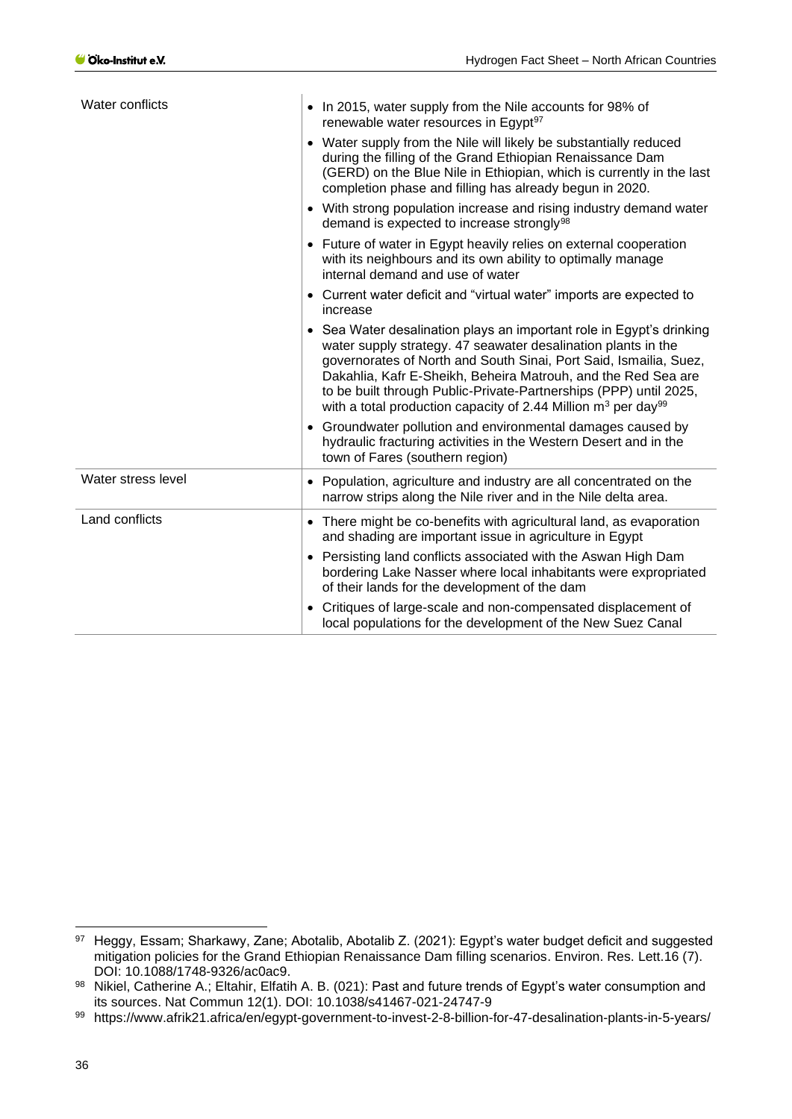| Water conflicts    | • In 2015, water supply from the Nile accounts for 98% of<br>renewable water resources in Egypt <sup>97</sup>                                                                                                                                                                                                                                                                                                                    |
|--------------------|----------------------------------------------------------------------------------------------------------------------------------------------------------------------------------------------------------------------------------------------------------------------------------------------------------------------------------------------------------------------------------------------------------------------------------|
|                    | • Water supply from the Nile will likely be substantially reduced<br>during the filling of the Grand Ethiopian Renaissance Dam<br>(GERD) on the Blue Nile in Ethiopian, which is currently in the last<br>completion phase and filling has already begun in 2020.                                                                                                                                                                |
|                    | • With strong population increase and rising industry demand water<br>demand is expected to increase strongly <sup>98</sup>                                                                                                                                                                                                                                                                                                      |
|                    | • Future of water in Egypt heavily relies on external cooperation<br>with its neighbours and its own ability to optimally manage<br>internal demand and use of water                                                                                                                                                                                                                                                             |
|                    | • Current water deficit and "virtual water" imports are expected to<br>increase                                                                                                                                                                                                                                                                                                                                                  |
|                    | • Sea Water desalination plays an important role in Egypt's drinking<br>water supply strategy. 47 seawater desalination plants in the<br>governorates of North and South Sinai, Port Said, Ismailia, Suez,<br>Dakahlia, Kafr E-Sheikh, Beheira Matrouh, and the Red Sea are<br>to be built through Public-Private-Partnerships (PPP) until 2025,<br>with a total production capacity of 2.44 Million $m^3$ per day <sup>99</sup> |
|                    | • Groundwater pollution and environmental damages caused by<br>hydraulic fracturing activities in the Western Desert and in the<br>town of Fares (southern region)                                                                                                                                                                                                                                                               |
| Water stress level | • Population, agriculture and industry are all concentrated on the<br>narrow strips along the Nile river and in the Nile delta area.                                                                                                                                                                                                                                                                                             |
| Land conflicts     | • There might be co-benefits with agricultural land, as evaporation<br>and shading are important issue in agriculture in Egypt                                                                                                                                                                                                                                                                                                   |
|                    | • Persisting land conflicts associated with the Aswan High Dam<br>bordering Lake Nasser where local inhabitants were expropriated<br>of their lands for the development of the dam                                                                                                                                                                                                                                               |
|                    | • Critiques of large-scale and non-compensated displacement of<br>local populations for the development of the New Suez Canal                                                                                                                                                                                                                                                                                                    |

<sup>97</sup> Heggy, Essam; Sharkawy, Zane; Abotalib, Abotalib Z. (2021): Egypt's water budget deficit and suggested mitigation policies for the Grand Ethiopian Renaissance Dam filling scenarios. Environ. Res. Lett.16 (7). DOI: 10.1088/1748-9326/ac0ac9.

<sup>98</sup> Nikiel, Catherine A.; Eltahir, Elfatih A. B. (021): Past and future trends of Egypt's water consumption and its sources. Nat Commun 12(1). DOI: 10.1038/s41467-021-24747-9

<sup>99</sup> https://www.afrik21.africa/en/egypt-government-to-invest-2-8-billion-for-47-desalination-plants-in-5-years/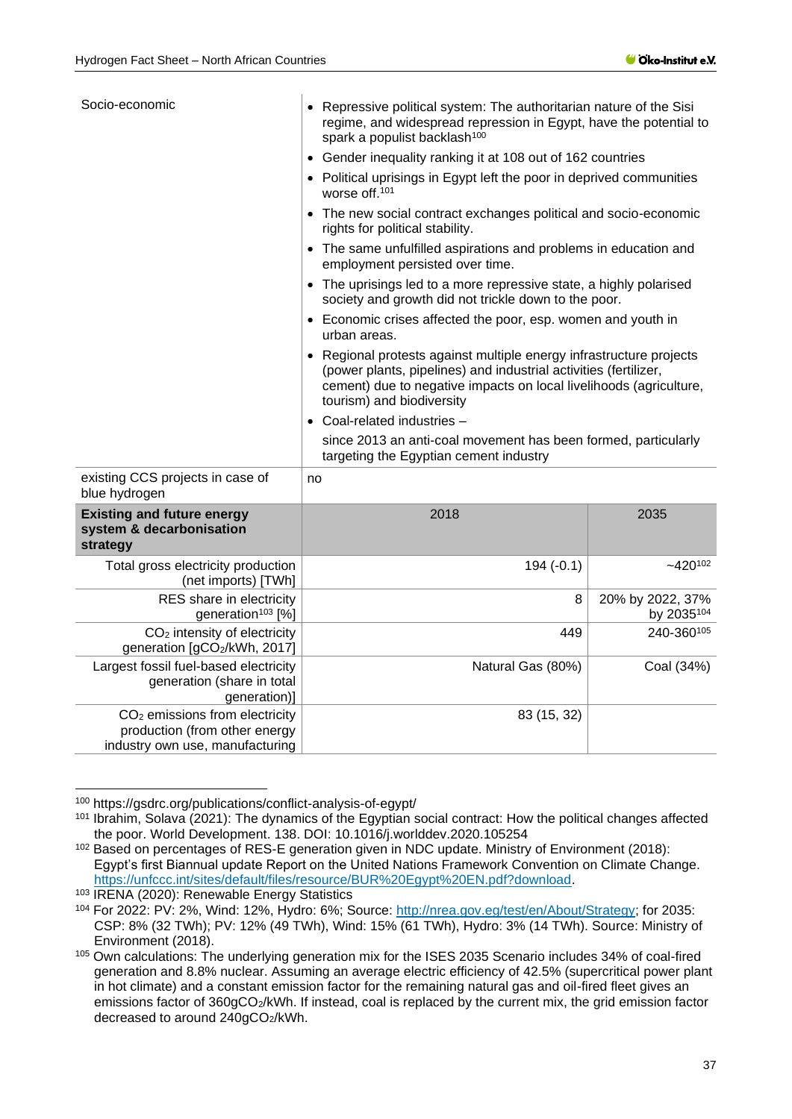| Socio-economic                                                            | Repressive political system: The authoritarian nature of the Sisi<br>regime, and widespread repression in Egypt, have the potential to<br>spark a populist backlash <sup>100</sup>                                                         |              |  |  |  |
|---------------------------------------------------------------------------|--------------------------------------------------------------------------------------------------------------------------------------------------------------------------------------------------------------------------------------------|--------------|--|--|--|
|                                                                           | Gender inequality ranking it at 108 out of 162 countries                                                                                                                                                                                   |              |  |  |  |
|                                                                           | Political uprisings in Egypt left the poor in deprived communities<br>worse off. <sup>101</sup>                                                                                                                                            |              |  |  |  |
|                                                                           | • The new social contract exchanges political and socio-economic<br>rights for political stability.                                                                                                                                        |              |  |  |  |
|                                                                           | The same unfulfilled aspirations and problems in education and<br>$\bullet$<br>employment persisted over time.                                                                                                                             |              |  |  |  |
|                                                                           | The uprisings led to a more repressive state, a highly polarised<br>$\bullet$<br>society and growth did not trickle down to the poor.                                                                                                      |              |  |  |  |
|                                                                           | Economic crises affected the poor, esp. women and youth in<br>urban areas.                                                                                                                                                                 |              |  |  |  |
|                                                                           | • Regional protests against multiple energy infrastructure projects<br>(power plants, pipelines) and industrial activities (fertilizer,<br>cement) due to negative impacts on local livelihoods (agriculture,<br>tourism) and biodiversity |              |  |  |  |
|                                                                           | • Coal-related industries -                                                                                                                                                                                                                |              |  |  |  |
|                                                                           | since 2013 an anti-coal movement has been formed, particularly<br>targeting the Egyptian cement industry                                                                                                                                   |              |  |  |  |
| existing CCS projects in case of<br>blue hydrogen                         | no                                                                                                                                                                                                                                         |              |  |  |  |
| <b>Existing and future energy</b><br>system & decarbonisation<br>strategy | 2018                                                                                                                                                                                                                                       | 2035         |  |  |  |
| Total gross electricity production<br>$(net_{model})$ [T $Mh1$ ]          | $194(-0.1)$                                                                                                                                                                                                                                | $-420^{102}$ |  |  |  |

|                       |                   | (NECHRIDORS)   I VVNI                                                                                          |  |
|-----------------------|-------------------|----------------------------------------------------------------------------------------------------------------|--|
| 8<br>20% by 2022, 37% |                   | RES share in electricity<br>generation <sup>103</sup> [%]                                                      |  |
| 449                   |                   | CO <sub>2</sub> intensity of electricity<br>generation [gCO2/kWh, 2017]                                        |  |
|                       | Natural Gas (80%) | Largest fossil fuel-based electricity<br>generation (share in total<br>generation)]                            |  |
|                       | 83 (15, 32)       | CO <sub>2</sub> emissions from electricity<br>production (from other energy<br>industry own use, manufacturing |  |

<sup>100</sup> https://gsdrc.org/publications/conflict-analysis-of-egypt/

<sup>101</sup> Ibrahim, Solava (2021): The dynamics of the Egyptian social contract: How the political changes affected the poor. World Development. 138. DOI: 10.1016/j.worlddev.2020.105254

<sup>102</sup> Based on percentages of RES-E generation given in NDC update. Ministry of Environment (2018): Egypt's first Biannual update Report on the United Nations Framework Convention on Climate Change. [https://unfccc.int/sites/default/files/resource/BUR%20Egypt%20EN.pdf?download.](https://unfccc.int/sites/default/files/resource/BUR%20Egypt%20EN.pdf?download)

<sup>103</sup> IRENA (2020): Renewable Energy Statistics

<sup>104</sup> For 2022: PV: 2%, Wind: 12%, Hydro: 6%; Source: [http://nrea.gov.eg/test/en/About/Strategy;](http://nrea.gov.eg/test/en/About/Strategy) for 2035: CSP: 8% (32 TWh); PV: 12% (49 TWh), Wind: 15% (61 TWh), Hydro: 3% (14 TWh). Source: Ministry of Environment (2018).

<sup>105</sup> Own calculations: The underlying generation mix for the ISES 2035 Scenario includes 34% of coal-fired generation and 8.8% nuclear. Assuming an average electric efficiency of 42.5% (supercritical power plant in hot climate) and a constant emission factor for the remaining natural gas and oil-fired fleet gives an emissions factor of 360gCO2/kWh. If instead, coal is replaced by the current mix, the grid emission factor decreased to around 240gCO<sub>2</sub>/kWh.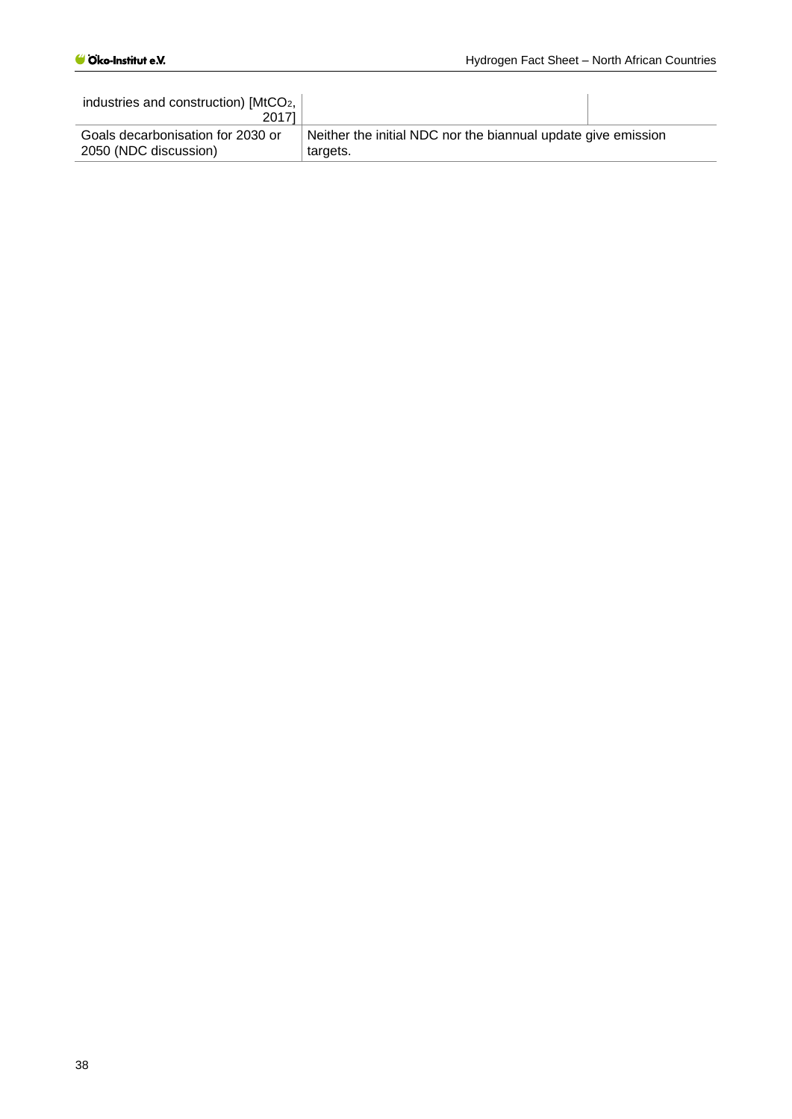| industries and construction) [MtCO <sub>2</sub> ,<br>20171 |                                                               |
|------------------------------------------------------------|---------------------------------------------------------------|
| Goals decarbonisation for 2030 or                          | Neither the initial NDC nor the biannual update give emission |
| 2050 (NDC discussion)                                      | targets.                                                      |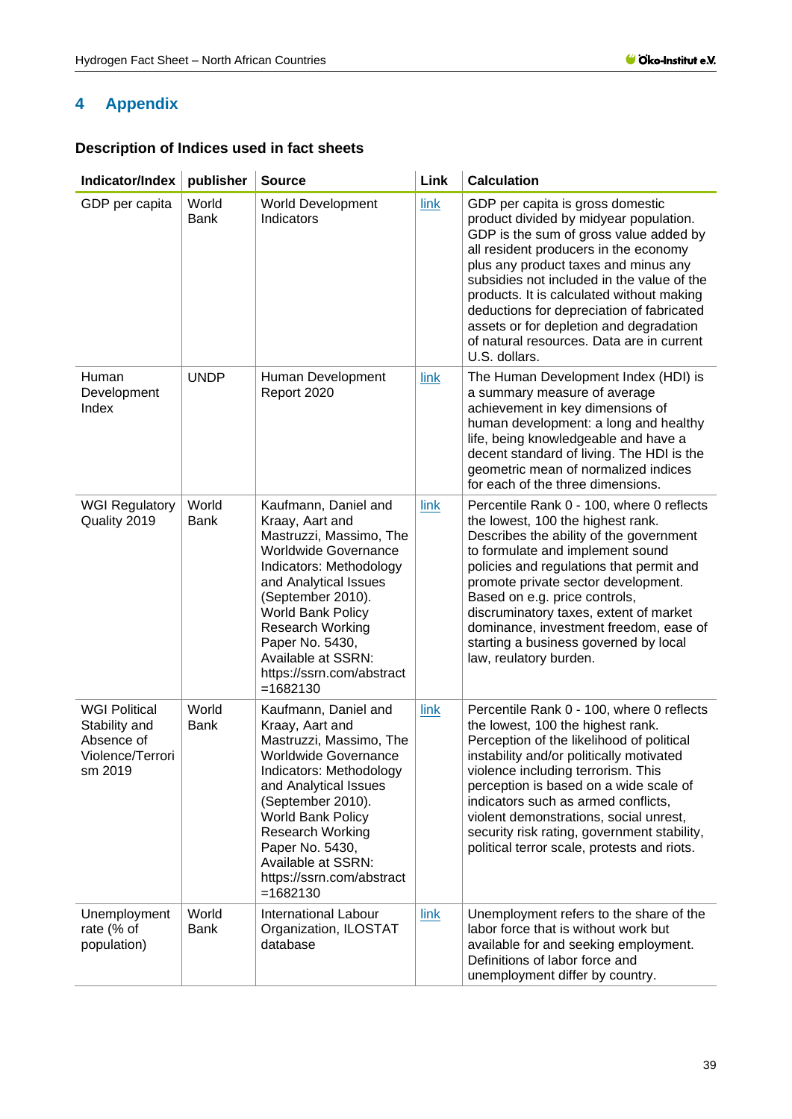## <span id="page-38-0"></span>**4 Appendix**

## <span id="page-38-1"></span>**Description of Indices used in fact sheets**

| Indicator/Index                                                                    | publisher            | <b>Source</b>                                                                                                                                                                                                                                                                                                          | Link | <b>Calculation</b>                                                                                                                                                                                                                                                                                                                                                                                                                                     |
|------------------------------------------------------------------------------------|----------------------|------------------------------------------------------------------------------------------------------------------------------------------------------------------------------------------------------------------------------------------------------------------------------------------------------------------------|------|--------------------------------------------------------------------------------------------------------------------------------------------------------------------------------------------------------------------------------------------------------------------------------------------------------------------------------------------------------------------------------------------------------------------------------------------------------|
| GDP per capita                                                                     | World<br><b>Bank</b> | <b>World Development</b><br>Indicators                                                                                                                                                                                                                                                                                 | link | GDP per capita is gross domestic<br>product divided by midyear population.<br>GDP is the sum of gross value added by<br>all resident producers in the economy<br>plus any product taxes and minus any<br>subsidies not included in the value of the<br>products. It is calculated without making<br>deductions for depreciation of fabricated<br>assets or for depletion and degradation<br>of natural resources. Data are in current<br>U.S. dollars. |
| Human<br>Development<br>Index                                                      | <b>UNDP</b>          | Human Development<br>Report 2020                                                                                                                                                                                                                                                                                       | link | The Human Development Index (HDI) is<br>a summary measure of average<br>achievement in key dimensions of<br>human development: a long and healthy<br>life, being knowledgeable and have a<br>decent standard of living. The HDI is the<br>geometric mean of normalized indices<br>for each of the three dimensions.                                                                                                                                    |
| <b>WGI Regulatory</b><br>Quality 2019                                              | World<br><b>Bank</b> | Kaufmann, Daniel and<br>Kraay, Aart and<br>Mastruzzi, Massimo, The<br><b>Worldwide Governance</b><br>Indicators: Methodology<br>and Analytical Issues<br>(September 2010).<br>World Bank Policy<br>Research Working<br>Paper No. 5430,<br>Available at SSRN:<br>https://ssrn.com/abstract<br>$= 1682130$               | link | Percentile Rank 0 - 100, where 0 reflects<br>the lowest, 100 the highest rank.<br>Describes the ability of the government<br>to formulate and implement sound<br>policies and regulations that permit and<br>promote private sector development.<br>Based on e.g. price controls,<br>discruminatory taxes, extent of market<br>dominance, investment freedom, ease of<br>starting a business governed by local<br>law, reulatory burden.               |
| <b>WGI Political</b><br>Stability and<br>Absence of<br>Violence/Terrori<br>sm 2019 | World<br><b>Bank</b> | Kaufmann, Daniel and<br>Kraay, Aart and<br>Mastruzzi, Massimo, The<br><b>Worldwide Governance</b><br>Indicators: Methodology<br>and Analytical Issues<br>(September 2010).<br><b>World Bank Policy</b><br><b>Research Working</b><br>Paper No. 5430,<br>Available at SSRN:<br>https://ssrn.com/abstract<br>$= 1682130$ | link | Percentile Rank 0 - 100, where 0 reflects<br>the lowest, 100 the highest rank.<br>Perception of the likelihood of political<br>instability and/or politically motivated<br>violence including terrorism. This<br>perception is based on a wide scale of<br>indicators such as armed conflicts,<br>violent demonstrations, social unrest,<br>security risk rating, government stability,<br>political terror scale, protests and riots.                 |
| Unemployment<br>rate (% of<br>population)                                          | World<br><b>Bank</b> | <b>International Labour</b><br>Organization, ILOSTAT<br>database                                                                                                                                                                                                                                                       | link | Unemployment refers to the share of the<br>labor force that is without work but<br>available for and seeking employment.<br>Definitions of labor force and<br>unemployment differ by country.                                                                                                                                                                                                                                                          |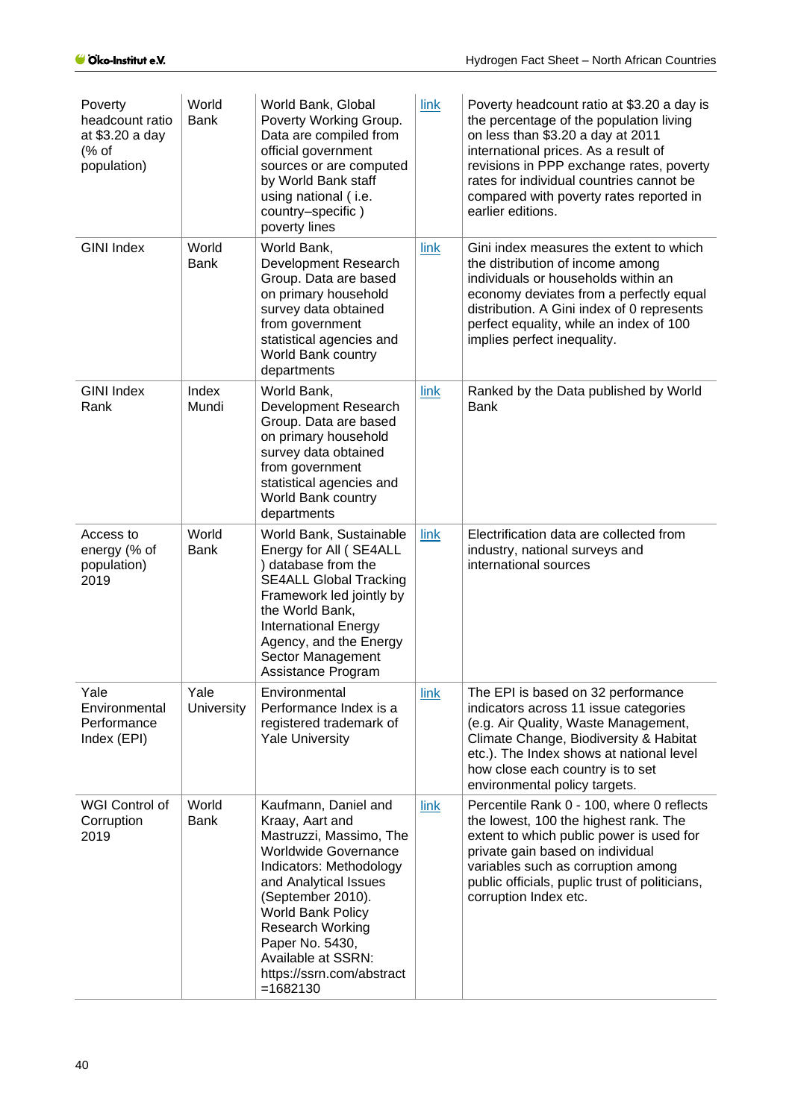| Poverty<br>headcount ratio<br>at \$3.20 a day<br>% of<br>population) | World<br><b>Bank</b> | World Bank, Global<br>Poverty Working Group.<br>Data are compiled from<br>official government<br>sources or are computed<br>by World Bank staff<br>using national (i.e.<br>country-specific)<br>poverty lines                                                                                                          | link | Poverty headcount ratio at \$3.20 a day is<br>the percentage of the population living<br>on less than \$3.20 a day at 2011<br>international prices. As a result of<br>revisions in PPP exchange rates, poverty<br>rates for individual countries cannot be<br>compared with poverty rates reported in<br>earlier editions. |
|----------------------------------------------------------------------|----------------------|------------------------------------------------------------------------------------------------------------------------------------------------------------------------------------------------------------------------------------------------------------------------------------------------------------------------|------|----------------------------------------------------------------------------------------------------------------------------------------------------------------------------------------------------------------------------------------------------------------------------------------------------------------------------|
| <b>GINI Index</b>                                                    | World<br><b>Bank</b> | World Bank,<br>Development Research<br>Group. Data are based<br>on primary household<br>survey data obtained<br>from government<br>statistical agencies and<br>World Bank country<br>departments                                                                                                                       | link | Gini index measures the extent to which<br>the distribution of income among<br>individuals or households within an<br>economy deviates from a perfectly equal<br>distribution. A Gini index of 0 represents<br>perfect equality, while an index of 100<br>implies perfect inequality.                                      |
| <b>GINI Index</b><br>Rank                                            | Index<br>Mundi       | World Bank,<br>Development Research<br>Group. Data are based<br>on primary household<br>survey data obtained<br>from government<br>statistical agencies and<br>World Bank country<br>departments                                                                                                                       | link | Ranked by the Data published by World<br><b>Bank</b>                                                                                                                                                                                                                                                                       |
| Access to<br>energy (% of<br>population)<br>2019                     | World<br><b>Bank</b> | World Bank, Sustainable<br>Energy for All (SE4ALL<br>) database from the<br><b>SE4ALL Global Tracking</b><br>Framework led jointly by<br>the World Bank,<br><b>International Energy</b><br>Agency, and the Energy<br>Sector Management<br>Assistance Program                                                           | link | Electrification data are collected from<br>industry, national surveys and<br>international sources                                                                                                                                                                                                                         |
| Yale<br>Environmental<br>Performance<br>Index (EPI)                  | Yale<br>University   | Environmental<br>Performance Index is a<br>registered trademark of<br><b>Yale University</b>                                                                                                                                                                                                                           | link | The EPI is based on 32 performance<br>indicators across 11 issue categories<br>(e.g. Air Quality, Waste Management,<br>Climate Change, Biodiversity & Habitat<br>etc.). The Index shows at national level<br>how close each country is to set<br>environmental policy targets.                                             |
| WGI Control of<br>Corruption<br>2019                                 | World<br><b>Bank</b> | Kaufmann, Daniel and<br>Kraay, Aart and<br>Mastruzzi, Massimo, The<br><b>Worldwide Governance</b><br>Indicators: Methodology<br>and Analytical Issues<br>(September 2010).<br><b>World Bank Policy</b><br><b>Research Working</b><br>Paper No. 5430,<br>Available at SSRN:<br>https://ssrn.com/abstract<br>$= 1682130$ | link | Percentile Rank 0 - 100, where 0 reflects<br>the lowest, 100 the highest rank. The<br>extent to which public power is used for<br>private gain based on individual<br>variables such as corruption among<br>public officials, puplic trust of politicians,<br>corruption Index etc.                                        |